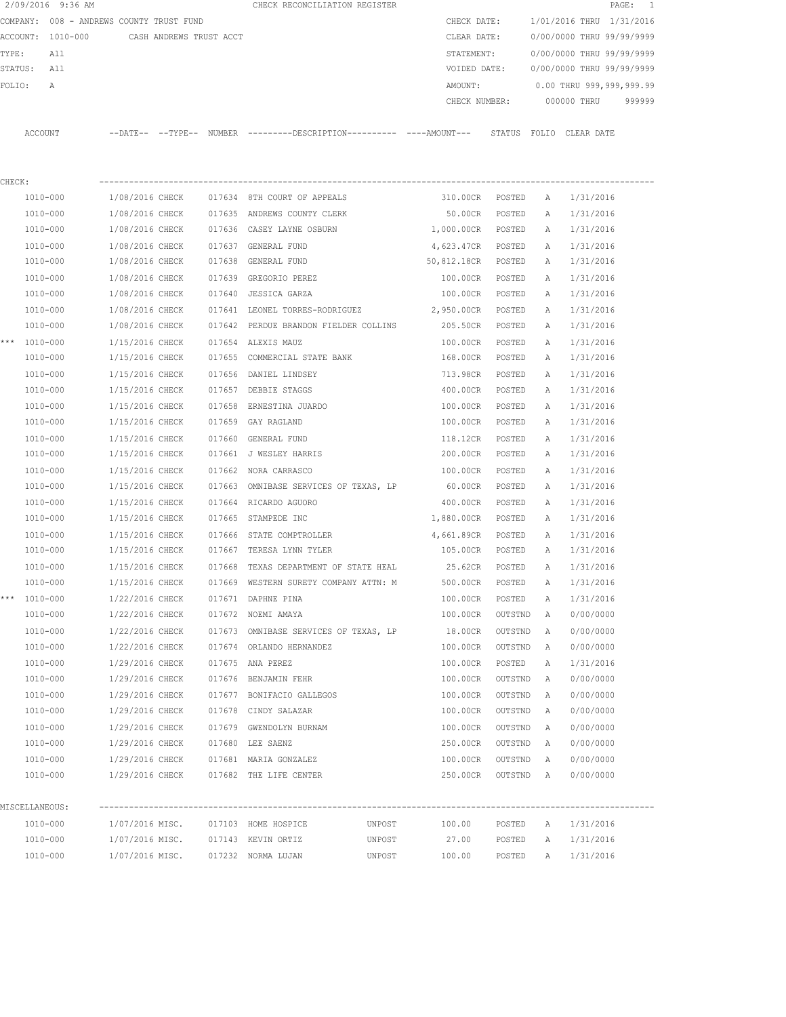|                                                                                       | 2/09/2016 9:36 AM |                 |  | CHECK RECONCILIATION REGISTER                                                                         |             |                             |           |                                      | PAGE: 1                                |
|---------------------------------------------------------------------------------------|-------------------|-----------------|--|-------------------------------------------------------------------------------------------------------|-------------|-----------------------------|-----------|--------------------------------------|----------------------------------------|
| COMPANY: 008 - ANDREWS COUNTY TRUST FUND<br>ACCOUNT: 1010-000 CASH ANDREWS TRUST ACCT |                   |                 |  |                                                                                                       | CHECK DATE: |                             |           | 1/01/2016 THRU 1/31/2016             |                                        |
|                                                                                       |                   |                 |  |                                                                                                       |             | CLEAR DATE:                 |           |                                      | 0/00/0000 THRU 99/99/9999              |
| TYPE:<br>All                                                                          |                   |                 |  |                                                                                                       |             |                             |           | STATEMENT: 0/00/0000 THRU 99/99/9999 |                                        |
|                                                                                       | STATUS: All       |                 |  |                                                                                                       |             |                             |           |                                      | VOIDED DATE: 0/00/0000 THRU 99/99/9999 |
| FOLIO:                                                                                | Α                 |                 |  |                                                                                                       |             |                             |           |                                      | AMOUNT: 0.00 THRU 999,999,999.99       |
|                                                                                       |                   |                 |  |                                                                                                       |             |                             |           |                                      | CHECK NUMBER: 000000 THRU 999999       |
|                                                                                       |                   |                 |  | ACCOUNT --DATE-- --TYPE-- NUMBER ---------DESCRIPTION---------- ----AMOUNT--- STATUS FOLIO CLEAR DATE |             |                             |           |                                      |                                        |
|                                                                                       |                   |                 |  |                                                                                                       |             |                             |           |                                      |                                        |
| CHECK:                                                                                |                   |                 |  |                                                                                                       |             |                             |           |                                      |                                        |
|                                                                                       | 1010-000          |                 |  | 1/08/2016 CHECK 017634 8TH COURT OF APPEALS                                                           |             | 310.00CR POSTED A 1/31/2016 |           |                                      |                                        |
|                                                                                       | 1010-000          |                 |  | 1/08/2016 CHECK 017635 ANDREWS COUNTY CLERK                                                           |             | 50.00CR POSTED              |           |                                      | A 1/31/2016                            |
|                                                                                       | 1010-000          |                 |  | 1/08/2016 CHECK 017636 CASEY LAYNE OSBURN                                                             |             | 1,000.00CR POSTED           |           |                                      | A 1/31/2016                            |
|                                                                                       | 1010-000          |                 |  | 1/08/2016 CHECK 017637 GENERAL FUND                                                                   |             | 4,623.47CR POSTED           |           | A                                    | 1/31/2016                              |
|                                                                                       | 1010-000          |                 |  | 1/08/2016 CHECK 017638 GENERAL FUND                                                                   |             | 50,812.18CR POSTED          |           | A                                    | 1/31/2016                              |
|                                                                                       | 1010-000          |                 |  | 1/08/2016 CHECK 017639 GREGORIO PEREZ                                                                 |             | 100.00CR POSTED             |           | A                                    | 1/31/2016                              |
|                                                                                       | 1010-000          |                 |  | 1/08/2016 CHECK 017640 JESSICA GARZA                                                                  |             | 100.00CR POSTED             |           | A                                    | 1/31/2016                              |
|                                                                                       | 1010-000          |                 |  | 1/08/2016 CHECK 017641 LEONEL TORRES-RODRIGUEZ 2,950.00CR POSTED                                      |             |                             |           | A                                    | 1/31/2016                              |
|                                                                                       | 1010-000          |                 |  | 1/08/2016 CHECK 017642 PERDUE BRANDON FIELDER COLLINS                                                 |             | 205.50CR POSTED             |           | A                                    | 1/31/2016                              |
|                                                                                       | *** 1010-000      |                 |  | 1/15/2016 CHECK 017654 ALEXIS MAUZ                                                                    |             | 100.00CR POSTED             |           | A                                    | 1/31/2016                              |
|                                                                                       | 1010-000          |                 |  | 1/15/2016 CHECK 017655 COMMERCIAL STATE BANK                                                          |             | 168.00CR POSTED             |           | A                                    | 1/31/2016                              |
|                                                                                       | 1010-000          |                 |  | 1/15/2016 CHECK 017656 DANIEL LINDSEY                                                                 |             | 713.98CR POSTED             |           | A                                    | 1/31/2016                              |
|                                                                                       | 1010-000          | 1/15/2016 CHECK |  | 017657 DEBBIE STAGGS                                                                                  |             | 400.00CR                    | POSTED    | A                                    | 1/31/2016                              |
|                                                                                       | 1010-000          | 1/15/2016 CHECK |  | 017658 ERNESTINA JUARDO                                                                               |             | 100.00CR                    | POSTED    | A                                    | 1/31/2016                              |
|                                                                                       | 1010-000          |                 |  | 1/15/2016 CHECK 017659 GAY RAGLAND                                                                    |             | 100.00CR POSTED             |           | A                                    | 1/31/2016                              |
|                                                                                       | 1010-000          |                 |  | 1/15/2016 CHECK 017660 GENERAL FUND                                                                   |             | 118.12CR POSTED             |           | A                                    | 1/31/2016                              |
|                                                                                       | 1010-000          |                 |  | 1/15/2016 CHECK 017661 J WESLEY HARRIS                                                                |             | 200.00CR POSTED             |           | A                                    | 1/31/2016                              |
|                                                                                       | 1010-000          |                 |  | 1/15/2016 CHECK 017662 NORA CARRASCO                                                                  |             | 100.00CR POSTED             |           | А                                    | 1/31/2016                              |
|                                                                                       | 1010-000          |                 |  | 1/15/2016 CHECK 017663 OMNIBASE SERVICES OF TEXAS, LP 60.00CR POSTED                                  |             |                             |           | A                                    | 1/31/2016                              |
|                                                                                       | 1010-000          |                 |  | 1/15/2016 CHECK 017664 RICARDO AGUORO                                                                 |             | 400.00CR POSTED             |           | A                                    | 1/31/2016                              |
|                                                                                       | 1010-000          |                 |  | 1/15/2016 CHECK 017665 STAMPEDE INC                                                                   |             | 1,880.00CR POSTED           |           | A                                    | 1/31/2016                              |
|                                                                                       | 1010-000          |                 |  | 1/15/2016 CHECK 017666 STATE COMPTROLLER                                                              |             | 4,661.89CR POSTED           |           |                                      | A 1/31/2016                            |
|                                                                                       | 1010-000          |                 |  | 1/15/2016 CHECK 017667 TERESA LYNN TYLER                                                              |             | 105.00CR POSTED             |           |                                      | A 1/31/2016                            |
|                                                                                       | 1010-000          |                 |  | 1/15/2016 CHECK 017668 TEXAS DEPARTMENT OF STATE HEAL                                                 |             | 25.62CR POSTED              |           | A                                    | 1/31/2016                              |
|                                                                                       | 1010-000          | 1/15/2016 CHECK |  | 017669 WESTERN SURETY COMPANY ATTN: M                                                                 |             | 500.00CR                    | POSTED    | A                                    | 1/31/2016                              |
|                                                                                       | *** 1010-000      | 1/22/2016 CHECK |  | 017671 DAPHNE PINA                                                                                    |             | 100.00CR                    | POSTED    | Α                                    | 1/31/2016                              |
|                                                                                       | 1010-000          | 1/22/2016 CHECK |  | 017672 NOEMI AMAYA                                                                                    |             | 100.00CR                    | OUTSTND   | Α                                    | 0/00/0000                              |
|                                                                                       | 1010-000          | 1/22/2016 CHECK |  | 017673 OMNIBASE SERVICES OF TEXAS, LP                                                                 |             | 18.00CR                     | OUTSTND   | Α                                    | 0/00/0000                              |
|                                                                                       | 1010-000          | 1/22/2016 CHECK |  | 017674 ORLANDO HERNANDEZ                                                                              |             | 100.00CR                    | OUTSTND   | Α                                    | 0/00/0000                              |
|                                                                                       | 1010-000          | 1/29/2016 CHECK |  | 017675 ANA PEREZ                                                                                      |             | 100.00CR                    | POSTED    | Α                                    | 1/31/2016                              |
|                                                                                       | $1010 - 000$      | 1/29/2016 CHECK |  | 017676 BENJAMIN FEHR                                                                                  |             | 100.00CR                    | OUTSTND   | Α                                    | 0/00/0000                              |
|                                                                                       | 1010-000          | 1/29/2016 CHECK |  | 017677 BONIFACIO GALLEGOS                                                                             |             | 100.00CR                    | OUTSTND   | Α                                    | 0/00/0000                              |
|                                                                                       | 1010-000          | 1/29/2016 CHECK |  | 017678 CINDY SALAZAR                                                                                  |             | 100.00CR                    | OUTSTND   | Α                                    | 0/00/0000                              |
|                                                                                       | 1010-000          |                 |  | 1/29/2016 CHECK 017679 GWENDOLYN BURNAM                                                               |             | 100.00CR                    | OUTSTND   | Α                                    | 0/00/0000                              |
|                                                                                       | 1010-000          |                 |  | 1/29/2016 CHECK 017680 LEE SAENZ                                                                      |             | 250.00CR                    | OUTSTND   | $\mathbb{A}$                         | 0/00/0000                              |
|                                                                                       | 1010-000          |                 |  | 1/29/2016 CHECK 017681 MARIA GONZALEZ                                                                 |             | 100.00CR                    | OUTSTND   | A                                    | 0/00/0000                              |
|                                                                                       | 1010-000          |                 |  | 1/29/2016 CHECK 017682 THE LIFE CENTER                                                                |             | 250.00CR                    | OUTSTND A |                                      | 0/00/0000                              |
|                                                                                       | MISCELLANEOUS:    |                 |  |                                                                                                       |             |                             |           |                                      |                                        |
|                                                                                       | 1010-000          |                 |  | 1/07/2016 MISC. 017103 HOME HOSPICE                                                                   | UNPOST      | 100.00                      | POSTED    | Α                                    | 1/31/2016                              |
|                                                                                       | 1010-000          |                 |  | 1/07/2016 MISC. 017143 KEVIN ORTIZ                                                                    | UNPOST      | 27.00                       | POSTED    | A                                    | 1/31/2016                              |
|                                                                                       | 1010-000          |                 |  | 1/07/2016 MISC. 017232 NORMA LUJAN                                                                    | UNPOST      | 100.00                      | POSTED    |                                      | A 1/31/2016                            |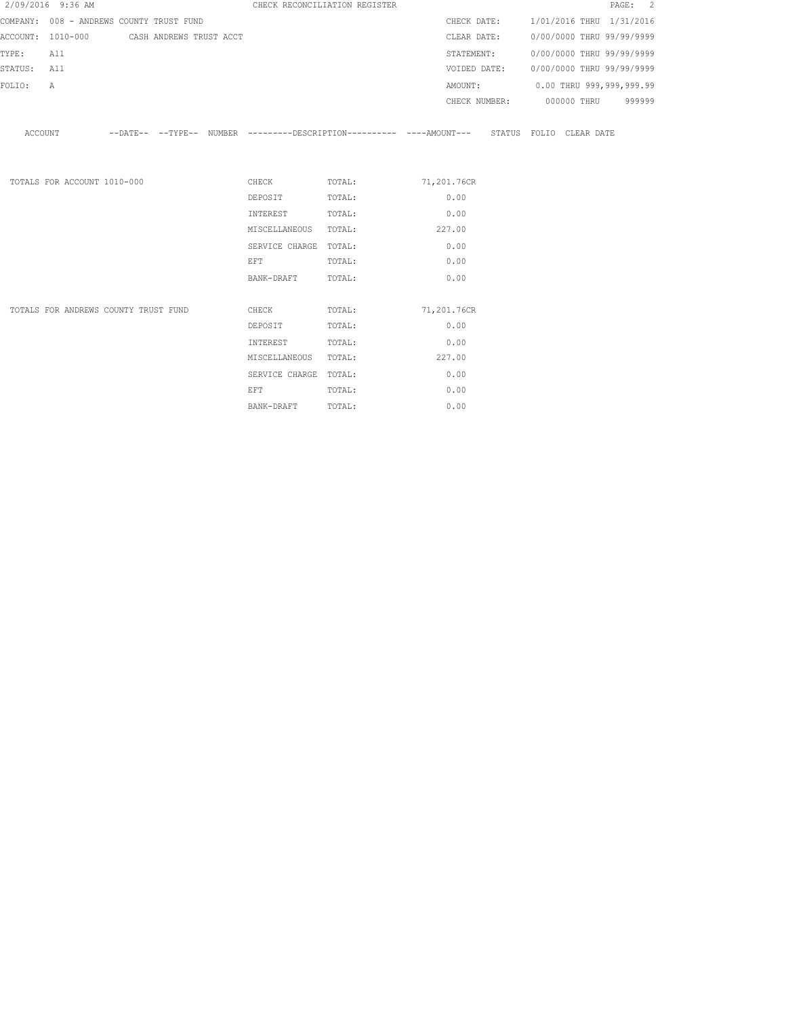|             | 2/09/2016 9:36 AM                         |  | CHECK RECONCILIATION REGISTER                                                                                  |                                                                                                    |            |  | PAGE: 2                                |
|-------------|-------------------------------------------|--|----------------------------------------------------------------------------------------------------------------|----------------------------------------------------------------------------------------------------|------------|--|----------------------------------------|
|             | COMPANY: 008 - ANDREWS COUNTY TRUST FUND  |  |                                                                                                                |                                                                                                    |            |  | CHECK DATE: 1/01/2016 THRU 1/31/2016   |
|             | ACCOUNT: 1010-000 CASH ANDREWS TRUST ACCT |  |                                                                                                                |                                                                                                    |            |  | CLEAR DATE: 0/00/0000 THRU 99/99/9999  |
| TYPE:       | All                                       |  |                                                                                                                |                                                                                                    | STATEMENT: |  | 0/00/0000 THRU 99/99/9999              |
| STATUS: All |                                           |  |                                                                                                                |                                                                                                    |            |  | VOIDED DATE: 0/00/0000 THRU 99/99/9999 |
| FOLIO:      | $\mathbb{A}$                              |  |                                                                                                                |                                                                                                    |            |  | AMOUNT: 0.00 THRU 999,999,999.99       |
|             |                                           |  |                                                                                                                |                                                                                                    |            |  | CHECK NUMBER: 000000 THRU 999999       |
|             |                                           |  |                                                                                                                | ACCOUNT -DATE-- --TYPE-- NUMBER --------DESCRIPTION--------- ----AMOUNT--- STATUS FOLIO CLEAR DATE |            |  |                                        |
|             | TOTALS FOR ACCOUNT 1010-000               |  |                                                                                                                | CHECK TOTAL: 71,201.76CR                                                                           |            |  |                                        |
|             |                                           |  | DEPOSIT TOTAL:                                                                                                 |                                                                                                    | 0.00       |  |                                        |
|             |                                           |  | INTEREST TOTAL:                                                                                                |                                                                                                    | 0.00       |  |                                        |
|             |                                           |  | MISCELLANEOUS TOTAL:                                                                                           |                                                                                                    | 227.00     |  |                                        |
|             |                                           |  | SERVICE CHARGE TOTAL:                                                                                          |                                                                                                    | 0.00       |  |                                        |
|             |                                           |  | EFT FOR THE STATE OF THE STATE OF THE STATE OF THE STATE OF THE STATE OF THE STATE OF THE STATE OF THE STATE O | TOTAL:                                                                                             | 0.00       |  |                                        |
|             |                                           |  | BANK-DRAFT TOTAL:                                                                                              |                                                                                                    | 0.00       |  |                                        |
|             | TOTALS FOR ANDREWS COUNTY TRUST FUND      |  |                                                                                                                | CHECK TOTAL: 71,201.76CR                                                                           |            |  |                                        |
|             |                                           |  | DEPOSIT                                                                                                        | TOTAL:                                                                                             | 0.00       |  |                                        |
|             |                                           |  | INTEREST                                                                                                       | TOTAL:                                                                                             | 0.00       |  |                                        |
|             |                                           |  | MISCELLANEOUS TOTAL:                                                                                           |                                                                                                    | 227.00     |  |                                        |
|             |                                           |  | SERVICE CHARGE TOTAL:                                                                                          |                                                                                                    | 0.00       |  |                                        |
|             |                                           |  | EFT                                                                                                            | TOTAL:                                                                                             | 0.00       |  |                                        |

BANK-DRAFT TOTAL: 0.00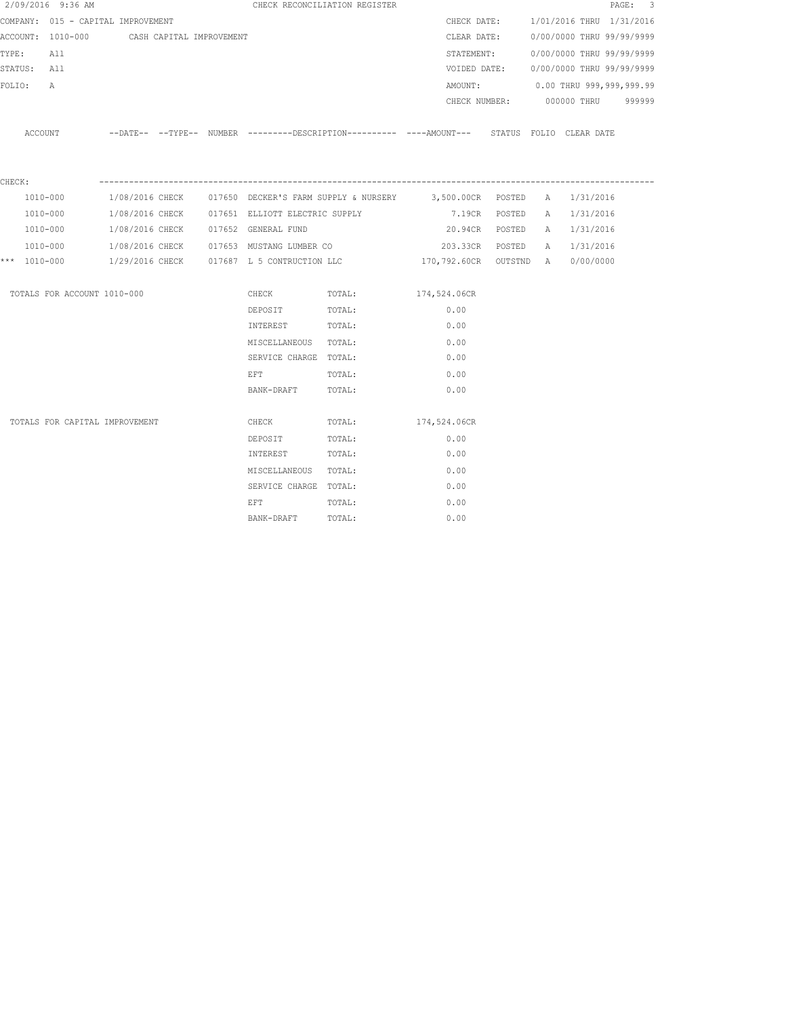| 2/09/2016 9:36 AM                          |  |  |                                                | CHECK RECONCILIATION REGISTER                  |                                                                                           |  |                                        | PAGE: 3 |
|--------------------------------------------|--|--|------------------------------------------------|------------------------------------------------|-------------------------------------------------------------------------------------------|--|----------------------------------------|---------|
| COMPANY: 015 - CAPITAL IMPROVEMENT         |  |  |                                                |                                                | CHECK DATE:                                                                               |  | 1/01/2016 THRU 1/31/2016               |         |
| ACCOUNT: 1010-000 CASH CAPITAL IMPROVEMENT |  |  |                                                |                                                | CLEAR DATE:                                                                               |  | 0/00/0000 THRU 99/99/9999              |         |
| TYPE:<br>All                               |  |  |                                                |                                                |                                                                                           |  | STATEMENT: 0/00/0000 THRU 99/99/9999   |         |
| STATUS: All                                |  |  |                                                |                                                |                                                                                           |  | VOIDED DATE: 0/00/0000 THRU 99/99/9999 |         |
| FOLIO:<br>$\mathbb{A}$                     |  |  |                                                |                                                |                                                                                           |  | AMOUNT: 0.00 THRU 999,999,999.99       |         |
|                                            |  |  |                                                |                                                |                                                                                           |  | CHECK NUMBER: 000000 THRU              | 999999  |
|                                            |  |  |                                                |                                                |                                                                                           |  |                                        |         |
| ACCOUNT                                    |  |  |                                                |                                                | --DATE-- --TYPE-- NUMBER --------DESCRIPTION--------- ---AMOUNT--- STATUS FOLIO CLEARDATE |  |                                        |         |
|                                            |  |  |                                                |                                                |                                                                                           |  |                                        |         |
| CHECK:                                     |  |  |                                                |                                                |                                                                                           |  |                                        |         |
| 1010-000                                   |  |  |                                                |                                                | 1/08/2016 CHECK 6017650 DECKER'S FARM SUPPLY & NURSERY 3,500.00CR POSTED A 1/31/2016      |  |                                        |         |
| 1010-000                                   |  |  |                                                | 1/08/2016 CHECK 017651 ELLIOTT ELECTRIC SUPPLY | 7.19CR POSTED                                                                             |  | A 1/31/2016                            |         |
| 1010-000                                   |  |  | 1/08/2016 CHECK 017652 GENERAL FUND            |                                                | 20.94CR POSTED                                                                            |  | A 1/31/2016                            |         |
| 1010-000                                   |  |  | 1/08/2016 CHECK 017653 MUSTANG LUMBER CO       |                                                | 203.33CR POSTED                                                                           |  | A 1/31/2016                            |         |
| *** 1010-000                               |  |  | $1/29/2016$ CHECK $017687$ L 5 CONTRUCTION LLC |                                                | 170,792.60CR OUTSTND A 0/00/0000                                                          |  |                                        |         |
|                                            |  |  |                                                |                                                |                                                                                           |  |                                        |         |
| TOTALS FOR ACCOUNT 1010-000                |  |  | CHECK                                          | TOTAL:                                         | 174,524.06CR                                                                              |  |                                        |         |
|                                            |  |  | DEPOSIT                                        | TOTAL:                                         | 0.00                                                                                      |  |                                        |         |
|                                            |  |  | INTEREST                                       | TOTAL:                                         | 0.00                                                                                      |  |                                        |         |
|                                            |  |  | MISCELLANEOUS TOTAL:                           |                                                | 0.00                                                                                      |  |                                        |         |
|                                            |  |  | SERVICE CHARGE TOTAL:                          |                                                | 0.00                                                                                      |  |                                        |         |
|                                            |  |  | EFT                                            | TOTAL:                                         | 0.00                                                                                      |  |                                        |         |
|                                            |  |  | BANK-DRAFT TOTAL:                              |                                                | 0.00                                                                                      |  |                                        |         |
| TOTALS FOR CAPITAL IMPROVEMENT             |  |  | CHECK                                          | TOTAL:                                         | 174,524.06CR                                                                              |  |                                        |         |
|                                            |  |  | DEPOSIT                                        | TOTAL:                                         | 0.00                                                                                      |  |                                        |         |
|                                            |  |  | INTEREST                                       | TOTAL:                                         | 0.00                                                                                      |  |                                        |         |
|                                            |  |  | MISCELLANEOUS TOTAL:                           |                                                | 0.00                                                                                      |  |                                        |         |
|                                            |  |  | SERVICE CHARGE TOTAL:                          |                                                | 0.00                                                                                      |  |                                        |         |
|                                            |  |  | EFT                                            | TOTAL:                                         | 0.00                                                                                      |  |                                        |         |
|                                            |  |  | BANK-DRAFT                                     | TOTAL:                                         | 0.00                                                                                      |  |                                        |         |
|                                            |  |  |                                                |                                                |                                                                                           |  |                                        |         |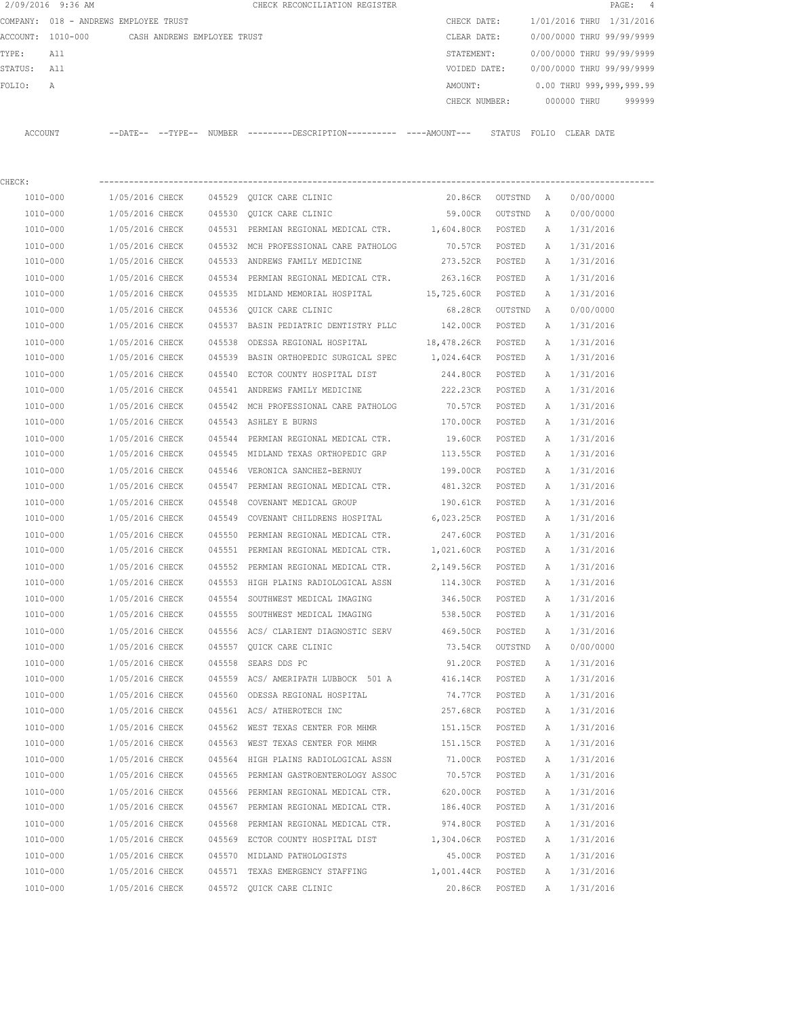|         | 2/09/2016 9:36 AM |                                       |        | CHECK RECONCILIATION REGISTER                 |               |        |                           |            | PAGE: 4 |  |
|---------|-------------------|---------------------------------------|--------|-----------------------------------------------|---------------|--------|---------------------------|------------|---------|--|
|         |                   | COMPANY: 018 - ANDREWS EMPLOYEE TRUST |        |                                               | CHECK DATE:   |        | 1/01/2016 THRU 1/31/2016  |            |         |  |
|         | ACCOUNT: 1010-000 | CASH ANDREWS EMPLOYEE TRUST           |        |                                               | CLEAR DATE:   |        | 0/00/0000 THRU 99/99/9999 |            |         |  |
| TYPE:   | All               |                                       |        |                                               | STATEMENT:    |        | 0/00/0000 THRU 99/99/9999 |            |         |  |
| STATUS: | All               |                                       |        |                                               | VOIDED DATE:  |        | 0/00/0000 THRU 99/99/9999 |            |         |  |
| FOLTO:  | A                 |                                       |        |                                               | AMOUNT:       |        | 0.00 THRU 999,999,999.99  |            |         |  |
|         |                   |                                       |        |                                               | CHECK NUMBER: |        | 000000 THRU               |            | 999999  |  |
|         |                   |                                       |        |                                               |               |        |                           |            |         |  |
| ACCOUNT |                   | --DATE-- --TYPE--                     | NUMBER | ---------DESCRIPTION----------- ----AMOUNT--- |               | STATUS | FOLTO                     | CLEAR DATE |         |  |

| CHECK:       |                 |        |                                                         |                 |                   |              |           |
|--------------|-----------------|--------|---------------------------------------------------------|-----------------|-------------------|--------------|-----------|
| 1010-000     | 1/05/2016 CHECK |        | 045529 QUICK CARE CLINIC                                |                 | 20.86CR OUTSTND A |              | 0/00/0000 |
| 1010-000     | 1/05/2016 CHECK |        | 045530 QUICK CARE CLINIC                                | 59.00CR         | OUTSTND           | A            | 0/00/0000 |
| 1010-000     | 1/05/2016 CHECK |        | 045531 PERMIAN REGIONAL MEDICAL CTR. 1,604.80CR         |                 | POSTED            | A            | 1/31/2016 |
| 1010-000     | 1/05/2016 CHECK |        | 045532 MCH PROFESSIONAL CARE PATHOLOG                   | 70.57CR POSTED  |                   | Α            | 1/31/2016 |
| 1010-000     | 1/05/2016 CHECK |        | 045533 ANDREWS FAMILY MEDICINE                          | 273.52CR POSTED |                   | A            | 1/31/2016 |
| 1010-000     | 1/05/2016 CHECK |        | 045534 PERMIAN REGIONAL MEDICAL CTR.                    | 263.16CR POSTED |                   | Α            | 1/31/2016 |
| 1010-000     | 1/05/2016 CHECK |        | 045535 MIDLAND MEMORIAL HOSPITAL 15,725.60CR POSTED     |                 |                   | Α            | 1/31/2016 |
| 1010-000     | 1/05/2016 CHECK |        | 045536 QUICK CARE CLINIC                                | 68.28CR OUTSTND |                   | A            | 0/00/0000 |
| 1010-000     | 1/05/2016 CHECK |        | 045537 BASIN PEDIATRIC DENTISTRY PLLC 142.00CR POSTED   |                 |                   | A            | 1/31/2016 |
| 1010-000     | 1/05/2016 CHECK |        | 045538 ODESSA REGIONAL HOSPITAL 18,478.26CR POSTED      |                 |                   | Α            | 1/31/2016 |
| 1010-000     | 1/05/2016 CHECK |        | 045539 BASIN ORTHOPEDIC SURGICAL SPEC 1,024.64CR POSTED |                 |                   | Α            | 1/31/2016 |
| 1010-000     | 1/05/2016 CHECK |        | 045540 ECTOR COUNTY HOSPITAL DIST 6244.80CR POSTED      |                 |                   | Α            | 1/31/2016 |
| 1010-000     | 1/05/2016 CHECK |        |                                                         |                 |                   | Α            | 1/31/2016 |
| 1010-000     | 1/05/2016 CHECK |        | 045542 MCH PROFESSIONAL CARE PATHOLOG                   | 70.57CR         | POSTED            | Α            | 1/31/2016 |
| 1010-000     | 1/05/2016 CHECK |        | 045543 ASHLEY E BURNS                                   | 170.00CR POSTED |                   | Α            | 1/31/2016 |
| 1010-000     | 1/05/2016 CHECK |        | 045544 PERMIAN REGIONAL MEDICAL CTR.                    | 19.60CR         | POSTED            | Α            | 1/31/2016 |
| 1010-000     | 1/05/2016 CHECK |        | 045545 MIDLAND TEXAS ORTHOPEDIC GRP                     | 113.55CR        | POSTED            | Α            | 1/31/2016 |
| 1010-000     | 1/05/2016 CHECK |        | 045546 VERONICA SANCHEZ-BERNUY                          | 199.00CR        | POSTED            | Α            | 1/31/2016 |
| 1010-000     | 1/05/2016 CHECK |        | 045547 PERMIAN REGIONAL MEDICAL CTR.                    | 481.32CR        | POSTED            | Α            | 1/31/2016 |
| 1010-000     | 1/05/2016 CHECK |        | 045548 COVENANT MEDICAL GROUP                           | 190.61CR        | POSTED            | A            | 1/31/2016 |
| 1010-000     | 1/05/2016 CHECK |        | 045549 COVENANT CHILDRENS HOSPITAL 6,023.25CR           |                 | POSTED            | A            | 1/31/2016 |
| 1010-000     | 1/05/2016 CHECK |        | 045550 PERMIAN REGIONAL MEDICAL CTR.                    | 247.60CR POSTED |                   | Α            | 1/31/2016 |
| 1010-000     | 1/05/2016 CHECK |        | 045551 PERMIAN REGIONAL MEDICAL CTR. 1,021.60CR POSTED  |                 |                   | Α            | 1/31/2016 |
| 1010-000     | 1/05/2016 CHECK |        | 045552 PERMIAN REGIONAL MEDICAL CTR. 2,149.56CR POSTED  |                 |                   | Α            | 1/31/2016 |
| 1010-000     | 1/05/2016 CHECK |        | 045553 HIGH PLAINS RADIOLOGICAL ASSN 114.30CR POSTED    |                 |                   | Α            | 1/31/2016 |
| 1010-000     | 1/05/2016 CHECK |        | 045554 SOUTHWEST MEDICAL IMAGING                        | 346.50CR        | POSTED            | A            | 1/31/2016 |
| 1010-000     | 1/05/2016 CHECK |        | 045555 SOUTHWEST MEDICAL IMAGING 6538.50CR              |                 | POSTED            | A            | 1/31/2016 |
| 1010-000     | 1/05/2016 CHECK |        | 045556 ACS/ CLARIENT DIAGNOSTIC SERV                    | 469.50CR        | POSTED            | Α            | 1/31/2016 |
| 1010-000     | 1/05/2016 CHECK |        | 045557 QUICK CARE CLINIC                                | 73.54CR         | OUTSTND           | A            | 0/00/0000 |
| 1010-000     | 1/05/2016 CHECK |        | 045558 SEARS DDS PC                                     | 91.20CR         | POSTED            | Α            | 1/31/2016 |
| 1010-000     | 1/05/2016 CHECK |        | 045559 ACS/ AMERIPATH LUBBOCK 501 A 416.14CR POSTED     |                 |                   | Α            | 1/31/2016 |
| 1010-000     | 1/05/2016 CHECK |        | 045560 ODESSA REGIONAL HOSPITAL                         | 74.77CR         | POSTED            | A            | 1/31/2016 |
| 1010-000     | 1/05/2016 CHECK |        | 045561 ACS/ATHEROTECH INC                               | 257.68CR POSTED |                   | A            | 1/31/2016 |
| 1010-000     | 1/05/2016 CHECK |        | 045562 WEST TEXAS CENTER FOR MHMR                       | 151.15CR        | POSTED            | $\mathbb{A}$ | 1/31/2016 |
| $1010 - 000$ | 1/05/2016 CHECK |        | 045563 WEST TEXAS CENTER FOR MHMR                       | 151.15CR        | POSTED            | $\mathbb{A}$ | 1/31/2016 |
| 1010-000     | 1/05/2016 CHECK |        | 045564 HIGH PLAINS RADIOLOGICAL ASSN                    | 71.00CR         | POSTED            | Α            | 1/31/2016 |
| 1010-000     | 1/05/2016 CHECK | 045565 | PERMIAN GASTROENTEROLOGY ASSOC                          | 70.57CR         | POSTED            | Α            | 1/31/2016 |
| 1010-000     | 1/05/2016 CHECK | 045566 | PERMIAN REGIONAL MEDICAL CTR.                           | 620.00CR        | POSTED            | Α            | 1/31/2016 |
| 1010-000     | 1/05/2016 CHECK | 045567 | PERMIAN REGIONAL MEDICAL CTR.                           | 186.40CR        | POSTED            | Α            | 1/31/2016 |
| 1010-000     | 1/05/2016 CHECK | 045568 | PERMIAN REGIONAL MEDICAL CTR.                           | 974.80CR        | POSTED            | Α            | 1/31/2016 |
| 1010-000     | 1/05/2016 CHECK |        | 045569 ECTOR COUNTY HOSPITAL DIST                       | 1,304.06CR      | POSTED            | Α            | 1/31/2016 |
| 1010-000     | 1/05/2016 CHECK |        | 045570 MIDLAND PATHOLOGISTS                             | 45.00CR         | POSTED            | Α            | 1/31/2016 |
| 1010-000     | 1/05/2016 CHECK |        | 045571 TEXAS EMERGENCY STAFFING                         | 1,001.44CR      | POSTED            | Α            | 1/31/2016 |
| 1010-000     | 1/05/2016 CHECK |        | 045572 QUICK CARE CLINIC                                | 20.86CR         | POSTED            | Α            | 1/31/2016 |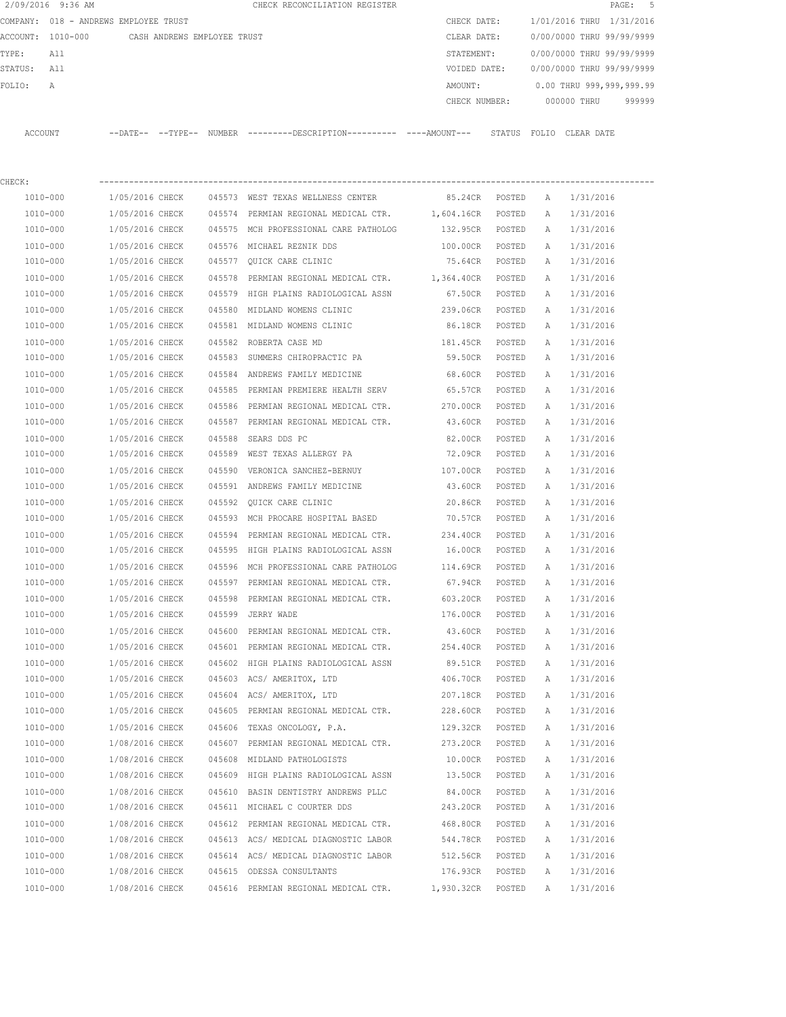|         | 2/09/2016 9:36 AM |                                       |        | CHECK RECONCILIATION REGISTER                |             |               |                           | PAGE:                    | - 5 |
|---------|-------------------|---------------------------------------|--------|----------------------------------------------|-------------|---------------|---------------------------|--------------------------|-----|
|         |                   | COMPANY: 018 - ANDREWS EMPLOYEE TRUST |        |                                              | CHECK DATE: |               | 1/01/2016 THRU 1/31/2016  |                          |     |
|         | ACCOUNT: 1010-000 | CASH ANDREWS EMPLOYEE TRUST           |        |                                              | CLEAR DATE: |               | 0/00/0000 THRU 99/99/9999 |                          |     |
| TYPE:   | All               |                                       |        |                                              | STATEMENT:  |               | 0/00/0000 THRU 99/99/9999 |                          |     |
| STATUS: | All               |                                       |        |                                              |             | VOIDED DATE:  | 0/00/0000 THRU 99/99/9999 |                          |     |
| FOLIO:  | $\mathbb{A}$      |                                       |        |                                              | AMOUNT:     |               |                           | 0.00 THRU 999,999,999.99 |     |
|         |                   |                                       |        |                                              |             | CHECK NUMBER: | 000000 THRU               | 999999                   |     |
|         |                   |                                       |        |                                              |             |               |                           |                          |     |
| ACCOUNT |                   | --DATE-- --TYPE--                     | NUMBER | ---------DESCRIPTION---------- ----AMOUNT--- |             | STATUS        | FOLIO CLEAR DATE          |                          |     |
|         |                   |                                       |        |                                              |             |               |                           |                          |     |
|         |                   |                                       |        |                                              |             |               |                           |                          |     |

| CHECK:   |                                        |                                                                                                                                                                          |                             |        |   |             |
|----------|----------------------------------------|--------------------------------------------------------------------------------------------------------------------------------------------------------------------------|-----------------------------|--------|---|-------------|
|          |                                        | 1010-000 1/05/2016 CHECK 045573 WEST TEXAS WELLNESS CENTER 65.24CR POSTED A 1/31/2016                                                                                    |                             |        |   |             |
| 1010-000 |                                        | 1/05/2016 CHECK 045574 PERMIAN REGIONAL MEDICAL CTR. 1,604.16CR POSTED A                                                                                                 |                             |        |   | 1/31/2016   |
| 1010-000 |                                        | 1/05/2016 CHECK 045575 MCH PROFESSIONAL CARE PATHOLOG 132.95CR POSTED                                                                                                    |                             |        | A | 1/31/2016   |
| 1010-000 |                                        | 1/05/2016 CHECK 045576 MICHAEL REZNIK DDS                                                                                                                                | 100.00CR POSTED             |        | A | 1/31/2016   |
| 1010-000 |                                        | 1/05/2016 CHECK 045577 QUICK CARE CLINIC                                                                                                                                 | 75.64CR POSTED A            |        |   | 1/31/2016   |
| 1010-000 |                                        | 1/05/2016 CHECK 045578 PERMIAN REGIONAL MEDICAL CTR. 1,364.40CR POSTED                                                                                                   |                             |        | A | 1/31/2016   |
| 1010-000 |                                        | 1/05/2016 CHECK 045579 HIGH PLAINS RADIOLOGICAL ASSN                                                                                                                     | 67.50CR POSTED              |        | A | 1/31/2016   |
| 1010-000 |                                        | 1/05/2016 CHECK 045580 MIDLAND WOMENS CLINIC                                                                                                                             | 239.06CR POSTED             |        | A | 1/31/2016   |
| 1010-000 |                                        | 1/05/2016 CHECK 045581 MIDLAND WOMENS CLINIC                                                                                                                             | 86.18CR POSTED              |        | A | 1/31/2016   |
| 1010-000 | 1/05/2016 CHECK 045582 ROBERTA CASE MD |                                                                                                                                                                          | 181.45CR POSTED             |        | A | 1/31/2016   |
| 1010-000 |                                        | 1/05/2016 CHECK 045583 SUMMERS CHIROPRACTIC PA 59.50CR POSTED                                                                                                            |                             |        | A | 1/31/2016   |
| 1010-000 |                                        | 1/05/2016 CHECK 045584 ANDREWS FAMILY MEDICINE 68.60CR POSTED                                                                                                            |                             |        | A | 1/31/2016   |
| 1010-000 |                                        | 1/05/2016 CHECK 045585 PERMIAN PREMIERE HEALTH SERV 65.57CR POSTED                                                                                                       |                             |        | A | 1/31/2016   |
| 1010-000 |                                        | 1/05/2016 CHECK 045586 PERMIAN REGIONAL MEDICAL CTR. 270.00CR POSTED                                                                                                     |                             |        | A | 1/31/2016   |
| 1010-000 |                                        | 1/05/2016 CHECK 045587 PERMIAN REGIONAL MEDICAL CTR. 43.60CR POSTED                                                                                                      |                             |        | A | 1/31/2016   |
| 1010-000 | 1/05/2016 CHECK 045588 SEARS DDS PC    |                                                                                                                                                                          | 82.00CR POSTED              |        | A | 1/31/2016   |
| 1010-000 |                                        | 1/05/2016 CHECK 045589 WEST TEXAS ALLERGY PA                                                                                                                             | 72.09CR POSTED              |        | A | 1/31/2016   |
| 1010-000 |                                        | 1/05/2016 CHECK 045590 VERONICA SANCHEZ-BERNUY                                                                                                                           | 107.00CR POSTED             |        | A | 1/31/2016   |
| 1010-000 |                                        | 1/05/2016 CHECK 045591 ANDREWS FAMILY MEDICINE                                                                                                                           | 43.60CR POSTED              |        |   | A 1/31/2016 |
| 1010-000 |                                        | 1/05/2016 CHECK 045592 QUICK CARE CLINIC                                                                                                                                 | 20.86CR POSTED              |        | A | 1/31/2016   |
| 1010-000 |                                        | $1/05/2016 \ \textrm{CHECK} \qquad 045593 \ \textrm{MCH PROCARE HOSPITAL BASE} \qquad \qquad 70.57 \textrm{CR} \quad \textrm{POSTED} \qquad \textrm{A} \qquad 1/31/2016$ |                             |        |   |             |
| 1010-000 |                                        | 1/05/2016 CHECK 045594 PERMIAN REGIONAL MEDICAL CTR. 234.40CR POSTED                                                                                                     |                             |        | A | 1/31/2016   |
| 1010-000 |                                        | 1/05/2016 CHECK 045595 HIGH PLAINS RADIOLOGICAL ASSN 16.00CR POSTED A                                                                                                    |                             |        |   | 1/31/2016   |
| 1010-000 |                                        | 1/05/2016 CHECK 045596 MCH PROFESSIONAL CARE PATHOLOG 114.69CR POSTED                                                                                                    |                             |        | A | 1/31/2016   |
| 1010-000 |                                        | 1/05/2016 CHECK 045597 PERMIAN REGIONAL MEDICAL CTR. 67.94CR POSTED                                                                                                      |                             |        | A | 1/31/2016   |
| 1010-000 |                                        | 1/05/2016 CHECK 045598 PERMIAN REGIONAL MEDICAL CTR. 603.20CR POSTED                                                                                                     |                             |        | A | 1/31/2016   |
| 1010-000 | 1/05/2016 CHECK 045599 JERRY WADE      |                                                                                                                                                                          | 176.00CR POSTED             |        | A | 1/31/2016   |
| 1010-000 |                                        | 1/05/2016 CHECK 045600 PERMIAN REGIONAL MEDICAL CTR.                                                                                                                     | 43.60CR POSTED              |        | A | 1/31/2016   |
| 1010-000 |                                        | 1/05/2016 CHECK 045601 PERMIAN REGIONAL MEDICAL CTR. 254.40CR POSTED                                                                                                     |                             |        | A | 1/31/2016   |
| 1010-000 |                                        | 1/05/2016 CHECK 045602 HIGH PLAINS RADIOLOGICAL ASSN                                                                                                                     | 89.51CR POSTED              |        | A | 1/31/2016   |
| 1010-000 |                                        | 1/05/2016 CHECK 045603 ACS/ AMERITOX, LTD                                                                                                                                | 406.70CR POSTED             |        | A | 1/31/2016   |
| 1010-000 |                                        | 1/05/2016 CHECK 045604 ACS/ AMERITOX, LTD                                                                                                                                | 207.18CR POSTED             |        | A | 1/31/2016   |
| 1010-000 |                                        | 1/05/2016 CHECK 045605 PERMIAN REGIONAL MEDICAL CTR. 228.60CR POSTED A 1/31/2016                                                                                         |                             |        |   |             |
| 1010-000 |                                        | 1/05/2016 CHECK 045606 TEXAS ONCOLOGY, P.A.                                                                                                                              | 129.32CR POSTED A 1/31/2016 |        |   |             |
| 1010-000 |                                        | 1/08/2016 CHECK 045607 PERMIAN REGIONAL MEDICAL CTR. 273.20CR POSTED A 1/31/2016                                                                                         |                             |        |   |             |
| 1010-000 | 1/08/2016 CHECK                        | 045608 MIDLAND PATHOLOGISTS                                                                                                                                              | 10.00CR                     | POSTED | Α | 1/31/2016   |
| 1010-000 | 1/08/2016 CHECK                        | 045609 HIGH PLAINS RADIOLOGICAL ASSN                                                                                                                                     | 13.50CR                     | POSTED | Α | 1/31/2016   |
| 1010-000 | 1/08/2016 CHECK                        | 045610 BASIN DENTISTRY ANDREWS PLLC                                                                                                                                      | 84.00CR                     | POSTED | Α | 1/31/2016   |
| 1010-000 | 1/08/2016 CHECK                        | 045611 MICHAEL C COURTER DDS                                                                                                                                             | 243.20CR                    | POSTED | Α | 1/31/2016   |
| 1010-000 | 1/08/2016 CHECK                        | 045612 PERMIAN REGIONAL MEDICAL CTR.                                                                                                                                     | 468.80CR                    | POSTED | Α | 1/31/2016   |
| 1010-000 | 1/08/2016 CHECK                        | 045613 ACS/ MEDICAL DIAGNOSTIC LABOR                                                                                                                                     | 544.78CR                    | POSTED | Α | 1/31/2016   |
| 1010-000 | 1/08/2016 CHECK                        | 045614 ACS/ MEDICAL DIAGNOSTIC LABOR                                                                                                                                     | 512.56CR                    | POSTED | Α | 1/31/2016   |
| 1010-000 | 1/08/2016 CHECK                        | 045615 ODESSA CONSULTANTS                                                                                                                                                | 176.93CR                    | POSTED | Α | 1/31/2016   |
| 1010-000 | 1/08/2016 CHECK                        | 045616 PERMIAN REGIONAL MEDICAL CTR.                                                                                                                                     | 1,930.32CR                  | POSTED | Α | 1/31/2016   |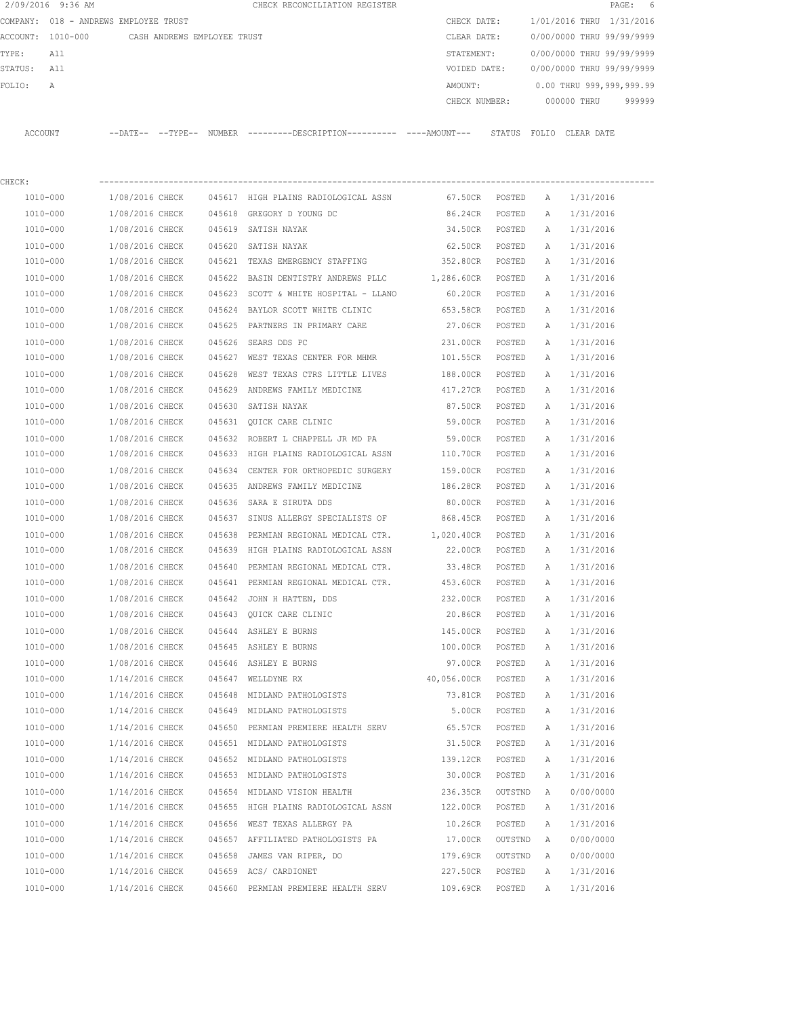|                | 2/09/2016 9:36 AM            |                             |        |                     | CHECK RECONCILIATION REGISTER                |               |               |              |                           | PAGE: | - 6    |
|----------------|------------------------------|-----------------------------|--------|---------------------|----------------------------------------------|---------------|---------------|--------------|---------------------------|-------|--------|
| COMPANY:       | 018 - ANDREWS EMPLOYEE TRUST |                             |        |                     |                                              | CHECK DATE:   |               |              | 1/01/2016 THRU 1/31/2016  |       |        |
| ACCOUNT:       | 1010-000                     | CASH ANDREWS EMPLOYEE TRUST |        |                     |                                              | CLEAR DATE:   |               |              | 0/00/0000 THRU 99/99/9999 |       |        |
| TYPE:          | All                          |                             |        |                     |                                              | STATEMENT:    |               |              | 0/00/0000 THRU 99/99/9999 |       |        |
| STATUS:        | All                          |                             |        |                     |                                              | VOIDED DATE:  |               |              | 0/00/0000 THRU 99/99/9999 |       |        |
| FOLIO:         | Α                            |                             |        |                     |                                              | AMOUNT:       |               |              | 0.00 THRU 999,999,999.99  |       |        |
|                |                              |                             |        |                     |                                              | CHECK NUMBER: |               |              | 000000 THRU               |       | 999999 |
| <b>ACCOUNT</b> |                              | $--$ DATE $- --$ TYPE $--$  | NUMBER |                     | ---------DESCRIPTION---------- ----AMOUNT--- |               | STATUS        | FOLIO        | CLEAR DATE                |       |        |
| CHECK:         |                              |                             |        |                     |                                              |               |               |              |                           |       |        |
| 1010-000       |                              | 1/08/2016 CHECK             | 045617 |                     | HIGH PLAINS RADIOLOGICAL ASSN                | 67.50CR       | POSTED        | $\mathbb{A}$ | 1/31/2016                 |       |        |
| 1010-000       |                              | 1/08/2016 CHECK             | 045618 | GREGORY D YOUNG DC  |                                              | 86.24CR       | POSTED        | Α            | 1/31/2016                 |       |        |
| 1010-000       |                              | 1/08/2016 CHECK             | 045619 | SATISH NAYAK        |                                              | 34.50CR       | POSTED        | Α            | 1/31/2016                 |       |        |
| $1010 - 000$   |                              | 1/08/2016 CHECK             |        | 045620 SATISH NAYAK |                                              | 62.50CR       | <b>POSTED</b> | A            | 1/31/2016                 |       |        |

| 1010-000     | 1/08/2016 CHECK | 045619 SATISH NAYAK                   | 34.50CR         | POSTED  | Α             | 1/31/2016 |
|--------------|-----------------|---------------------------------------|-----------------|---------|---------------|-----------|
| 1010-000     | 1/08/2016 CHECK | 045620 SATISH NAYAK                   | 62.50CR         | POSTED  | Α             | 1/31/2016 |
| 1010-000     | 1/08/2016 CHECK | 045621 TEXAS EMERGENCY STAFFING       | 352.80CR        | POSTED  | A             | 1/31/2016 |
| 1010-000     | 1/08/2016 CHECK | 045622 BASIN DENTISTRY ANDREWS PLLC   | 1,286.60CR      | POSTED  | $\mathbb{A}$  | 1/31/2016 |
| 1010-000     | 1/08/2016 CHECK | 045623 SCOTT & WHITE HOSPITAL - LLANO | 60.20CR         | POSTED  | A             | 1/31/2016 |
| 1010-000     | 1/08/2016 CHECK | 045624 BAYLOR SCOTT WHITE CLINIC      | 653.58CR        | POSTED  | A             | 1/31/2016 |
| 1010-000     | 1/08/2016 CHECK | 045625 PARTNERS IN PRIMARY CARE       | 27.06CR         | POSTED  | $\Delta$      | 1/31/2016 |
| 1010-000     | 1/08/2016 CHECK | 045626 SEARS DDS PC                   | 231.00CR        | POSTED  | A             | 1/31/2016 |
| 1010-000     | 1/08/2016 CHECK | 045627 WEST TEXAS CENTER FOR MHMR     | 101.55CR        | POSTED  | Α             | 1/31/2016 |
| 1010-000     | 1/08/2016 CHECK | 045628 WEST TEXAS CTRS LITTLE LIVES   | 188.00CR        | POSTED  | $\mathcal{A}$ | 1/31/2016 |
| 1010-000     | 1/08/2016 CHECK | 045629 ANDREWS FAMILY MEDICINE        | 417.27CR        | POSTED  | A             | 1/31/2016 |
| 1010-000     | 1/08/2016 CHECK | 045630 SATISH NAYAK                   | 87.50CR         | POSTED  | $\mathbb{A}$  | 1/31/2016 |
| 1010-000     | 1/08/2016 CHECK | 045631 QUICK CARE CLINIC              | 59.00CR         | POSTED  | A             | 1/31/2016 |
| 1010-000     | 1/08/2016 CHECK | 045632 ROBERT L CHAPPELL JR MD PA     | 59.00CR         | POSTED  | $\mathbb{A}$  | 1/31/2016 |
| 1010-000     | 1/08/2016 CHECK | 045633 HIGH PLAINS RADIOLOGICAL ASSN  | 110.70CR        | POSTED  | $\mathbb{A}$  | 1/31/2016 |
| $1010 - 000$ | 1/08/2016 CHECK | 045634 CENTER FOR ORTHOPEDIC SURGERY  | 159.00CR        | POSTED  | A             | 1/31/2016 |
| 1010-000     | 1/08/2016 CHECK | 045635 ANDREWS FAMILY MEDICINE        | 186.28CR POSTED |         | $\mathcal{A}$ | 1/31/2016 |
| 1010-000     | 1/08/2016 CHECK | 045636 SARA E SIRUTA DDS              | 80.00CR         | POSTED  | A             | 1/31/2016 |
| 1010-000     | 1/08/2016 CHECK | 045637 SINUS ALLERGY SPECIALISTS OF   | 868.45CR        | POSTED  | A             | 1/31/2016 |
| 1010-000     | 1/08/2016 CHECK | 045638 PERMIAN REGIONAL MEDICAL CTR.  | 1,020.40CR      | POSTED  | $\Delta$      | 1/31/2016 |
| 1010-000     | 1/08/2016 CHECK | 045639 HIGH PLAINS RADIOLOGICAL ASSN  | 22.00CR POSTED  |         | $\mathbb{A}$  | 1/31/2016 |
| 1010-000     | 1/08/2016 CHECK | 045640 PERMIAN REGIONAL MEDICAL CTR.  | 33.48CR         | POSTED  | $\mathbb{A}$  | 1/31/2016 |
| 1010-000     | 1/08/2016 CHECK | 045641 PERMIAN REGIONAL MEDICAL CTR.  | 453.60CR        | POSTED  | A             | 1/31/2016 |
| 1010-000     | 1/08/2016 CHECK | 045642 JOHN H HATTEN, DDS             | 232.00CR        | POSTED  | А             | 1/31/2016 |
| 1010-000     | 1/08/2016 CHECK | 045643 QUICK CARE CLINIC              | 20.86CR         | POSTED  | A             | 1/31/2016 |
| 1010-000     | 1/08/2016 CHECK | 045644 ASHLEY E BURNS                 | 145.00CR        | POSTED  | A             | 1/31/2016 |
| 1010-000     | 1/08/2016 CHECK | 045645 ASHLEY E BURNS                 | 100.00CR POSTED |         | $\Delta$      | 1/31/2016 |
| 1010-000     | 1/08/2016 CHECK | 045646 ASHLEY E BURNS                 | 97.00CR POSTED  |         | A             | 1/31/2016 |
| 1010-000     | 1/14/2016 CHECK | 045647 WELLDYNE RX                    | 40,056.00CR     | POSTED  | $\mathbb{A}$  | 1/31/2016 |
| 1010-000     | 1/14/2016 CHECK | 045648 MIDLAND PATHOLOGISTS           | 73.81CR         | POSTED  | Α             | 1/31/2016 |
| 1010-000     | 1/14/2016 CHECK | 045649 MIDLAND PATHOLOGISTS           | 5.00CR          | POSTED  | A             | 1/31/2016 |
| 1010-000     | 1/14/2016 CHECK | 045650 PERMIAN PREMIERE HEALTH SERV   | 65.57CR         | POSTED  | A             | 1/31/2016 |
| 1010-000     | 1/14/2016 CHECK | 045651 MIDLAND PATHOLOGISTS           | 31.50CR         | POSTED  | $\mathbb{A}$  | 1/31/2016 |
| 1010-000     | 1/14/2016 CHECK | 045652 MIDLAND PATHOLOGISTS           | 139.12CR        | POSTED  | Α             | 1/31/2016 |
| 1010-000     | 1/14/2016 CHECK | 045653 MIDLAND PATHOLOGISTS           | 30.00CR         | POSTED  | A             | 1/31/2016 |
| 1010-000     | 1/14/2016 CHECK | 045654 MIDLAND VISION HEALTH          | 236.35CR        | OUTSTND | $\mathbb{A}$  | 0/00/0000 |
| 1010-000     | 1/14/2016 CHECK | 045655 HIGH PLAINS RADIOLOGICAL ASSN  | 122.00CR        | POSTED  | Α             | 1/31/2016 |
| 1010-000     | 1/14/2016 CHECK | 045656 WEST TEXAS ALLERGY PA          | 10.26CR         | POSTED  | A             | 1/31/2016 |
| 1010-000     | 1/14/2016 CHECK | 045657 AFFILIATED PATHOLOGISTS PA     | 17.00CR         | OUTSTND | A             | 0/00/0000 |
| 1010-000     | 1/14/2016 CHECK | 045658 JAMES VAN RIPER, DO            | 179.69CR        | OUTSTND | Α             | 0/00/0000 |
| 1010-000     | 1/14/2016 CHECK | 045659 ACS/ CARDIONET                 | 227.50CR        | POSTED  | Α             | 1/31/2016 |
| 1010-000     | 1/14/2016 CHECK | 045660 PERMIAN PREMIERE HEALTH SERV   | 109.69CR        | POSTED  | $\mathbb{A}$  | 1/31/2016 |
|              |                 |                                       |                 |         |               |           |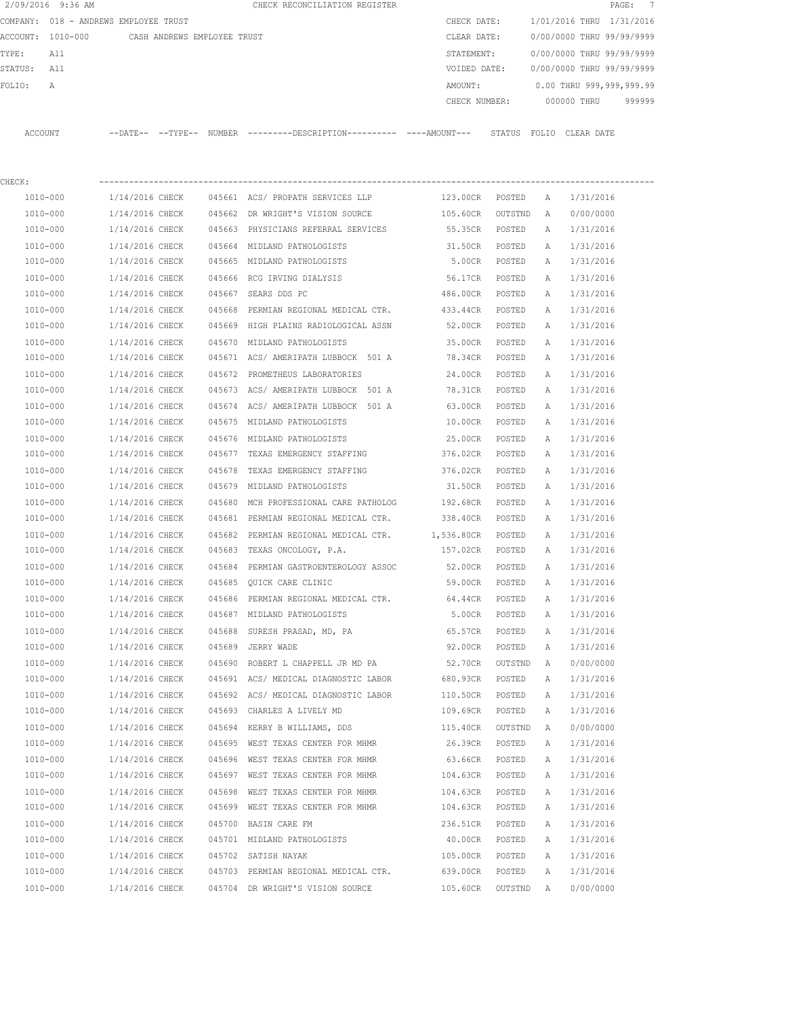| 2/09/2016 9:36 AM                                             |                 |        | CHECK RECONCILIATION REGISTER                                                               |                 |         |              | $\texttt{PAGE}$ :         | $\overline{7}$ |
|---------------------------------------------------------------|-----------------|--------|---------------------------------------------------------------------------------------------|-----------------|---------|--------------|---------------------------|----------------|
| COMPANY: 018 - ANDREWS EMPLOYEE TRUST                         |                 |        |                                                                                             | CHECK DATE:     |         |              | 1/01/2016 THRU 1/31/2016  |                |
| ACCOUNT: 1010-000 CASH ANDREWS EMPLOYEE TRUST<br>TYPE:<br>All |                 |        |                                                                                             | CLEAR DATE:     |         |              | 0/00/0000 THRU 99/99/9999 |                |
|                                                               |                 |        |                                                                                             | STATEMENT:      |         |              | 0/00/0000 THRU 99/99/9999 |                |
| STATUS: All                                                   |                 |        |                                                                                             | VOIDED DATE:    |         |              | 0/00/0000 THRU 99/99/9999 |                |
| FOLIO:<br>A                                                   |                 |        |                                                                                             | AMOUNT:         |         |              | 0.00 THRU 999,999,999.99  |                |
|                                                               |                 |        |                                                                                             | CHECK NUMBER:   |         |              | 000000 THRU               | 999999         |
| ACCOUNT                                                       |                 |        | --DATE-- --TYPE-- NUMBER --------DESCRIPTION--------- ----AMOUNT--- STATUS FOLIO CLEAR-DATE |                 |         |              |                           |                |
| CHECK:                                                        |                 |        |                                                                                             |                 |         |              |                           |                |
| 1010-000                                                      |                 |        |                                                                                             | 123.00CR POSTED |         | $\mathbb{A}$ | 1/31/2016                 |                |
| 1010-000                                                      |                 |        | 1/14/2016 CHECK 045662 DR WRIGHT'S VISION SOURCE                                            | 105.60CR        | OUTSTND | A            | 0/00/0000                 |                |
| 1010-000                                                      | 1/14/2016 CHECK |        | 045663 PHYSICIANS REFERRAL SERVICES                                                         | 55.35CR         | POSTED  | A            | 1/31/2016                 |                |
| 1010-000                                                      | 1/14/2016 CHECK |        | 045664 MIDLAND PATHOLOGISTS                                                                 | 31.50CR POSTED  |         | Α            | 1/31/2016                 |                |
| 1010-000                                                      | 1/14/2016 CHECK |        | 045665 MIDLAND PATHOLOGISTS                                                                 | 5.00CR POSTED   |         | Α            | 1/31/2016                 |                |
| 1010-000                                                      | 1/14/2016 CHECK |        | 045666 RCG IRVING DIALYSIS                                                                  | 56.17CR         | POSTED  | A            | 1/31/2016                 |                |
| 1010-000                                                      | 1/14/2016 CHECK |        | 045667 SEARS DDS PC                                                                         | 486.00CR POSTED |         | A            | 1/31/2016                 |                |
| 1010-000                                                      | 1/14/2016 CHECK |        | 045668 PERMIAN REGIONAL MEDICAL CTR.                                                        | 433.44CR        | POSTED  | Α            | 1/31/2016                 |                |
| 1010-000                                                      | 1/14/2016 CHECK |        | 045669 HIGH PLAINS RADIOLOGICAL ASSN                                                        | 52.00CR         | POSTED  | Α            | 1/31/2016                 |                |
| 1010-000                                                      | 1/14/2016 CHECK |        | 045670 MIDLAND PATHOLOGISTS                                                                 | 35.00CR         | POSTED  | Α            | 1/31/2016                 |                |
| 1010-000                                                      | 1/14/2016 CHECK |        | 045671 ACS/ AMERIPATH LUBBOCK 501 A 78.34CR                                                 |                 | POSTED  | Α            | 1/31/2016                 |                |
| 1010-000                                                      | 1/14/2016 CHECK |        | 045672 PROMETHEUS LABORATORIES                                                              | 24.00CR         | POSTED  | A            | 1/31/2016                 |                |
| 1010-000                                                      | 1/14/2016 CHECK |        | 045673 ACS/AMERIPATH LUBBOCK 501 A 78.31CR POSTED                                           |                 |         | Α            | 1/31/2016                 |                |
| 1010-000                                                      | 1/14/2016 CHECK |        | 045674 ACS/AMERIPATH LUBBOCK 501 A                                                          | 63.00CR         | POSTED  | Α            | 1/31/2016                 |                |
| 1010-000                                                      | 1/14/2016 CHECK |        | 045675 MIDLAND PATHOLOGISTS                                                                 | 10.00CR         | POSTED  | Α            | 1/31/2016                 |                |
| 1010-000                                                      | 1/14/2016 CHECK |        | 045676 MIDLAND PATHOLOGISTS                                                                 | 25.00CR         | POSTED  | Α            | 1/31/2016                 |                |
| 1010-000                                                      | 1/14/2016 CHECK |        | 045677 TEXAS EMERGENCY STAFFING                                                             | 376.02CR        | POSTED  | Α            | 1/31/2016                 |                |
| 1010-000                                                      | 1/14/2016 CHECK | 045678 | TEXAS EMERGENCY STAFFING                                                                    | 376.02CR        | POSTED  | Α            | 1/31/2016                 |                |
| 1010-000                                                      | 1/14/2016 CHECK |        | 045679 MIDLAND PATHOLOGISTS                                                                 | 31.50CR         | POSTED  | Α            | 1/31/2016                 |                |
| 1010-000                                                      | 1/14/2016 CHECK | 045680 | MCH PROFESSIONAL CARE PATHOLOG 192.68CR                                                     |                 | POSTED  | Α            | 1/31/2016                 |                |
| 1010-000                                                      | 1/14/2016 CHECK |        | 045681 PERMIAN REGIONAL MEDICAL CTR.                                                        | 338.40CR        | POSTED  | Α            | 1/31/2016                 |                |
| 1010-000                                                      | 1/14/2016 CHECK |        | 045682 PERMIAN REGIONAL MEDICAL CTR. 1,536.80CR POSTED                                      |                 |         | Α            | 1/31/2016                 |                |
| 1010-000                                                      | 1/14/2016 CHECK |        | 045683 TEXAS ONCOLOGY, P.A.                                                                 | 157.02CR POSTED |         | A            | 1/31/2016                 |                |
| 1010-000                                                      | 1/14/2016 CHECK |        | 045684 PERMIAN GASTROENTEROLOGY ASSOC 52.00CR                                               |                 | POSTED  | A            | 1/31/2016                 |                |
| 1010-000                                                      | 1/14/2016 CHECK |        | 045685 QUICK CARE CLINIC                                                                    | 59.00CR         | POSTED  | Α            | 1/31/2016                 |                |
| 1010-000                                                      | 1/14/2016 CHECK |        | 045686 PERMIAN REGIONAL MEDICAL CTR.                                                        | 64.44CR         | POSTED  | Α            | 1/31/2016                 |                |
| 1010-000                                                      | 1/14/2016 CHECK |        | 045687 MIDLAND PATHOLOGISTS                                                                 | 5.00CR          | POSTED  | Α            | 1/31/2016                 |                |
| 1010-000                                                      | 1/14/2016 CHECK |        | 045688 SURESH PRASAD, MD, PA                                                                | 65.57CR         | POSTED  | Α            | 1/31/2016                 |                |
| 1010-000                                                      | 1/14/2016 CHECK |        | 045689 JERRY WADE                                                                           | 92.00CR         | POSTED  | Α            | 1/31/2016                 |                |
| 1010-000                                                      | 1/14/2016 CHECK |        | 045690 ROBERT L CHAPPELL JR MD PA                                                           | 52.70CR OUTSTND |         | A            | 0/00/0000                 |                |
| 1010-000                                                      | 1/14/2016 CHECK |        | 045691 ACS/ MEDICAL DIAGNOSTIC LABOR                                                        | 680.93CR        | POSTED  | Α            | 1/31/2016                 |                |
| 1010-000                                                      | 1/14/2016 CHECK |        | 045692 ACS/ MEDICAL DIAGNOSTIC LABOR                                                        | 110.50CR        | POSTED  | Α            | 1/31/2016                 |                |
| 1010-000                                                      | 1/14/2016 CHECK |        | 045693 CHARLES A LIVELY MD                                                                  | 109.69CR        | POSTED  | Α            | 1/31/2016                 |                |
| 1010-000                                                      | 1/14/2016 CHECK |        | 045694 KERRY B WILLIAMS, DDS                                                                | 115.40CR        | OUTSTND | Α            | 0/00/0000                 |                |
| 1010-000                                                      | 1/14/2016 CHECK |        | 045695 WEST TEXAS CENTER FOR MHMR                                                           | 26.39CR         | POSTED  | Α            | 1/31/2016                 |                |
| 1010-000                                                      | 1/14/2016 CHECK |        | 045696 WEST TEXAS CENTER FOR MHMR                                                           | 63.66CR         | POSTED  | Α            | 1/31/2016                 |                |
| 1010-000                                                      | 1/14/2016 CHECK |        | 045697 WEST TEXAS CENTER FOR MHMR                                                           | 104.63CR        | POSTED  | Α            | 1/31/2016                 |                |
| 1010-000                                                      | 1/14/2016 CHECK |        | 045698 WEST TEXAS CENTER FOR MHMR                                                           | 104.63CR        | POSTED  | Α            | 1/31/2016                 |                |
| 1010-000                                                      | 1/14/2016 CHECK |        | 045699 WEST TEXAS CENTER FOR MHMR                                                           | 104.63CR        | POSTED  | Α            | 1/31/2016                 |                |
| 1010-000                                                      | 1/14/2016 CHECK |        | 045700 BASIN CARE FM                                                                        | 236.51CR        | POSTED  | Α            | 1/31/2016                 |                |
| 1010-000                                                      | 1/14/2016 CHECK |        | 045701 MIDLAND PATHOLOGISTS                                                                 | 40.00CR         | POSTED  | Α            | 1/31/2016                 |                |
| 1010-000                                                      | 1/14/2016 CHECK |        | 045702 SATISH NAYAK                                                                         | 105.00CR        | POSTED  | Α            | 1/31/2016                 |                |
| 1010-000                                                      | 1/14/2016 CHECK |        | 045703 PERMIAN REGIONAL MEDICAL CTR.                                                        | 639.00CR POSTED |         | $\mathbb{A}$ | 1/31/2016                 |                |
|                                                               |                 |        |                                                                                             |                 |         |              |                           |                |

1010-000 1/14/2016 CHECK 045704 DR WRIGHT'S VISION SOURCE 105.60CR OUTSTND A 0/00/0000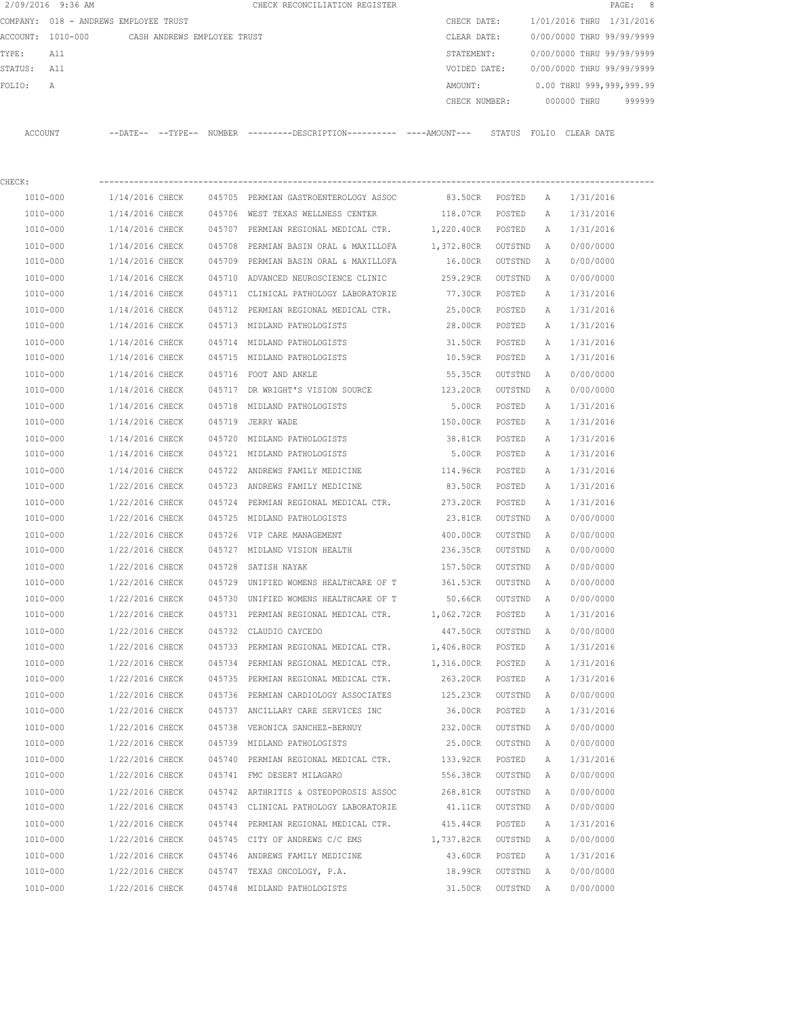|             | 2/09/2016 9:36 AM                             |                 |  | CHECK RECONCILIATION REGISTER                                                                |                             |           |   |                                        | PAGE: 8 |
|-------------|-----------------------------------------------|-----------------|--|----------------------------------------------------------------------------------------------|-----------------------------|-----------|---|----------------------------------------|---------|
|             | COMPANY: 018 - ANDREWS EMPLOYEE TRUST         |                 |  |                                                                                              | CHECK DATE:                 |           |   | 1/01/2016 THRU 1/31/2016               |         |
|             | ACCOUNT: 1010-000 CASH ANDREWS EMPLOYEE TRUST |                 |  |                                                                                              | CLEAR DATE:                 |           |   | 0/00/0000 THRU 99/99/9999              |         |
| TYPE:       | All                                           |                 |  |                                                                                              | STATEMENT:                  |           |   | 0/00/0000 THRU 99/99/9999              |         |
| STATUS: All |                                               |                 |  |                                                                                              |                             |           |   | VOIDED DATE: 0/00/0000 THRU 99/99/9999 |         |
| FOLIO:      | A                                             |                 |  |                                                                                              |                             |           |   | AMOUNT: 0.00 THRU 999,999,999.99       |         |
|             |                                               |                 |  |                                                                                              |                             |           |   | CHECK NUMBER: 000000 THRU 999999       |         |
|             |                                               |                 |  |                                                                                              |                             |           |   |                                        |         |
|             | ACCOUNT                                       |                 |  | --DATE-- --TYPE-- NUMBER ---------DESCRIPTION---------- ---AMOUNT--- STATUS FOLIO CLEAR DATE |                             |           |   |                                        |         |
|             |                                               |                 |  |                                                                                              |                             |           |   |                                        |         |
| CHECK:      |                                               |                 |  |                                                                                              |                             |           |   |                                        |         |
|             | 1010-000                                      |                 |  | 1/14/2016 CHECK 045705 PERMIAN GASTROENTEROLOGY ASSOC                                        |                             |           |   | 83.50CR POSTED A 1/31/2016             |         |
|             | 1010-000                                      |                 |  | 1/14/2016 CHECK 045706 WEST TEXAS WELLNESS CENTER                                            | 118.07CR POSTED A 1/31/2016 |           |   |                                        |         |
|             | 1010-000                                      |                 |  | $1/14/2016$ CHECK $045707$ PERMIAN REGIONAL MEDICAL CTR. $1,220.40$ CR POSTED                |                             |           |   | A 1/31/2016                            |         |
|             | 1010-000                                      | 1/14/2016 CHECK |  | 045708 PERMIAN BASIN ORAL & MAXILLOFA 1,372.80CR OUTSTND A                                   |                             |           |   | 0/00/0000                              |         |
|             | 1010-000                                      | 1/14/2016 CHECK |  | 045709 PERMIAN BASIN ORAL & MAXILLOFA 16.00CR OUTSTND                                        |                             |           | A | 0/00/0000                              |         |
|             | 1010-000                                      | 1/14/2016 CHECK |  | 045710 ADVANCED NEUROSCIENCE CLINIC <a></a> 259.29CR OUTSTND                                 |                             |           | A | 0/00/0000                              |         |
|             | 1010-000                                      | 1/14/2016 CHECK |  | 045711 CLINICAL PATHOLOGY LABORATORIE                                                        | 77.30CR                     | POSTED    | Α | 1/31/2016                              |         |
|             | 1010-000                                      | 1/14/2016 CHECK |  | 045712 PERMIAN REGIONAL MEDICAL CTR.                                                         | 25.00CR                     | POSTED    | A | 1/31/2016                              |         |
|             | 1010-000                                      | 1/14/2016 CHECK |  | 045713 MIDLAND PATHOLOGISTS                                                                  | 28.00CR POSTED              |           | A | 1/31/2016                              |         |
|             | 1010-000                                      | 1/14/2016 CHECK |  | 045714 MIDLAND PATHOLOGISTS                                                                  | 31.50CR POSTED              |           | A | 1/31/2016                              |         |
|             | 1010-000                                      | 1/14/2016 CHECK |  | 045715 MIDLAND PATHOLOGISTS                                                                  | 10.59CR                     | POSTED    | A | 1/31/2016                              |         |
|             | 1010-000                                      | 1/14/2016 CHECK |  | 045716 FOOT AND ANKLE                                                                        | 55.35CR                     | OUTSTND   | A | 0/00/0000                              |         |
|             | 1010-000                                      | 1/14/2016 CHECK |  | 045717 DR WRIGHT'S VISION SOURCE 123.20CR                                                    |                             | OUTSTND   | A | 0/00/0000                              |         |
|             | 1010-000                                      | 1/14/2016 CHECK |  | 045718 MIDLAND PATHOLOGISTS                                                                  | 5.00CR                      | POSTED    | A | 1/31/2016                              |         |
|             | 1010-000                                      | 1/14/2016 CHECK |  | 045719 JERRY WADE                                                                            | 150.00CR POSTED             |           | A | 1/31/2016                              |         |
|             | 1010-000                                      | 1/14/2016 CHECK |  | 045720 MIDLAND PATHOLOGISTS                                                                  | 38.81CR POSTED              |           | A | 1/31/2016                              |         |
|             | 1010-000                                      | 1/14/2016 CHECK |  | 045721 MIDLAND PATHOLOGISTS                                                                  | 5.00CR POSTED               |           | A | 1/31/2016                              |         |
|             | 1010-000                                      | 1/14/2016 CHECK |  | 045722 ANDREWS FAMILY MEDICINE                                                               | 114.96CR                    | POSTED    | A | 1/31/2016                              |         |
|             | 1010-000                                      | 1/22/2016 CHECK |  | 045723 ANDREWS FAMILY MEDICINE                                                               | 83.50CR                     | POSTED    | A | 1/31/2016                              |         |
|             | 1010-000                                      | 1/22/2016 CHECK |  | 045724 PERMIAN REGIONAL MEDICAL CTR.                                                         | 273.20CR                    | POSTED    | A | 1/31/2016                              |         |
|             | 1010-000                                      | 1/22/2016 CHECK |  | 045725 MIDLAND PATHOLOGISTS                                                                  | 23.81CR OUTSTND A           |           |   | 0/00/0000                              |         |
|             | 1010-000                                      | 1/22/2016 CHECK |  | 045726 VIP CARE MANAGEMENT                                                                   | 400.00CR                    | OUTSTND A |   | 0/00/0000                              |         |
|             | 1010-000                                      |                 |  | 1/22/2016 CHECK 045727 MIDLAND VISION HEALTH                                                 | 236.35CR OUTSTND A          |           |   | 0/00/0000                              |         |
|             | 1010-000                                      | 1/22/2016 CHECK |  | 045728 SATISH NAYAK                                                                          | 157.50CR OUTSTND A          |           |   | 0/00/0000                              |         |

 1010-000 1/22/2016 CHECK 045729 UNIFIED WOMENS HEALTHCARE OF T 361.53CR OUTSTND A 0/00/0000 1010-000 1/22/2016 CHECK 045730 UNIFIED WOMENS HEALTHCARE OF T 50.66CR OUTSTND A 0/00/0000 1010-000 1/22/2016 CHECK 045731 PERMIAN REGIONAL MEDICAL CTR. 1,062.72CR POSTED A 1/31/2016 1010-000 1/22/2016 CHECK 045732 CLAUDIO CAYCEDO 447.50CR OUTSTND A 0/00/0000 1010-000 1/22/2016 CHECK 045733 PERMIAN REGIONAL MEDICAL CTR. 1,406.80CR POSTED A 1/31/2016 1010-000 1/22/2016 CHECK 045734 PERMIAN REGIONAL MEDICAL CTR. 1,316.00CR POSTED A 1/31/2016 1010-000 1/22/2016 CHECK 045735 PERMIAN REGIONAL MEDICAL CTR. 263.20CR POSTED A 1/31/2016 1010-000 1/22/2016 CHECK 045736 PERMIAN CARDIOLOGY ASSOCIATES 125.23CR OUTSTND A 0/00/0000 1010-000 1/22/2016 CHECK 045737 ANCILLARY CARE SERVICES INC 36.00CR POSTED A 1/31/2016 1010-000 1/22/2016 CHECK 045738 VERONICA SANCHEZ-BERNUY 232.00CR OUTSTND A 0/00/0000 1010-000 1/22/2016 CHECK 045739 MIDLAND PATHOLOGISTS 25.00CR OUTSTND A 0/00/0000 1010-000 1/22/2016 CHECK 045740 PERMIAN REGIONAL MEDICAL CTR. 133.92CR POSTED A 1/31/2016 1010-000 1/22/2016 CHECK 045741 FMC DESERT MILAGARO 556.38CR OUTSTND A 0/00/0000 1010-000 1/22/2016 CHECK 045742 ARTHRITIS & OSTEOPOROSIS ASSOC 268.81CR OUTSTND A 0/00/0000 1010-000 1/22/2016 CHECK 045743 CLINICAL PATHOLOGY LABORATORIE 41.11CR OUTSTND A 0/00/0000 1010-000 1/22/2016 CHECK 045744 PERMIAN REGIONAL MEDICAL CTR. 415.44CR POSTED A 1/31/2016 1010-000 1/22/2016 CHECK 045745 CITY OF ANDREWS C/C EMS 1,737.82CR OUTSTND A 0/00/0000 1010-000 1/22/2016 CHECK 045746 ANDREWS FAMILY MEDICINE 43.60CR POSTED A 1/31/2016 1010-000 1/22/2016 CHECK 045747 TEXAS ONCOLOGY, P.A. 18.99CR OUTSTND A 0/00/0000 1010-000 1/22/2016 CHECK 045748 MIDLAND PATHOLOGISTS 31.50CR OUTSTND A 0/00/0000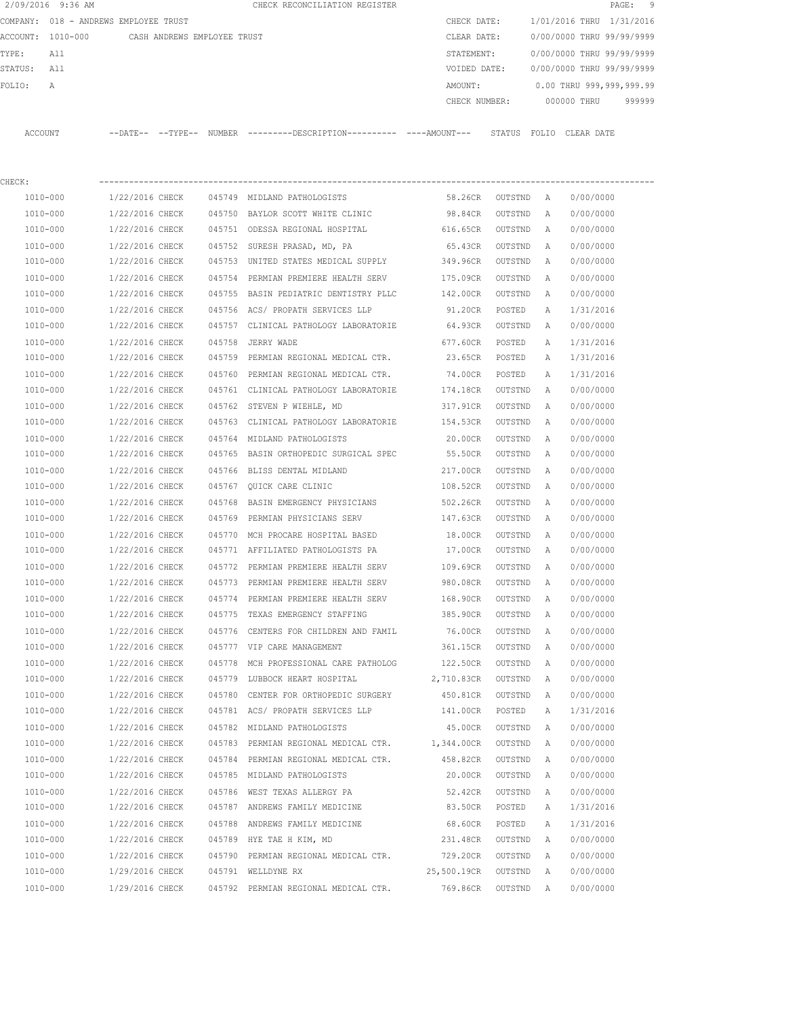|          | 2/09/2016 9:36 AM |                                       |        | CHECK RECONCILIATION REGISTER |               |                           |            | PAGE: 9                  |  |
|----------|-------------------|---------------------------------------|--------|-------------------------------|---------------|---------------------------|------------|--------------------------|--|
|          |                   | COMPANY: 018 - ANDREWS EMPLOYEE TRUST |        |                               | CHECK DATE:   | 1/01/2016 THRU 1/31/2016  |            |                          |  |
| ACCOUNT: | 1010-000          | CASH ANDREWS EMPLOYEE TRUST           |        |                               | CLEAR DATE:   | 0/00/0000 THRU 99/99/9999 |            |                          |  |
| TYPE:    | All               |                                       |        |                               | STATEMENT:    | 0/00/0000 THRU 99/99/9999 |            |                          |  |
| STATUS:  | All               |                                       |        |                               | VOIDED DATE:  | 0/00/0000 THRU 99/99/9999 |            |                          |  |
| FOLIO:   | A                 |                                       |        |                               | AMOUNT:       |                           |            | 0.00 THRU 999,999,999.99 |  |
|          |                   |                                       |        |                               | CHECK NUMBER: | 000000 THRU               |            | 999999                   |  |
|          |                   |                                       |        |                               |               |                           |            |                          |  |
| ACCOUNT  |                   | $--$ TYPE $--$<br>$--$ DATE $--$      | NUMBER |                               | STATUS        | FOLIO                     | CLEAR DATE |                          |  |

| CHECK:   |                 |        |                                                           |             |                   |   |           |
|----------|-----------------|--------|-----------------------------------------------------------|-------------|-------------------|---|-----------|
| 1010-000 | 1/22/2016 CHECK |        | 045749 MIDLAND PATHOLOGISTS                               |             | 58.26CR OUTSTND A |   | 0/00/0000 |
| 1010-000 | 1/22/2016 CHECK |        | 045750 BAYLOR SCOTT WHITE CLINIC                          | 98.84CR     | OUTSTND           | A | 0/00/0000 |
| 1010-000 | 1/22/2016 CHECK |        | 045751 ODESSA REGIONAL HOSPITAL                           | 616.65CR    | OUTSTND           | A | 0/00/0000 |
| 1010-000 | 1/22/2016 CHECK |        | 045752 SURESH PRASAD, MD, PA                              | 65.43CR     | OUTSTND           | A | 0/00/0000 |
| 1010-000 | 1/22/2016 CHECK |        | 045753 UNITED STATES MEDICAL SUPPLY                       | 349.96CR    | OUTSTND           | A | 0/00/0000 |
| 1010-000 | 1/22/2016 CHECK | 045754 | PERMIAN PREMIERE HEALTH SERV                              | 175.09CR    | OUTSTND           | A | 0/00/0000 |
| 1010-000 | 1/22/2016 CHECK |        | 045755 BASIN PEDIATRIC DENTISTRY PLLC                     | 142.00CR    | OUTSTND           | Α | 0/00/0000 |
| 1010-000 | 1/22/2016 CHECK |        | 045756 ACS/ PROPATH SERVICES LLP                          | 91.20CR     | POSTED            | Α | 1/31/2016 |
| 1010-000 | 1/22/2016 CHECK |        | 045757 CLINICAL PATHOLOGY LABORATORIE                     | 64.93CR     | OUTSTND           | Α | 0/00/0000 |
| 1010-000 | 1/22/2016 CHECK | 045758 | JERRY WADE                                                | 677.60CR    | POSTED            | A | 1/31/2016 |
| 1010-000 | 1/22/2016 CHECK |        | 045759 PERMIAN REGIONAL MEDICAL CTR.                      | 23.65CR     | POSTED            | A | 1/31/2016 |
| 1010-000 | 1/22/2016 CHECK |        | 045760 PERMIAN REGIONAL MEDICAL CTR.                      | 74.00CR     | POSTED            | Α | 1/31/2016 |
| 1010-000 | 1/22/2016 CHECK |        | 045761 CLINICAL PATHOLOGY LABORATORIE                     | 174.18CR    | OUTSTND           | A | 0/00/0000 |
| 1010-000 | 1/22/2016 CHECK |        | 045762 STEVEN P WIEHLE, MD                                | 317.91CR    | OUTSTND           | A | 0/00/0000 |
| 1010-000 | 1/22/2016 CHECK |        | 045763 CLINICAL PATHOLOGY LABORATORIE                     | 154.53CR    | OUTSTND           | A | 0/00/0000 |
| 1010-000 | 1/22/2016 CHECK |        | 045764 MIDLAND PATHOLOGISTS                               | 20.00CR     | OUTSTND           | Α | 0/00/0000 |
| 1010-000 | 1/22/2016 CHECK |        | 045765 BASIN ORTHOPEDIC SURGICAL SPEC                     | 55.50CR     | OUTSTND           | Α | 0/00/0000 |
| 1010-000 | 1/22/2016 CHECK |        | 045766 BLISS DENTAL MIDLAND                               | 217.00CR    | OUTSTND           | A | 0/00/0000 |
| 1010-000 | 1/22/2016 CHECK |        | 045767 QUICK CARE CLINIC                                  | 108.52CR    | OUTSTND           | Α | 0/00/0000 |
| 1010-000 | 1/22/2016 CHECK | 045768 | BASIN EMERGENCY PHYSICIANS                                | 502.26CR    | OUTSTND           | Α | 0/00/0000 |
| 1010-000 | 1/22/2016 CHECK |        | 045769 PERMIAN PHYSICIANS SERV                            | 147.63CR    | OUTSTND           | Α | 0/00/0000 |
| 1010-000 | 1/22/2016 CHECK |        | 045770 MCH PROCARE HOSPITAL BASED                         | 18.00CR     | OUTSTND           | Α | 0/00/0000 |
| 1010-000 | 1/22/2016 CHECK |        | 045771 AFFILIATED PATHOLOGISTS PA                         | 17.00CR     | OUTSTND           | Α | 0/00/0000 |
| 1010-000 | 1/22/2016 CHECK |        | 045772 PERMIAN PREMIERE HEALTH SERV                       | 109.69CR    | OUTSTND           | Α | 0/00/0000 |
| 1010-000 | 1/22/2016 CHECK |        | 045773 PERMIAN PREMIERE HEALTH SERV                       | 980.08CR    | OUTSTND           | Α | 0/00/0000 |
| 1010-000 | 1/22/2016 CHECK |        | 045774 PERMIAN PREMIERE HEALTH SERV                       | 168.90CR    | OUTSTND           | Α | 0/00/0000 |
| 1010-000 | 1/22/2016 CHECK |        | 045775 TEXAS EMERGENCY STAFFING                           | 385.90CR    | OUTSTND           | Α | 0/00/0000 |
| 1010-000 | 1/22/2016 CHECK | 045776 | CENTERS FOR CHILDREN AND FAMIL                            | 76.00CR     | OUTSTND           | A | 0/00/0000 |
| 1010-000 | 1/22/2016 CHECK |        | 045777 VIP CARE MANAGEMENT                                | 361.15CR    | OUTSTND           | A | 0/00/0000 |
| 1010-000 | 1/22/2016 CHECK | 045778 | MCH PROFESSIONAL CARE PATHOLOG                            | 122.50CR    | OUTSTND           | A | 0/00/0000 |
| 1010-000 | 1/22/2016 CHECK |        | 045779 LUBBOCK HEART HOSPITAL                             | 2,710.83CR  | OUTSTND           | A | 0/00/0000 |
| 1010-000 | 1/22/2016 CHECK | 045780 | CENTER FOR ORTHOPEDIC SURGERY                             | 450.81CR    | OUTSTND           | A | 0/00/0000 |
| 1010-000 | 1/22/2016 CHECK |        | 045781 ACS/ PROPATH SERVICES LLP                          | 141.00CR    | POSTED            | Α | 1/31/2016 |
| 1010-000 | 1/22/2016 CHECK |        | 045782 MIDLAND PATHOLOGISTS                               | 45.00CR     | OUTSTND           | A | 0/00/0000 |
| 1010-000 | 1/22/2016 CHECK |        | 045783 PERMIAN REGIONAL MEDICAL CTR. 1,344.00CR OUTSTND A |             |                   |   | 0/00/0000 |
| 1010-000 | 1/22/2016 CHECK |        | 045784 PERMIAN REGIONAL MEDICAL CTR.                      | 458.82CR    | OUTSTND           | A | 0/00/0000 |
| 1010-000 | 1/22/2016 CHECK |        | 045785 MIDLAND PATHOLOGISTS                               | 20.00CR     | OUTSTND           | Α | 0/00/0000 |
| 1010-000 | 1/22/2016 CHECK |        | 045786 WEST TEXAS ALLERGY PA                              | 52.42CR     | OUTSTND           | Α | 0/00/0000 |
| 1010-000 | 1/22/2016 CHECK |        | 045787 ANDREWS FAMILY MEDICINE                            | 83.50CR     | POSTED            | Α | 1/31/2016 |
| 1010-000 | 1/22/2016 CHECK |        | 045788 ANDREWS FAMILY MEDICINE                            | 68.60CR     | POSTED            | Α | 1/31/2016 |
| 1010-000 | 1/22/2016 CHECK |        | 045789 HYE TAE H KIM, MD                                  | 231.48CR    | OUTSTND           | Α | 0/00/0000 |
| 1010-000 | 1/22/2016 CHECK |        | 045790 PERMIAN REGIONAL MEDICAL CTR. 729.20CR             |             | OUTSTND           | Α | 0/00/0000 |
| 1010-000 | 1/29/2016 CHECK |        | 045791 WELLDYNE RX                                        | 25,500.19CR | OUTSTND           | Α | 0/00/0000 |
| 1010-000 | 1/29/2016 CHECK |        | 045792 PERMIAN REGIONAL MEDICAL CTR.                      | 769.86CR    | OUTSTND           | Α | 0/00/0000 |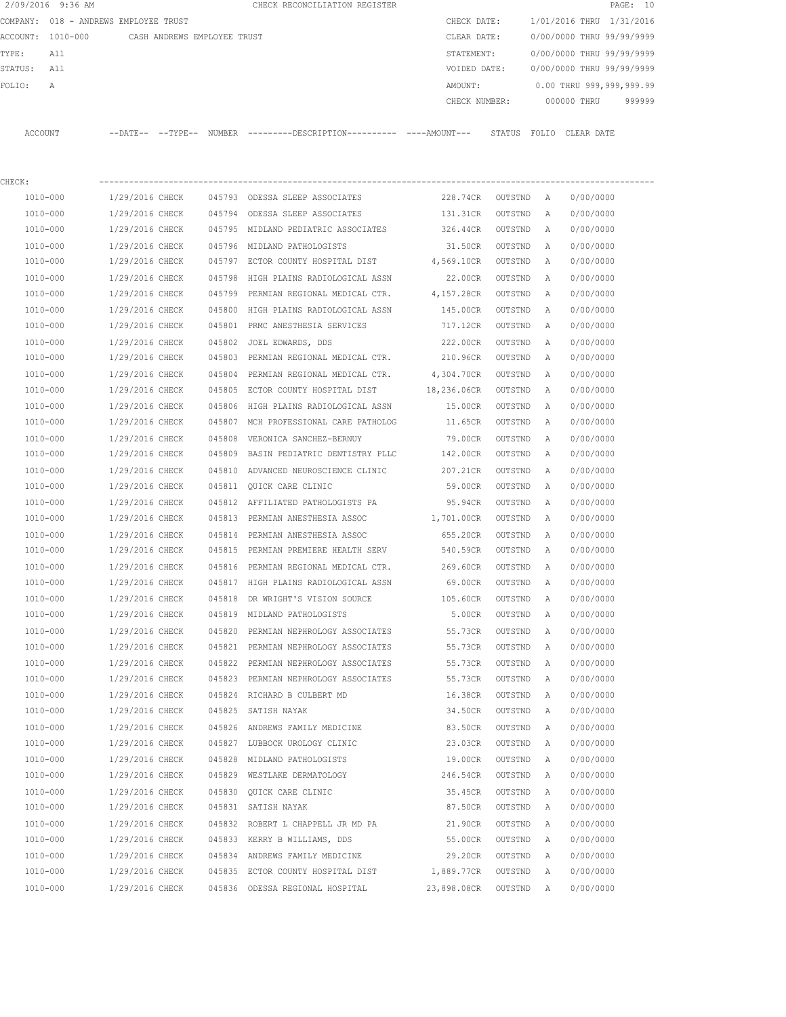|         | 2/09/2016 9:36 AM |                                       |        | CHECK RECONCILIATION REGISTER |               |        |                           |            | PAGE: 10 |  |
|---------|-------------------|---------------------------------------|--------|-------------------------------|---------------|--------|---------------------------|------------|----------|--|
|         |                   | COMPANY: 018 - ANDREWS EMPLOYEE TRUST |        |                               | CHECK DATE:   |        | 1/01/2016 THRU 1/31/2016  |            |          |  |
|         | ACCOUNT: 1010-000 | CASH ANDREWS EMPLOYEE TRUST           |        |                               | CLEAR DATE:   |        | 0/00/0000 THRU 99/99/9999 |            |          |  |
| TYPE:   | All               |                                       |        |                               | STATEMENT:    |        | 0/00/0000 THRU 99/99/9999 |            |          |  |
| STATUS: | All               |                                       |        |                               | VOIDED DATE:  |        | 0/00/0000 THRU 99/99/9999 |            |          |  |
| FOLIO:  | A                 |                                       |        |                               | AMOUNT:       |        | 0.00 THRU 999,999,999.99  |            |          |  |
|         |                   |                                       |        |                               | CHECK NUMBER: |        | 000000 THRU               |            | 999999   |  |
|         |                   |                                       |        |                               |               |        |                           |            |          |  |
| ACCOUNT |                   | $--$ DATE $- --$ TYPE $--$            | NUMBER |                               |               | STATUS | FOLTO                     | CLEAR DATE |          |  |

| CHECK:       |                 |        |                                                 |                    |                   |   |           |
|--------------|-----------------|--------|-------------------------------------------------|--------------------|-------------------|---|-----------|
| 1010-000     | 1/29/2016 CHECK |        | 045793 ODESSA SLEEP ASSOCIATES                  | 228.74CR OUTSTND A |                   |   | 0/00/0000 |
| 1010-000     | 1/29/2016 CHECK |        | 045794 ODESSA SLEEP ASSOCIATES                  | 131.31CR           | OUTSTND           | A | 0/00/0000 |
| 1010-000     | 1/29/2016 CHECK |        | 045795 MIDLAND PEDIATRIC ASSOCIATES             | 326.44CR           | OUTSTND           | A | 0/00/0000 |
| 1010-000     | 1/29/2016 CHECK |        | 045796 MIDLAND PATHOLOGISTS                     | 31.50CR            | OUTSTND           | A | 0/00/0000 |
| 1010-000     | 1/29/2016 CHECK |        | 045797 ECTOR COUNTY HOSPITAL DIST               | 4,569.10CR         | OUTSTND           | Α | 0/00/0000 |
| 1010-000     | 1/29/2016 CHECK | 045798 | HIGH PLAINS RADIOLOGICAL ASSN                   | 22.00CR            | OUTSTND           | A | 0/00/0000 |
| 1010-000     | 1/29/2016 CHECK |        | 045799 PERMIAN REGIONAL MEDICAL CTR. 4,157.28CR |                    | OUTSTND           | Α | 0/00/0000 |
| 1010-000     | 1/29/2016 CHECK | 045800 | HIGH PLAINS RADIOLOGICAL ASSN                   | 145.00CR           | OUTSTND           | Α | 0/00/0000 |
| 1010-000     | 1/29/2016 CHECK | 045801 | PRMC ANESTHESIA SERVICES                        | 717.12CR           | OUTSTND           | Α | 0/00/0000 |
| 1010-000     | 1/29/2016 CHECK | 045802 | JOEL EDWARDS, DDS                               | 222.00CR           | OUTSTND           | Α | 0/00/0000 |
| 1010-000     | 1/29/2016 CHECK |        | 045803 PERMIAN REGIONAL MEDICAL CTR. 210.96CR   |                    | OUTSTND           | A | 0/00/0000 |
| 1010-000     | 1/29/2016 CHECK | 045804 | PERMIAN REGIONAL MEDICAL CTR.                   | 4,304.70CR         | OUTSTND           | Α | 0/00/0000 |
| 1010-000     | 1/29/2016 CHECK |        | 045805 ECTOR COUNTY HOSPITAL DIST               | 18,236.06CR        | OUTSTND           | Α | 0/00/0000 |
| 1010-000     | 1/29/2016 CHECK | 045806 | HIGH PLAINS RADIOLOGICAL ASSN                   | 15.00CR            | OUTSTND           | Α | 0/00/0000 |
| 1010-000     | 1/29/2016 CHECK |        | 045807 MCH PROFESSIONAL CARE PATHOLOG           | 11.65CR            | OUTSTND           | Α | 0/00/0000 |
| 1010-000     | 1/29/2016 CHECK | 045808 | VERONICA SANCHEZ-BERNUY                         | 79.00CR            | OUTSTND           | Α | 0/00/0000 |
| 1010-000     | 1/29/2016 CHECK | 045809 | BASIN PEDIATRIC DENTISTRY PLLC                  | 142.00CR           | OUTSTND           | Α | 0/00/0000 |
| 1010-000     | 1/29/2016 CHECK | 045810 | ADVANCED NEUROSCIENCE CLINIC                    | 207.21CR           | OUTSTND           | Α | 0/00/0000 |
| 1010-000     | 1/29/2016 CHECK |        | 045811 OUICK CARE CLINIC                        | 59.00CR            | OUTSTND           | Α | 0/00/0000 |
| 1010-000     | 1/29/2016 CHECK |        | 045812 AFFILIATED PATHOLOGISTS PA               | 95.94CR            | OUTSTND           | Α | 0/00/0000 |
| 1010-000     | 1/29/2016 CHECK | 045813 | PERMIAN ANESTHESIA ASSOC                        | 1,701.00CR         | OUTSTND           | Α | 0/00/0000 |
| 1010-000     | 1/29/2016 CHECK |        | 045814 PERMIAN ANESTHESIA ASSOC                 | 655.20CR           | OUTSTND           | Α | 0/00/0000 |
| 1010-000     | 1/29/2016 CHECK |        | 045815 PERMIAN PREMIERE HEALTH SERV             | 540.59CR           | OUTSTND           | Α | 0/00/0000 |
| 1010-000     | 1/29/2016 CHECK |        | 045816 PERMIAN REGIONAL MEDICAL CTR.            | 269.60CR           | OUTSTND           | Α | 0/00/0000 |
| 1010-000     | 1/29/2016 CHECK |        | 045817 HIGH PLAINS RADIOLOGICAL ASSN            | 69.00CR            | OUTSTND           | Α | 0/00/0000 |
| 1010-000     | 1/29/2016 CHECK | 045818 | DR WRIGHT'S VISION SOURCE                       | 105.60CR           | OUTSTND           | Α | 0/00/0000 |
| 1010-000     | 1/29/2016 CHECK |        | 045819 MIDLAND PATHOLOGISTS                     | 5.00CR             | OUTSTND           | Α | 0/00/0000 |
| 1010-000     | 1/29/2016 CHECK | 045820 | PERMIAN NEPHROLOGY ASSOCIATES                   | 55.73CR            | OUTSTND           | A | 0/00/0000 |
| 1010-000     | 1/29/2016 CHECK |        | 045821 PERMIAN NEPHROLOGY ASSOCIATES            | 55.73CR            | OUTSTND           | A | 0/00/0000 |
| 1010-000     | 1/29/2016 CHECK | 045822 | PERMIAN NEPHROLOGY ASSOCIATES                   | 55.73CR            | OUTSTND           | Α | 0/00/0000 |
| 1010-000     | 1/29/2016 CHECK |        | 045823 PERMIAN NEPHROLOGY ASSOCIATES            | 55.73CR            | OUTSTND           | A | 0/00/0000 |
| 1010-000     | 1/29/2016 CHECK | 045824 | RICHARD B CULBERT MD                            | 16.38CR            | OUTSTND           | Α | 0/00/0000 |
| 1010-000     | 1/29/2016 CHECK |        | 045825 SATISH NAYAK                             | 34.50CR            | OUTSTND           | Α | 0/00/0000 |
| 1010-000     | 1/29/2016 CHECK |        | 045826 ANDREWS FAMILY MEDICINE                  | 83.50CR            | OUTSTND           | A | 0/00/0000 |
| 1010-000     | 1/29/2016 CHECK |        | 045827 LUBBOCK UROLOGY CLINIC                   |                    | 23.03CR OUTSTND A |   | 0/00/0000 |
| 1010-000     | 1/29/2016 CHECK |        | 045828 MIDLAND PATHOLOGISTS                     | 19.00CR            | OUTSTND           | A | 0/00/0000 |
| 1010-000     | 1/29/2016 CHECK |        | 045829 WESTLAKE DERMATOLOGY                     | 246.54CR           | OUTSTND           | Α | 0/00/0000 |
| 1010-000     | 1/29/2016 CHECK |        | 045830 QUICK CARE CLINIC                        | 35.45CR            | OUTSTND           | Α | 0/00/0000 |
| 1010-000     | 1/29/2016 CHECK |        | 045831 SATISH NAYAK                             | 87.50CR            | OUTSTND           | Α | 0/00/0000 |
| 1010-000     | 1/29/2016 CHECK |        | 045832 ROBERT L CHAPPELL JR MD PA               | 21.90CR            | OUTSTND           | Α | 0/00/0000 |
| 1010-000     | 1/29/2016 CHECK |        | 045833 KERRY B WILLIAMS, DDS                    | 55.00CR            | OUTSTND           | Α | 0/00/0000 |
| $1010 - 000$ | 1/29/2016 CHECK |        | 045834 ANDREWS FAMILY MEDICINE                  | 29.20CR            | OUTSTND           | Α | 0/00/0000 |
| 1010-000     | 1/29/2016 CHECK |        | 045835 ECTOR COUNTY HOSPITAL DIST               | 1,889.77CR         | OUTSTND           | Α | 0/00/0000 |
| 1010-000     | 1/29/2016 CHECK |        | 045836 ODESSA REGIONAL HOSPITAL                 | 23,898.08CR        | OUTSTND           | Α | 0/00/0000 |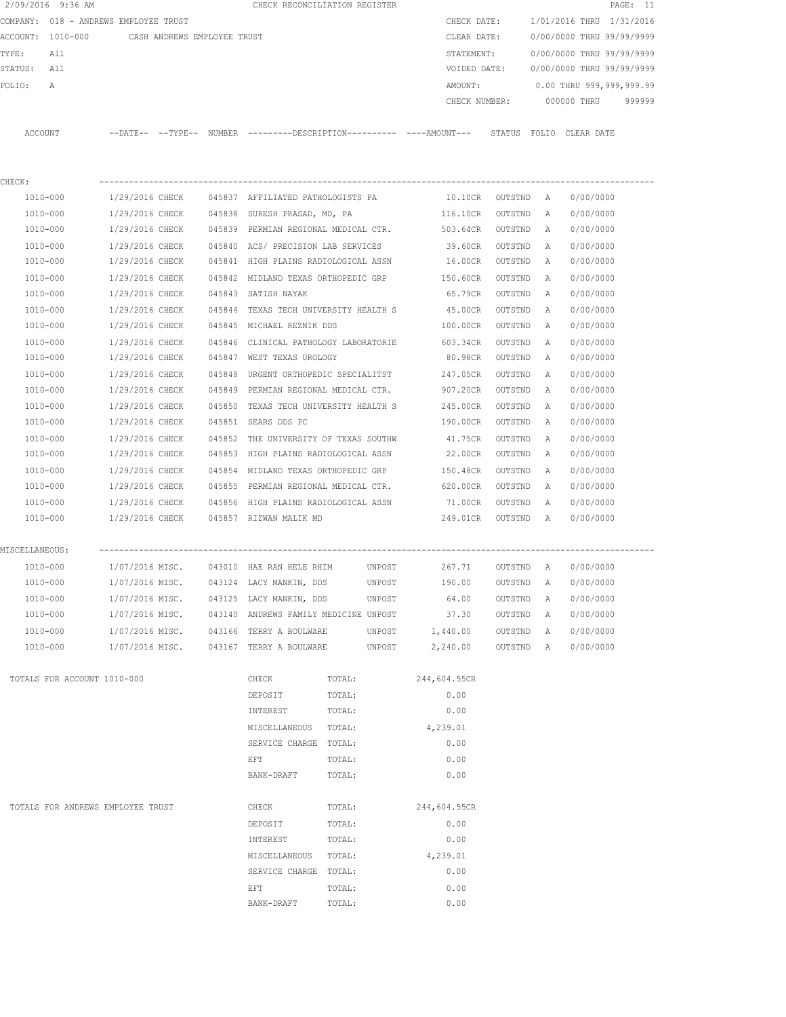|                | 2/09/2016 9:36 AM                             |                 |        | CHECK RECONCILIATION REGISTER         |        |        |                                                                                             |           |              |                           | PAGE: 11 |
|----------------|-----------------------------------------------|-----------------|--------|---------------------------------------|--------|--------|---------------------------------------------------------------------------------------------|-----------|--------------|---------------------------|----------|
|                | COMPANY: 018 - ANDREWS EMPLOYEE TRUST         |                 |        |                                       |        |        | CHECK DATE:                                                                                 |           |              | 1/01/2016 THRU 1/31/2016  |          |
|                | ACCOUNT: 1010-000 CASH ANDREWS EMPLOYEE TRUST |                 |        |                                       |        |        | CLEAR DATE:                                                                                 |           |              | 0/00/0000 THRU 99/99/9999 |          |
| TYPE:          | All                                           |                 |        |                                       |        |        | STATEMENT:                                                                                  |           |              | 0/00/0000 THRU 99/99/9999 |          |
| STATUS: All    |                                               |                 |        |                                       |        |        | VOIDED DATE:                                                                                |           |              | 0/00/0000 THRU 99/99/9999 |          |
| FOLIO:         | A                                             |                 |        |                                       |        |        | AMOUNT:                                                                                     |           |              | 0.00 THRU 999,999,999.99  |          |
|                |                                               |                 |        |                                       |        |        | CHECK NUMBER:                                                                               |           |              | 000000 THRU               | 999999   |
|                | ACCOUNT                                       |                 |        |                                       |        |        | --DATE-- --TYPE-- NUMBER --------DESCRIPTION--------- ----AMOUNT--- STATUS FOLIO CLEAR-DATE |           |              |                           |          |
|                |                                               |                 |        |                                       |        |        |                                                                                             |           |              |                           |          |
| CHECK:         |                                               |                 |        |                                       |        |        |                                                                                             |           |              |                           |          |
|                | 1010-000                                      | 1/29/2016 CHECK |        | 045837 AFFILIATED PATHOLOGISTS PA     |        |        | 10.10CR OUTSTND A                                                                           |           |              | 0/00/0000                 |          |
|                | 1010-000                                      | 1/29/2016 CHECK |        | 045838 SURESH PRASAD, MD, PA          |        |        | 116.10CR                                                                                    | OUTSTND   | A            | 0/00/0000                 |          |
|                | 1010-000                                      | 1/29/2016 CHECK |        | 045839 PERMIAN REGIONAL MEDICAL CTR.  |        |        | 503.64CR                                                                                    | OUTSTND   | A            | 0/00/0000                 |          |
|                | 1010-000                                      | 1/29/2016 CHECK |        | 045840 ACS/ PRECISION LAB SERVICES    |        |        | 39.60CR                                                                                     | OUTSTND   | A            | 0/00/0000                 |          |
|                | 1010-000                                      | 1/29/2016 CHECK |        | 045841 HIGH PLAINS RADIOLOGICAL ASSN  |        |        | 16.00CR                                                                                     | OUTSTND   | A            | 0/00/0000                 |          |
|                | 1010-000                                      | 1/29/2016 CHECK |        | 045842 MIDLAND TEXAS ORTHOPEDIC GRP   |        |        | 150.60CR                                                                                    | OUTSTND   | A            | 0/00/0000                 |          |
|                | 1010-000                                      | 1/29/2016 CHECK |        | 045843 SATISH NAYAK                   |        |        | 65.79CR                                                                                     | OUTSTND   | A            | 0/00/0000                 |          |
|                | 1010-000                                      | 1/29/2016 CHECK |        | 045844 TEXAS TECH UNIVERSITY HEALTH S |        |        | 45.00CR                                                                                     | OUTSTND   | A            | 0/00/0000                 |          |
|                | 1010-000                                      | 1/29/2016 CHECK |        | 045845 MICHAEL REZNIK DDS             |        |        | 100.00CR                                                                                    | OUTSTND   | A            | 0/00/0000                 |          |
|                | 1010-000                                      | 1/29/2016 CHECK |        |                                       |        |        | 045846 CLINICAL PATHOLOGY LABORATORIE 603.34CR                                              | OUTSTND   | Α            | 0/00/0000                 |          |
|                | 1010-000                                      | 1/29/2016 CHECK |        | 045847 WEST TEXAS UROLOGY             |        |        | 80.98CR                                                                                     | OUTSTND   | Α            | 0/00/0000                 |          |
|                | 1010-000                                      | 1/29/2016 CHECK | 045848 | URGENT ORTHOPEDIC SPECIALITST         |        |        | 247.05CR                                                                                    | OUTSTND   | $\mathbb{A}$ | 0/00/0000                 |          |
|                | 1010-000                                      | 1/29/2016 CHECK |        | 045849 PERMIAN REGIONAL MEDICAL CTR.  |        |        | 907.20CR                                                                                    | OUTSTND   | A            | 0/00/0000                 |          |
|                | 1010-000                                      | 1/29/2016 CHECK |        | 045850 TEXAS TECH UNIVERSITY HEALTH S |        |        | 245.00CR                                                                                    | OUTSTND   | A            | 0/00/0000                 |          |
|                | 1010-000                                      | 1/29/2016 CHECK |        | 045851 SEARS DDS PC                   |        |        | 190.00CR                                                                                    | OUTSTND   | Α            | 0/00/0000                 |          |
|                | 1010-000                                      | 1/29/2016 CHECK |        | 045852 THE UNIVERSITY OF TEXAS SOUTHW |        |        | 41.75CR                                                                                     | OUTSTND   | Α            | 0/00/0000                 |          |
|                | 1010-000                                      | 1/29/2016 CHECK |        | 045853 HIGH PLAINS RADIOLOGICAL ASSN  |        |        | 22.00CR                                                                                     | OUTSTND   | Α            | 0/00/0000                 |          |
|                | 1010-000                                      | 1/29/2016 CHECK |        | 045854 MIDLAND TEXAS ORTHOPEDIC GRP   |        |        | 150.48CR                                                                                    | OUTSTND   | A            | 0/00/0000                 |          |
|                | 1010-000                                      | 1/29/2016 CHECK |        | 045855 PERMIAN REGIONAL MEDICAL CTR.  |        |        | 620.00CR                                                                                    | OUTSTND   | A            | 0/00/0000                 |          |
|                | 1010-000                                      | 1/29/2016 CHECK |        | 045856 HIGH PLAINS RADIOLOGICAL ASSN  |        |        | 71.00CR                                                                                     | OUTSTND   | A            | 0/00/0000                 |          |
|                | 1010-000                                      | 1/29/2016 CHECK |        | 045857 RIZWAN MALIK MD                |        |        | 249.01CR OUTSTND A                                                                          |           |              | 0/00/0000                 |          |
|                |                                               |                 |        |                                       |        |        |                                                                                             |           |              |                           |          |
| MISCELLANEOUS: |                                               |                 |        |                                       |        |        |                                                                                             |           |              |                           |          |
|                | 1010-000                                      |                 |        |                                       |        |        |                                                                                             |           |              |                           |          |
|                | 1010-000                                      | 1/07/2016 MISC. |        | 043124 LACY MANKIN, DDS               |        | UNPOST | 190.00                                                                                      | OUTSTND   | $\mathbb{A}$ | 0/00/0000                 |          |
|                | 1010-000                                      | 1/07/2016 MISC. |        | 043125 LACY MANKIN, DDS               |        | UNPOST | 64.00                                                                                       | OUTSTND   | Α            | 0/00/0000                 |          |
|                | $1010 - 000$                                  | 1/07/2016 MISC. |        | 043140 ANDREWS FAMILY MEDICINE UNPOST |        |        | 37.30                                                                                       | OUTSTND   | Α            | 0/00/0000                 |          |
|                | 1010-000                                      | 1/07/2016 MISC. |        | 043166 TERRY A BOULWARE               |        | UNPOST | 1,440.00                                                                                    | OUTSTND   | A            | 0/00/0000                 |          |
|                | 1010-000                                      | 1/07/2016 MISC. |        | 043167 TERRY A BOULWARE               |        | UNPOST | 2,240.00                                                                                    | OUTSTND A |              | 0/00/0000                 |          |
|                | TOTALS FOR ACCOUNT 1010-000                   |                 |        | CHECK                                 | TOTAL: |        | 244,604.55CR                                                                                |           |              |                           |          |
|                |                                               |                 |        | DEPOSIT                               | TOTAL: |        | 0.00                                                                                        |           |              |                           |          |
|                |                                               |                 |        | INTEREST                              | TOTAL: |        | 0.00                                                                                        |           |              |                           |          |
|                |                                               |                 |        | MISCELLANEOUS                         | TOTAL: |        | 4,239.01                                                                                    |           |              |                           |          |
|                |                                               |                 |        | SERVICE CHARGE                        | TOTAL: |        | 0.00                                                                                        |           |              |                           |          |
|                |                                               |                 |        | EFT                                   | TOTAL: |        | 0.00                                                                                        |           |              |                           |          |
|                |                                               |                 |        | BANK-DRAFT                            | TOTAL: |        | 0.00                                                                                        |           |              |                           |          |
|                | TOTALS FOR ANDREWS EMPLOYEE TRUST             |                 |        | CHECK                                 | TOTAL: |        | 244,604.55CR                                                                                |           |              |                           |          |
|                |                                               |                 |        |                                       |        |        |                                                                                             |           |              |                           |          |
|                |                                               |                 |        | DEPOSIT                               | TOTAL: |        | 0.00                                                                                        |           |              |                           |          |
|                |                                               |                 |        | INTEREST                              | TOTAL: |        | 0.00                                                                                        |           |              |                           |          |
|                |                                               |                 |        | MISCELLANEOUS                         | TOTAL: |        | 4,239.01                                                                                    |           |              |                           |          |
|                |                                               |                 |        | SERVICE CHARGE                        | TOTAL: |        | 0.00                                                                                        |           |              |                           |          |
|                |                                               |                 |        | EFT                                   | TOTAL: |        | 0.00                                                                                        |           |              |                           |          |
|                |                                               |                 |        | BANK-DRAFT                            | TOTAL: |        | 0.00                                                                                        |           |              |                           |          |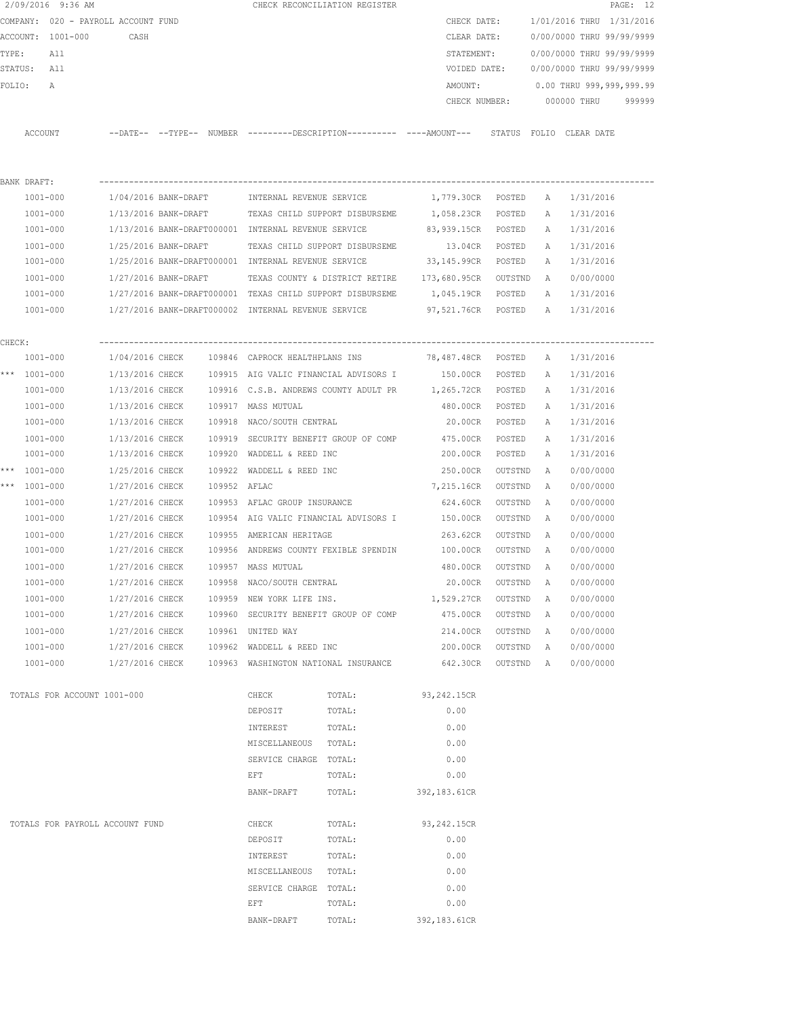|        |              | 2/09/2016 9:36 AM                   |                      |              |                                                     | CHECK RECONCILIATION REGISTER                                                              |                      |           |   |                           | PAGE: 12 |
|--------|--------------|-------------------------------------|----------------------|--------------|-----------------------------------------------------|--------------------------------------------------------------------------------------------|----------------------|-----------|---|---------------------------|----------|
|        |              | COMPANY: 020 - PAYROLL ACCOUNT FUND |                      |              |                                                     |                                                                                            | CHECK DATE:          |           |   | 1/01/2016 THRU 1/31/2016  |          |
|        |              | ACCOUNT: 1001-000                   | CASH                 |              |                                                     |                                                                                            | CLEAR DATE:          |           |   | 0/00/0000 THRU 99/99/9999 |          |
| TYPE:  |              | All                                 |                      |              |                                                     |                                                                                            | STATEMENT:           |           |   | 0/00/0000 THRU 99/99/9999 |          |
|        | STATUS: All  |                                     |                      |              |                                                     |                                                                                            | VOIDED DATE:         |           |   | 0/00/0000 THRU 99/99/9999 |          |
| FOLIO: |              | Α                                   |                      |              |                                                     |                                                                                            | AMOUNT:              |           |   | 0.00 THRU 999,999,999.99  |          |
|        |              |                                     |                      |              |                                                     |                                                                                            | CHECK NUMBER:        |           |   | 000000 THRU               | 999999   |
|        | ACCOUNT      |                                     |                      |              |                                                     | --DATE-- --TYPE-- NUMBER --------DESCRIPTION--------- ----AMOUNT--- STATUS FOLIO CLEARDATE |                      |           |   |                           |          |
|        |              |                                     |                      |              |                                                     |                                                                                            |                      |           |   |                           |          |
|        | BANK DRAFT:  |                                     |                      |              |                                                     |                                                                                            |                      |           |   |                           |          |
|        | 1001-000     |                                     |                      |              | 1/04/2016 BANK-DRAFT MINTERNAL REVENUE SERVICE      |                                                                                            | 1,779.30CR POSTED    |           | A | 1/31/2016                 |          |
|        | $1001 - 000$ |                                     |                      |              |                                                     | 1/13/2016 BANK-DRAFT TEXAS CHILD SUPPORT DISBURSEME                                        | 1,058.23CR           | POSTED    | A | 1/31/2016                 |          |
|        | $1001 - 000$ |                                     |                      |              | 1/13/2016 BANK-DRAFT000001 INTERNAL REVENUE SERVICE |                                                                                            | 83,939.15CR          | POSTED    | A | 1/31/2016                 |          |
|        | 1001-000     |                                     | 1/25/2016 BANK-DRAFT |              |                                                     | TEXAS CHILD SUPPORT DISBURSEME                                                             | 13.04CR              | POSTED    | A | 1/31/2016                 |          |
|        | $1001 - 000$ |                                     |                      |              | 1/25/2016 BANK-DRAFT000001 INTERNAL REVENUE SERVICE |                                                                                            | 33,145.99CR POSTED   |           | A | 1/31/2016                 |          |
|        | 1001-000     |                                     | 1/27/2016 BANK-DRAFT |              |                                                     | TEXAS COUNTY & DISTRICT RETIRE 173,680.95CR OUTSTND                                        |                      |           | A | 0/00/0000                 |          |
|        | 1001-000     |                                     |                      |              |                                                     | 1/27/2016 BANK-DRAFT000001 TEXAS CHILD SUPPORT DISBURSEME                                  | 1,045.19CR POSTED    |           | A | 1/31/2016                 |          |
|        | 1001-000     |                                     |                      |              | 1/27/2016 BANK-DRAFT000002 INTERNAL REVENUE SERVICE |                                                                                            | 97,521.76CR POSTED   |           | A | 1/31/2016                 |          |
|        |              |                                     |                      |              |                                                     |                                                                                            |                      |           |   |                           |          |
| CHECK: | $1001 - 000$ |                                     |                      |              |                                                     | 1/04/2016 CHECK 109846 CAPROCK HEALTHPLANS INS 78,487.48CR POSTED                          |                      |           | A | 1/31/2016                 |          |
|        | *** 1001-000 |                                     |                      |              |                                                     | 1/13/2016 CHECK 109915 AIG VALIC FINANCIAL ADVISORS I                                      | 150.00CR POSTED      |           | A | 1/31/2016                 |          |
|        | 1001-000     |                                     | 1/13/2016 CHECK      |              |                                                     | 109916 C.S.B. ANDREWS COUNTY ADULT PR 1,265.72CR POSTED                                    |                      |           | A | 1/31/2016                 |          |
|        | $1001 - 000$ |                                     | 1/13/2016 CHECK      |              | 109917 MASS MUTUAL                                  |                                                                                            | 480.00CR             | POSTED    | A | 1/31/2016                 |          |
|        | $1001 - 000$ |                                     | 1/13/2016 CHECK      |              | 109918 NACO/SOUTH CENTRAL                           |                                                                                            | 20.00CR              | POSTED    | A | 1/31/2016                 |          |
|        | 1001-000     |                                     | 1/13/2016 CHECK      |              |                                                     | 109919 SECURITY BENEFIT GROUP OF COMP                                                      | 475.00CR             | POSTED    | A | 1/31/2016                 |          |
|        | $1001 - 000$ |                                     | 1/13/2016 CHECK      |              | 109920 WADDELL & REED INC                           |                                                                                            | 200.00CR             | POSTED    | A | 1/31/2016                 |          |
|        | *** 1001-000 |                                     | 1/25/2016 CHECK      |              | 109922 WADDELL & REED INC                           |                                                                                            | 250.00CR             | OUTSTND   | A | 0/00/0000                 |          |
|        | *** 1001-000 |                                     | 1/27/2016 CHECK      | 109952 AFLAC |                                                     |                                                                                            | 7,215.16CR           | OUTSTND   | A | 0/00/0000                 |          |
|        | $1001 - 000$ |                                     | 1/27/2016 CHECK      |              | 109953 AFLAC GROUP INSURANCE                        |                                                                                            | 624.60CR             | OUTSTND   | A | 0/00/0000                 |          |
|        | $1001 - 000$ |                                     | 1/27/2016 CHECK      |              |                                                     | 109954 AIG VALIC FINANCIAL ADVISORS I                                                      | 150.00CR             | OUTSTND   | A | 0/00/0000                 |          |
|        | $1001 - 000$ |                                     | 1/27/2016 CHECK      |              | 109955 AMERICAN HERITAGE                            |                                                                                            | 263.62CR             | OUTSTND   | A | 0/00/0000                 |          |
|        | $1001 - 000$ |                                     | 1/27/2016 CHECK      |              |                                                     | 109956 ANDREWS COUNTY FEXIBLE SPENDIN                                                      | 100.00CR             | OUTSTND   | A | 0/00/0000                 |          |
|        | 1001-000     |                                     | 1/27/2016 CHECK      |              | 109957 MASS MUTUAL                                  |                                                                                            | 480.00CR             | OUTSTND   | A | 0/00/0000                 |          |
|        | $1001 - 000$ |                                     | 1/27/2016 CHECK      |              | 109958 NACO/SOUTH CENTRAL                           |                                                                                            | 20.00CR              | OUTSTND   | A | 0/00/0000                 |          |
|        | $1001 - 000$ |                                     | 1/27/2016 CHECK      |              | 109959 NEW YORK LIFE INS.                           |                                                                                            | 1,529.27CR           | OUTSTND   | Α | 0/00/0000                 |          |
|        | $1001 - 000$ |                                     | 1/27/2016 CHECK      |              |                                                     | 109960 SECURITY BENEFIT GROUP OF COMP                                                      | 475.00CR             | OUTSTND   | Α | 0/00/0000                 |          |
|        | $1001 - 000$ |                                     | 1/27/2016 CHECK      |              | 109961 UNITED WAY                                   |                                                                                            | 214.00CR             | OUTSTND   | A | 0/00/0000                 |          |
|        | 1001-000     |                                     | 1/27/2016 CHECK      |              | 109962 WADDELL & REED INC                           |                                                                                            | 200.00CR             | OUTSTND   | A | 0/00/0000                 |          |
|        | 1001-000     |                                     | 1/27/2016 CHECK      |              |                                                     | 109963 WASHINGTON NATIONAL INSURANCE                                                       | 642.30CR             | OUTSTND A |   | 0/00/0000                 |          |
|        |              |                                     |                      |              |                                                     |                                                                                            |                      |           |   |                           |          |
|        |              | TOTALS FOR ACCOUNT 1001-000         |                      |              | CHECK<br>DEPOSIT                                    | TOTAL:<br>TOTAL:                                                                           | 93, 242.15CR<br>0.00 |           |   |                           |          |
|        |              |                                     |                      |              |                                                     |                                                                                            |                      |           |   |                           |          |
|        |              |                                     |                      |              | INTEREST<br>MISCELLANEOUS TOTAL:                    | TOTAL:                                                                                     | 0.00<br>0.00         |           |   |                           |          |
|        |              |                                     |                      |              |                                                     |                                                                                            | 0.00                 |           |   |                           |          |
|        |              |                                     |                      |              | SERVICE CHARGE TOTAL:<br>EFT                        | TOTAL:                                                                                     | 0.00                 |           |   |                           |          |
|        |              |                                     |                      |              | BANK-DRAFT                                          | TOTAL:                                                                                     | 392,183.61CR         |           |   |                           |          |
|        |              |                                     |                      |              |                                                     |                                                                                            |                      |           |   |                           |          |
|        |              | TOTALS FOR PAYROLL ACCOUNT FUND     |                      |              | CHECK                                               | TOTAL:                                                                                     | 93, 242.15CR         |           |   |                           |          |
|        |              |                                     |                      |              | DEPOSIT                                             | TOTAL:                                                                                     | 0.00                 |           |   |                           |          |
|        |              |                                     |                      |              | INTEREST                                            | TOTAL:                                                                                     | 0.00                 |           |   |                           |          |
|        |              |                                     |                      |              | MISCELLANEOUS TOTAL:                                |                                                                                            | 0.00                 |           |   |                           |          |
|        |              |                                     |                      |              | SERVICE CHARGE TOTAL:                               |                                                                                            | 0.00                 |           |   |                           |          |
|        |              |                                     |                      |              | EFT                                                 | TOTAL:                                                                                     | 0.00                 |           |   |                           |          |
|        |              |                                     |                      |              | BANK-DRAFT                                          | TOTAL:                                                                                     | 392,183.61CR         |           |   |                           |          |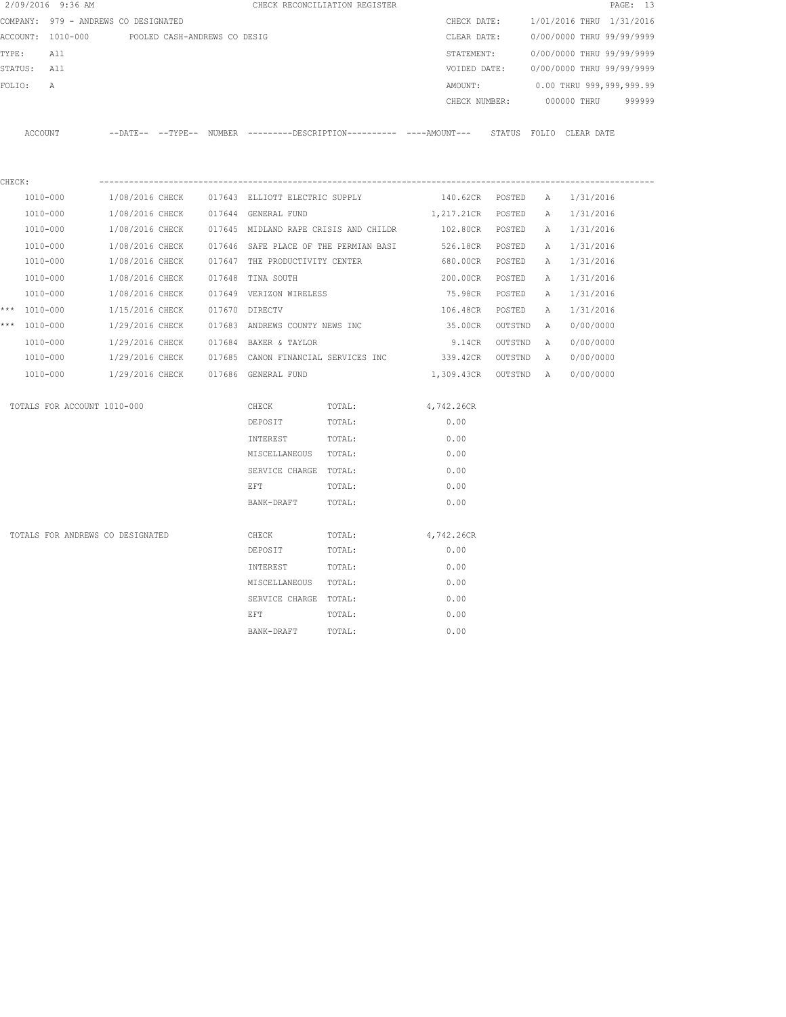| 2/09/2016 9:36 AM                |                                                                                             | CHECK RECONCILIATION REGISTER  |        |                               |   | PAGE: 13                               |  |
|----------------------------------|---------------------------------------------------------------------------------------------|--------------------------------|--------|-------------------------------|---|----------------------------------------|--|
|                                  | COMPANY: 979 - ANDREWS CO DESIGNATED                                                        |                                |        |                               |   | CHECK DATE: 1/01/2016 THRU 1/31/2016   |  |
|                                  | ACCOUNT: 1010-000 POOLED CASH-ANDREWS CO DESIG                                              |                                |        |                               |   | CLEAR DATE: 0/00/0000 THRU 99/99/9999  |  |
| TYPE: All                        |                                                                                             |                                |        |                               |   | STATEMENT: 0/00/0000 THRU 99/99/9999   |  |
| STATUS: All                      |                                                                                             |                                |        |                               |   | VOIDED DATE: 0/00/0000 THRU 99/99/9999 |  |
| FOLIO:<br>A                      |                                                                                             |                                |        | AMOUNT:                       |   | 0.00 THRU 999,999,999.99               |  |
|                                  |                                                                                             |                                |        | CHECK NUMBER:                 |   | 000000 THRU 999999                     |  |
| ACCOUNT                          | --DATE-- --TYPE-- NUMBER --------DESCRIPTION--------- ----AMOUNT--- STATUS FOLIO CLEAR DATE |                                |        |                               |   |                                        |  |
|                                  |                                                                                             |                                |        |                               |   |                                        |  |
| CHECK:<br>1010-000               | 1/08/2016 CHECK 017643 ELLIOTT ELECTRIC SUPPLY                                              |                                |        | 140.62CR POSTED A             |   | 1/31/2016                              |  |
| 1010-000                         | 1/08/2016 CHECK 017644 GENERAL FUND                                                         |                                |        | 1,217.21CR POSTED A 1/31/2016 |   |                                        |  |
| 1010-000                         | 1/08/2016 CHECK 017645 MIDLAND RAPE CRISIS AND CHILDR                                       |                                |        |                               |   | 102.80CR POSTED A 1/31/2016            |  |
| 1010-000                         | $1/08/2016$ CHECK $017646$ SAFE PLACE OF THE PERMIAN BASI                                   |                                |        | 526.18CR POSTED               |   | A 1/31/2016                            |  |
| 1010-000                         | 1/08/2016 CHECK                                                                             | 017647 THE PRODUCTIVITY CENTER |        | 680.00CR POSTED               |   | A 1/31/2016                            |  |
| 1010-000                         | 1/08/2016 CHECK                                                                             | 017648 TINA SOUTH              |        | 200.00CR POSTED               |   | A 1/31/2016                            |  |
| 1010-000                         | 1/08/2016 CHECK                                                                             | 017649 VERIZON WIRELESS        |        | 75.98CR POSTED                | A | 1/31/2016                              |  |
| *** 1010-000                     | 1/15/2016 CHECK                                                                             | 017670 DIRECTV                 |        | 106.48CR POSTED               | A | 1/31/2016                              |  |
| *** 1010-000                     | 1/29/2016 CHECK 017683 ANDREWS COUNTY NEWS INC                                              |                                |        | 35.00CR OUTSTND A             |   | 0/00/0000                              |  |
| 1010-000                         | 1/29/2016 CHECK 017684 BAKER & TAYLOR                                                       |                                |        | 9.14CR OUTSTND A              |   | 0/00/0000                              |  |
| 1010-000                         | 1/29/2016 CHECK 017685 CANON FINANCIAL SERVICES INC 339.42CR OUTSTND A                      |                                |        |                               |   | 0/00/0000                              |  |
| 1010-000                         | 1/29/2016 CHECK 017686 GENERAL FUND                                                         |                                |        | 1,309.43CR OUTSTND A          |   | 0/00/0000                              |  |
| TOTALS FOR ACCOUNT 1010-000      |                                                                                             | CHECK                          | TOTAL: | 4,742.26CR                    |   |                                        |  |
|                                  |                                                                                             | DEPOSIT                        | TOTAL: | 0.00                          |   |                                        |  |
|                                  |                                                                                             | INTEREST                       | TOTAL: | 0.00                          |   |                                        |  |
|                                  |                                                                                             | MISCELLANEOUS TOTAL:           |        | 0.00                          |   |                                        |  |
|                                  |                                                                                             | SERVICE CHARGE TOTAL:          |        | 0.00                          |   |                                        |  |
|                                  |                                                                                             | EFT                            | TOTAL: | 0.00                          |   |                                        |  |
|                                  |                                                                                             | BANK-DRAFT                     | TOTAL: | 0.00                          |   |                                        |  |
| TOTALS FOR ANDREWS CO DESIGNATED |                                                                                             | CHECK                          | TOTAL: | 4,742.26CR                    |   |                                        |  |
|                                  |                                                                                             | DEPOSIT                        | TOTAL: | 0.00                          |   |                                        |  |
|                                  |                                                                                             | INTEREST                       | TOTAL: | 0.00                          |   |                                        |  |
|                                  |                                                                                             | MISCELLANEOUS TOTAL:           |        | 0.00                          |   |                                        |  |
|                                  |                                                                                             | SERVICE CHARGE TOTAL:          |        | 0.00                          |   |                                        |  |
|                                  |                                                                                             | EFT                            | TOTAL: | 0.00                          |   |                                        |  |
|                                  |                                                                                             | BANK-DRAFT                     | TOTAL: | 0.00                          |   |                                        |  |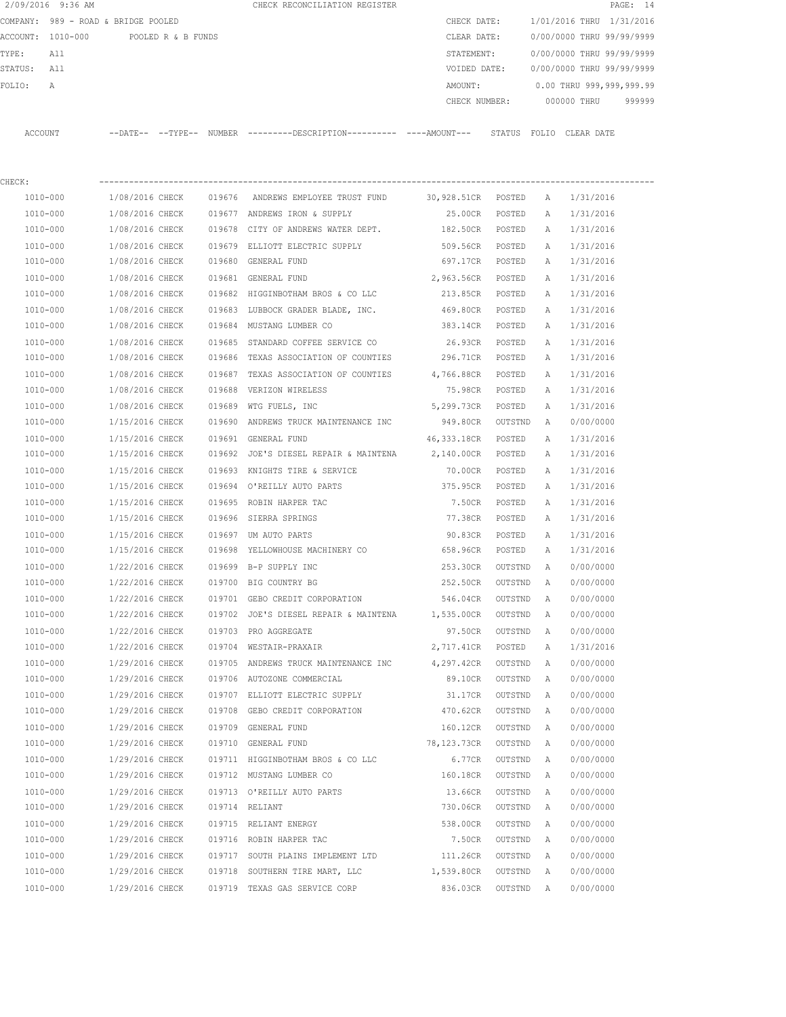| 2/09/2016 9:36 AM                    |                 |  | CHECK RECONCILIATION REGISTER                                                                 |                                |         |                   |                                        | PAGE: 14 |
|--------------------------------------|-----------------|--|-----------------------------------------------------------------------------------------------|--------------------------------|---------|-------------------|----------------------------------------|----------|
| COMPANY: 989 - ROAD & BRIDGE POOLED  |                 |  |                                                                                               | CHECK DATE:                    |         |                   | 1/01/2016 THRU 1/31/2016               |          |
| ACCOUNT: 1010-000 POOLED R & B FUNDS |                 |  |                                                                                               | CLEAR DATE:                    |         |                   | 0/00/0000 THRU 99/99/9999              |          |
| TYPE:<br>All                         |                 |  |                                                                                               | STATEMENT:                     |         |                   | 0/00/0000 THRU 99/99/9999              |          |
| STATUS: All                          |                 |  |                                                                                               |                                |         |                   | VOIDED DATE: 0/00/0000 THRU 99/99/9999 |          |
| FOLIO:<br>А                          |                 |  |                                                                                               | AMOUNT:                        |         |                   | $0.00$ THRU 999,999,999.99             |          |
|                                      |                 |  |                                                                                               |                                |         |                   | CHECK NUMBER: 000000 THRU              | 999999   |
| ACCOUNT                              |                 |  | --DATE-- --TYPE-- NUMBER ---------DESCRIPTION---------- ----AMOUNT--- STATUS FOLIO CLEAR DATE |                                |         |                   |                                        |          |
| CHECK:                               |                 |  |                                                                                               |                                |         |                   |                                        |          |
| 1010-000                             |                 |  | 1/08/2016 CHECK 019676 ANDREWS EMPLOYEE TRUST FUND                                            | 30,928.51CR POSTED A 1/31/2016 |         |                   |                                        |          |
| 1010-000                             |                 |  | 1/08/2016 CHECK 019677 ANDREWS IRON & SUPPLY                                                  | 25.00CR POSTED A               |         |                   | 1/31/2016                              |          |
| 1010-000                             |                 |  | 1/08/2016 CHECK 019678 CITY OF ANDREWS WATER DEPT.                                            | 182.50CR POSTED A 1/31/2016    |         |                   |                                        |          |
| 1010-000                             | 1/08/2016 CHECK |  | 019679 ELLIOTT ELECTRIC SUPPLY                                                                | 509.56CR POSTED                |         | A                 | 1/31/2016                              |          |
| 1010-000                             | 1/08/2016 CHECK |  | 019680 GENERAL FUND                                                                           | 697.17CR POSTED                |         | A                 | 1/31/2016                              |          |
| 1010-000                             | 1/08/2016 CHECK |  | 019681 GENERAL FUND                                                                           | 2,963.56CR POSTED              |         | A                 | 1/31/2016                              |          |
| 1010-000                             | 1/08/2016 CHECK |  | 019682 HIGGINBOTHAM BROS & CO LLC 213.85CR POSTED                                             |                                |         | A                 | 1/31/2016                              |          |
| 1010-000                             |                 |  | 1/08/2016 CHECK 019683 LUBBOCK GRADER BLADE, INC. 469.80CR POSTED                             |                                |         | A                 | 1/31/2016                              |          |
| 1010-000                             | 1/08/2016 CHECK |  | 019684 MUSTANG LUMBER CO                                                                      | 383.14CR                       | POSTED  | A                 | 1/31/2016                              |          |
| 1010-000                             | 1/08/2016 CHECK |  | 019685 STANDARD COFFEE SERVICE CO                                                             | 26.93CR                        | POSTED  | A                 | 1/31/2016                              |          |
| 1010-000                             | 1/08/2016 CHECK |  | 019686 TEXAS ASSOCIATION OF COUNTIES 296.71CR POSTED                                          |                                |         | A                 | 1/31/2016                              |          |
|                                      | 1/08/2016 CHECK |  | 019687 TEXAS ASSOCIATION OF COUNTIES                                                          | 4,766.88CR POSTED              |         |                   |                                        |          |
| 1010-000<br>1010-000                 | 1/08/2016 CHECK |  | 019688 VERIZON WIRELESS                                                                       | 75.98CR POSTED                 |         | A<br>$\mathbb{A}$ | 1/31/2016<br>1/31/2016                 |          |
|                                      |                 |  |                                                                                               |                                |         |                   |                                        |          |
| 1010-000<br>1010-000                 | 1/08/2016 CHECK |  | 019689 WTG FUELS, INC<br>019690 ANDREWS TRUCK MAINTENANCE INC                                 | 5,299.73CR POSTED              |         | A                 | 1/31/2016<br>0/00/0000                 |          |
|                                      | 1/15/2016 CHECK |  |                                                                                               | 949.80CR OUTSTND               |         | <b>A</b>          |                                        |          |
| 1010-000                             | 1/15/2016 CHECK |  | 019691 GENERAL FUND                                                                           | 46,333.18CR POSTED             |         | A                 | 1/31/2016                              |          |
| 1010-000                             | 1/15/2016 CHECK |  | 019692 JOE'S DIESEL REPAIR & MAINTENA 2,140.00CR POSTED                                       |                                |         | A                 | 1/31/2016                              |          |
| 1010-000                             | 1/15/2016 CHECK |  | 019693 KNIGHTS TIRE & SERVICE                                                                 | 70.00CR                        | POSTED  | A                 | 1/31/2016                              |          |
| 1010-000                             | 1/15/2016 CHECK |  | 019694 O'REILLY AUTO PARTS                                                                    | 375.95CR                       | POSTED  | A                 | 1/31/2016                              |          |
| 1010-000                             | 1/15/2016 CHECK |  | 019695 ROBIN HARPER TAC                                                                       | 7.50CR                         | POSTED  | A                 | 1/31/2016                              |          |
| 1010-000                             | 1/15/2016 CHECK |  | 019696 SIERRA SPRINGS                                                                         | 77.38CR                        | POSTED  | A                 | 1/31/2016                              |          |
| 1010-000                             | 1/15/2016 CHECK |  | 019697 UM AUTO PARTS                                                                          | 90.83CR                        | POSTED  | A                 | 1/31/2016                              |          |
| 1010-000                             |                 |  | 1/15/2016 CHECK 019698 YELLOWHOUSE MACHINERY CO                                               | 658.96CR                       | POSTED  | A                 | 1/31/2016                              |          |
| 1010-000                             | 1/22/2016 CHECK |  | 019699 B-P SUPPLY INC                                                                         | 253.30CR                       | OUTSTND | A                 | 0/00/0000                              |          |
| 1010-000                             | 1/22/2016 CHECK |  | 019700 BIG COUNTRY BG                                                                         | 252.50CR                       | OUTSTND | A                 | 0/00/0000                              |          |
| 1010-000                             | 1/22/2016 CHECK |  | 019701 GEBO CREDIT CORPORATION                                                                | 546.04CR                       | OUTSTND | Α                 | 0/00/0000                              |          |
| 1010-000                             | 1/22/2016 CHECK |  | 019702 JOE'S DIESEL REPAIR & MAINTENA                                                         | 1,535.00CR                     | OUTSTND | Α                 | 0/00/0000                              |          |
| 1010-000                             | 1/22/2016 CHECK |  | 019703 PRO AGGREGATE                                                                          | 97.50CR                        | OUTSTND | Α                 | 0/00/0000                              |          |
| 1010-000                             | 1/22/2016 CHECK |  | 019704 WESTAIR-PRAXAIR                                                                        | 2,717.41CR                     | POSTED  | Α                 | 1/31/2016                              |          |
| 1010-000                             | 1/29/2016 CHECK |  | 019705 ANDREWS TRUCK MAINTENANCE INC                                                          | 4,297.42CR                     | OUTSTND | Α                 | 0/00/0000                              |          |
| 1010-000                             | 1/29/2016 CHECK |  | 019706 AUTOZONE COMMERCIAL                                                                    | 89.10CR                        | OUTSTND | Α                 | 0/00/0000                              |          |
| 1010-000                             | 1/29/2016 CHECK |  | 019707 ELLIOTT ELECTRIC SUPPLY                                                                | 31.17CR                        | OUTSTND | Α                 | 0/00/0000                              |          |
| 1010-000                             | 1/29/2016 CHECK |  | 019708 GEBO CREDIT CORPORATION                                                                | 470.62CR                       | OUTSTND | Α                 | 0/00/0000                              |          |
| 1010-000                             | 1/29/2016 CHECK |  | 019709 GENERAL FUND                                                                           | 160.12CR                       | OUTSTND | Α                 | 0/00/0000                              |          |
| 1010-000                             | 1/29/2016 CHECK |  | 019710 GENERAL FUND                                                                           | 78,123.73CR                    | OUTSTND | Α                 | 0/00/0000                              |          |
| 1010-000                             | 1/29/2016 CHECK |  | 019711 HIGGINBOTHAM BROS & CO LLC                                                             | 6.77CR                         | OUTSTND | Α                 | 0/00/0000                              |          |
| 1010-000                             | 1/29/2016 CHECK |  | 019712 MUSTANG LUMBER CO                                                                      | 160.18CR                       | OUTSTND | Α                 | 0/00/0000                              |          |
| 1010-000                             | 1/29/2016 CHECK |  | 019713 O'REILLY AUTO PARTS                                                                    | 13.66CR                        | OUTSTND | Α                 | 0/00/0000                              |          |
| 1010-000                             | 1/29/2016 CHECK |  | 019714 RELIANT                                                                                | 730.06CR                       | OUTSTND | Α                 | 0/00/0000                              |          |
| 1010-000                             | 1/29/2016 CHECK |  | 019715 RELIANT ENERGY                                                                         | 538.00CR                       | OUTSTND | Α                 | 0/00/0000                              |          |
| 1010-000                             | 1/29/2016 CHECK |  | 019716 ROBIN HARPER TAC                                                                       | 7.50CR                         | OUTSTND | Α                 | 0/00/0000                              |          |
| 1010-000                             | 1/29/2016 CHECK |  | 019717 SOUTH PLAINS IMPLEMENT LTD                                                             | 111.26CR                       | OUTSTND | Α                 | 0/00/0000                              |          |
| 1010-000                             | 1/29/2016 CHECK |  | 019718 SOUTHERN TIRE MART, LLC                                                                | 1,539.80CR                     | OUTSTND | Α                 | 0/00/0000                              |          |
| 1010-000                             | 1/29/2016 CHECK |  | 019719 TEXAS GAS SERVICE CORP                                                                 | 836.03CR                       | OUTSTND | Α                 | 0/00/0000                              |          |
|                                      |                 |  |                                                                                               |                                |         |                   |                                        |          |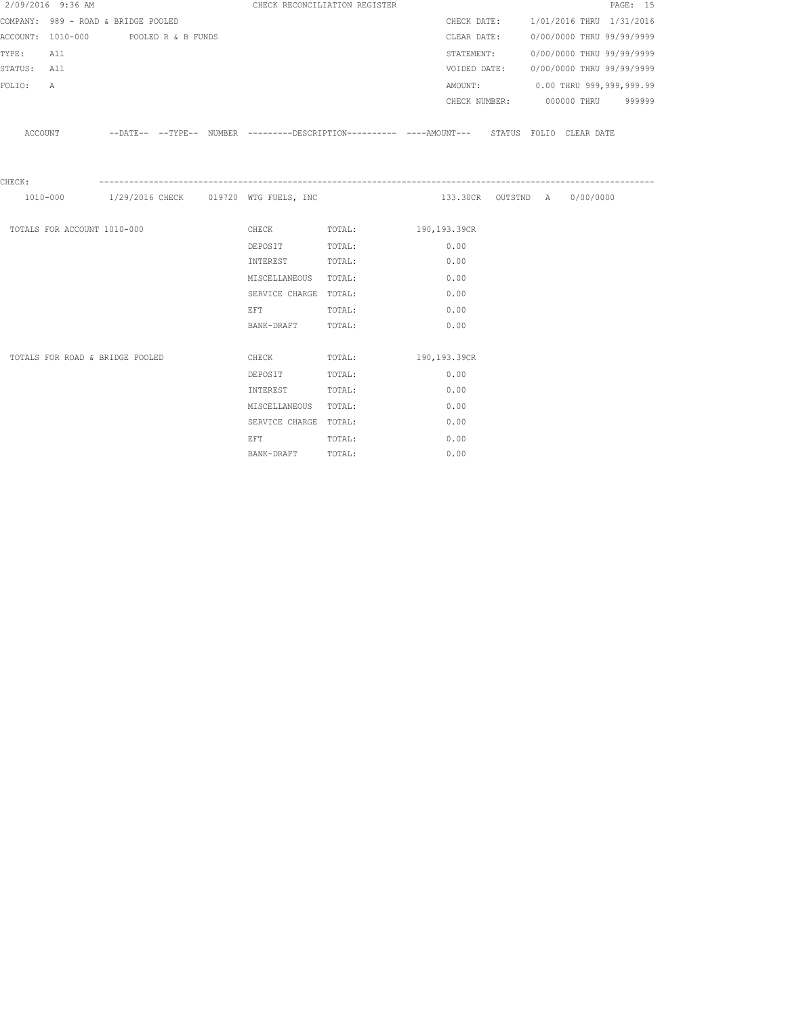|             | 2/09/2016 9:36 AM                    |  | CHECK RECONCILIATION REGISTER                                                                                  |                                                                                                     |                              |  |                                  | PAGE: 15                               |
|-------------|--------------------------------------|--|----------------------------------------------------------------------------------------------------------------|-----------------------------------------------------------------------------------------------------|------------------------------|--|----------------------------------|----------------------------------------|
|             | COMPANY: 989 - ROAD & BRIDGE POOLED  |  |                                                                                                                |                                                                                                     |                              |  |                                  | CHECK DATE: 1/01/2016 THRU 1/31/2016   |
|             | ACCOUNT: 1010-000 POOLED R & B FUNDS |  |                                                                                                                |                                                                                                     |                              |  |                                  | CLEAR DATE: 0/00/0000 THRU 99/99/9999  |
| TYPE:       | All                                  |  |                                                                                                                |                                                                                                     | STATEMENT:                   |  | 0/00/0000 THRU 99/99/9999        |                                        |
| STATUS: All |                                      |  |                                                                                                                |                                                                                                     |                              |  |                                  | VOIDED DATE: 0/00/0000 THRU 99/99/9999 |
| FOLIO:      | A                                    |  |                                                                                                                |                                                                                                     |                              |  | AMOUNT: 0.00 THRU 999,999,999.99 |                                        |
|             |                                      |  |                                                                                                                |                                                                                                     |                              |  | CHECK NUMBER: 000000 THRU 999999 |                                        |
|             |                                      |  |                                                                                                                | ACCOUNT -DATE-- --TYPE-- NUMBER --------DESCRIPTION---------- ----AMOUNT--- STATUS FOLIO CLEAR DATE |                              |  |                                  |                                        |
| CHECK:      |                                      |  |                                                                                                                |                                                                                                     |                              |  |                                  |                                        |
|             |                                      |  | 1010-000 1/29/2016 CHECK 019720 WTG FUELS, INC                                                                 |                                                                                                     | 133.30CR OUTSTND A 0/00/0000 |  |                                  |                                        |
|             | TOTALS FOR ACCOUNT 1010-000          |  |                                                                                                                | CHECK TOTAL: 190,193.39CR                                                                           |                              |  |                                  |                                        |
|             |                                      |  | DEPOSIT TOTAL:                                                                                                 |                                                                                                     | 0.00                         |  |                                  |                                        |
|             |                                      |  | INTEREST TOTAL:                                                                                                |                                                                                                     | 0.00                         |  |                                  |                                        |
|             |                                      |  | MISCELLANEOUS TOTAL:                                                                                           |                                                                                                     | 0.00                         |  |                                  |                                        |
|             |                                      |  | SERVICE CHARGE TOTAL:                                                                                          |                                                                                                     | 0.00                         |  |                                  |                                        |
|             |                                      |  | EFT FOR THE STATE OF THE STATE OF THE STATE OF THE STATE OF THE STATE OF THE STATE OF THE STATE OF THE STATE O | TOTAL:                                                                                              | 0.00                         |  |                                  |                                        |
|             |                                      |  | BANK-DRAFT TOTAL:                                                                                              |                                                                                                     | 0.00                         |  |                                  |                                        |
|             |                                      |  |                                                                                                                |                                                                                                     |                              |  |                                  |                                        |
|             | TOTALS FOR ROAD & BRIDGE POOLED      |  | <b>CHECK</b>                                                                                                   | TOTAL: 190,193.39CR                                                                                 |                              |  |                                  |                                        |
|             |                                      |  | DEPOSIT                                                                                                        | TOTAL:                                                                                              | 0.00                         |  |                                  |                                        |
|             |                                      |  | INTEREST                                                                                                       | TOTAL:                                                                                              | 0.00                         |  |                                  |                                        |
|             |                                      |  | MISCELLANEOUS TOTAL:                                                                                           |                                                                                                     | 0.00                         |  |                                  |                                        |
|             |                                      |  | SERVICE CHARGE TOTAL:                                                                                          |                                                                                                     | 0.00                         |  |                                  |                                        |
|             |                                      |  | EFT FOR THE STATE OF THE STATE OF THE STATE OF THE STATE OF THE STATE OF THE STATE OF THE STATE OF THE STATE O | TOTAL:                                                                                              | 0.00                         |  |                                  |                                        |
|             |                                      |  | BANK-DRAFT                                                                                                     | TOTAL:                                                                                              | 0.00                         |  |                                  |                                        |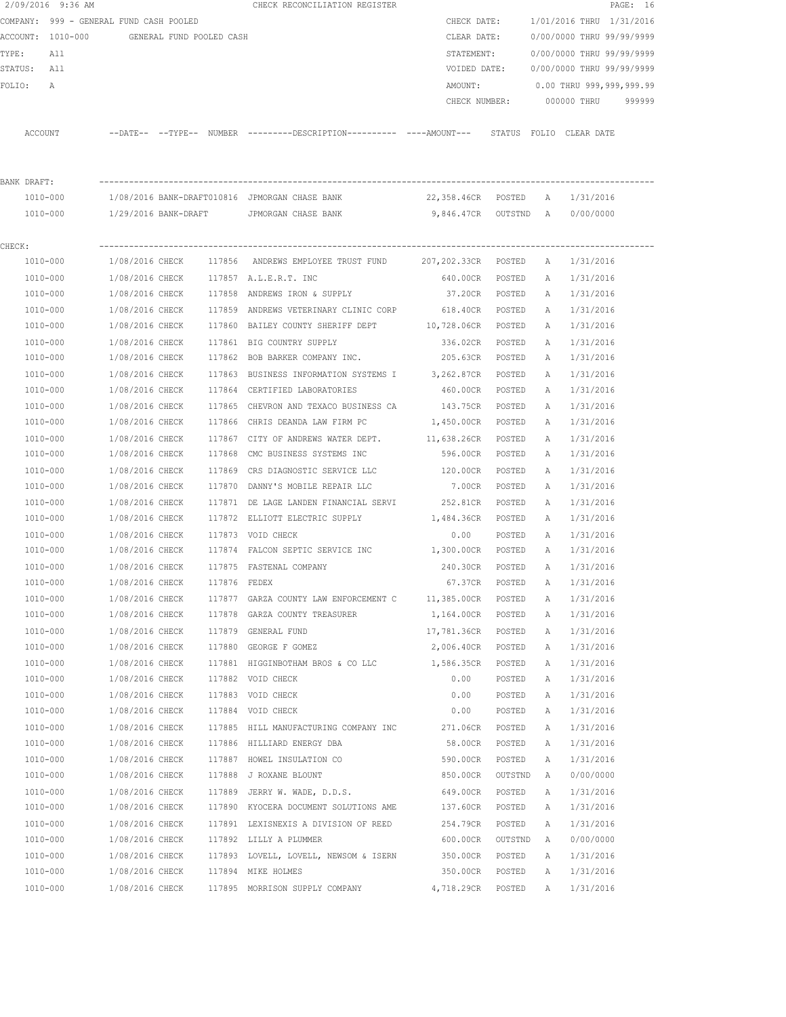|             | 2/09/2016 9:36 AM                          |                                    |              | CHECK RECONCILIATION REGISTER                                                               |                                |                  |   |                           | PAGE: 16 |
|-------------|--------------------------------------------|------------------------------------|--------------|---------------------------------------------------------------------------------------------|--------------------------------|------------------|---|---------------------------|----------|
|             | COMPANY: 999 - GENERAL FUND CASH POOLED    |                                    |              |                                                                                             | CHECK DATE:                    |                  |   | 1/01/2016 THRU 1/31/2016  |          |
|             | ACCOUNT: 1010-000 GENERAL FUND POOLED CASH |                                    |              |                                                                                             | CLEAR DATE:                    |                  |   | 0/00/0000 THRU 99/99/9999 |          |
| TYPE:       | All                                        |                                    |              |                                                                                             | STATEMENT:                     |                  |   | 0/00/0000 THRU 99/99/9999 |          |
| STATUS: All |                                            |                                    |              |                                                                                             | VOIDED DATE:                   |                  |   | 0/00/0000 THRU 99/99/9999 |          |
| FOLIO:      | A                                          |                                    |              |                                                                                             | AMOUNT:                        |                  |   | 0.00 THRU 999,999,999.99  |          |
|             |                                            |                                    |              |                                                                                             | CHECK NUMBER:                  |                  |   | 000000 THRU               | 999999   |
|             | ACCOUNT                                    |                                    |              | --DATE-- --TYPE-- NUMBER --------DESCRIPTION---------- ----AMOUNT--- STATUS FOLIO CLEARDATE |                                |                  |   |                           |          |
| BANK DRAFT: |                                            |                                    |              |                                                                                             |                                |                  |   |                           |          |
|             | 1010-000                                   |                                    |              | 1/08/2016 BANK-DRAFT010816 JPMORGAN CHASE BANK                                              | 22,358.46CR POSTED A 1/31/2016 |                  |   |                           |          |
|             | 1010-000                                   |                                    |              | 1/29/2016 BANK-DRAFT     JPMORGAN CHASE BANK                                                | 9,846.47CR OUTSTND A 0/00/0000 |                  |   |                           |          |
| CHECK:      |                                            |                                    |              |                                                                                             |                                |                  |   |                           |          |
|             | 1010-000                                   |                                    |              | 1/08/2016 CHECK 117856 ANDREWS EMPLOYEE TRUST FUND 207,202.33CR POSTED                      |                                |                  | A | 1/31/2016                 |          |
|             | 1010-000                                   | 1/08/2016 CHECK                    |              | 117857 A.L.E.R.T. INC                                                                       | 640.00CR POSTED                |                  |   | A 1/31/2016               |          |
|             | 1010-000                                   | 1/08/2016 CHECK                    |              | 117858 ANDREWS IRON & SUPPLY                                                                | 37.20CR POSTED                 |                  |   | A 1/31/2016               |          |
|             | 1010-000                                   | 1/08/2016 CHECK                    |              | 117859 ANDREWS VETERINARY CLINIC CORP                                                       | 618.40CR                       | POSTED           | A | 1/31/2016                 |          |
|             | 1010-000                                   | 1/08/2016 CHECK                    |              | 117860 BAILEY COUNTY SHERIFF DEPT 10,728.06CR POSTED                                        |                                |                  | A | 1/31/2016                 |          |
|             | 1010-000                                   | 1/08/2016 CHECK                    |              | 117861 BIG COUNTRY SUPPLY                                                                   | 336.02CR                       | POSTED           | Α | 1/31/2016                 |          |
|             | 1010-000                                   | 1/08/2016 CHECK                    |              | 117862 BOB BARKER COMPANY INC.                                                              | 205.63CR POSTED                |                  | A | 1/31/2016                 |          |
|             | 1010-000                                   | 1/08/2016 CHECK                    |              | 117863 BUSINESS INFORMATION SYSTEMS I 3,262.87CR                                            |                                | POSTED           | Α | 1/31/2016                 |          |
|             | 1010-000                                   | 1/08/2016 CHECK                    |              | 117864 CERTIFIED LABORATORIES                                                               | 460.00CR                       | POSTED           | A | 1/31/2016                 |          |
|             | 1010-000                                   | 1/08/2016 CHECK                    |              | 117865 CHEVRON AND TEXACO BUSINESS CA 143.75CR                                              |                                | POSTED           | Α | 1/31/2016                 |          |
|             | 1010-000                                   | 1/08/2016 CHECK                    |              | 117866 CHRIS DEANDA LAW FIRM PC                                                             | 1,450.00CR                     | POSTED           | A | 1/31/2016                 |          |
|             | 1010-000                                   | 1/08/2016 CHECK                    |              | 117867 CITY OF ANDREWS WATER DEPT.                                                          | 11,638.26CR                    | POSTED           | Α | 1/31/2016                 |          |
|             | 1010-000                                   | 1/08/2016 CHECK                    |              | 117868 CMC BUSINESS SYSTEMS INC                                                             | 596.00CR                       | POSTED           | Α | 1/31/2016                 |          |
|             | 1010-000                                   | 1/08/2016 CHECK                    |              | 117869 CRS DIAGNOSTIC SERVICE LLC                                                           | 120.00CR                       | POSTED           | A | 1/31/2016                 |          |
|             | 1010-000                                   | 1/08/2016 CHECK                    | 117870       | DANNY'S MOBILE REPAIR LLC                                                                   | 7.00CR                         | POSTED           | A | 1/31/2016                 |          |
|             | 1010-000                                   | 1/08/2016 CHECK                    |              | 117871 DE LAGE LANDEN FINANCIAL SERVI                                                       | 252.81CR                       | POSTED           | Α | 1/31/2016                 |          |
|             | 1010-000                                   | 1/08/2016 CHECK                    |              | 117872 ELLIOTT ELECTRIC SUPPLY                                                              | 1,484.36CR                     | POSTED           | Α | 1/31/2016                 |          |
|             | 1010-000                                   | 1/08/2016 CHECK                    |              | 117873 VOID CHECK                                                                           | 0.00                           | POSTED           | A | 1/31/2016                 |          |
|             | 1010-000                                   | 1/08/2016 CHECK                    |              | 117874 FALCON SEPTIC SERVICE INC 1,300.00CR POSTED                                          |                                |                  | A | 1/31/2016                 |          |
|             | 1010-000                                   | 1/08/2016 CHECK                    |              | 117875 FASTENAL COMPANY                                                                     | 240.30CR                       | POSTED           | A | 1/31/2016                 |          |
|             | 1010-000                                   | 1/08/2016 CHECK                    | 117876 FEDEX |                                                                                             | 67.37CR                        | POSTED           | Α | 1/31/2016                 |          |
|             | 1010-000                                   | 1/08/2016 CHECK                    |              | 117877 GARZA COUNTY LAW ENFORCEMENT C                                                       | 11,385.00CR                    | POSTED           | Α | 1/31/2016                 |          |
|             | 1010-000                                   | 1/08/2016 CHECK                    |              | 117878 GARZA COUNTY TREASURER                                                               | 1,164.00CR                     | POSTED           | Α | 1/31/2016                 |          |
|             | $1010 - 000$                               | 1/08/2016 CHECK                    |              | 117879 GENERAL FUND                                                                         | 17,781.36CR                    | POSTED           | Α | 1/31/2016                 |          |
|             | 1010-000                                   | 1/08/2016 CHECK                    |              | 117880 GEORGE F GOMEZ                                                                       | 2,006.40CR                     | POSTED           | Α | 1/31/2016                 |          |
|             | 1010-000                                   | 1/08/2016 CHECK                    |              | 117881 HIGGINBOTHAM BROS & CO LLC                                                           | 1,586.35CR                     | POSTED           | Α | 1/31/2016                 |          |
|             | 1010-000                                   | 1/08/2016 CHECK                    |              | 117882 VOID CHECK                                                                           | 0.00                           | POSTED           | Α | 1/31/2016                 |          |
|             | 1010-000                                   | 1/08/2016 CHECK                    |              | 117883 VOID CHECK                                                                           | 0.00                           | POSTED           | Α | 1/31/2016                 |          |
|             | 1010-000                                   | 1/08/2016 CHECK                    |              | 117884 VOID CHECK                                                                           | 0.00                           | POSTED           | Α | 1/31/2016                 |          |
|             | $1010 - 000$                               |                                    |              |                                                                                             |                                |                  |   |                           |          |
|             | 1010-000                                   | 1/08/2016 CHECK<br>1/08/2016 CHECK |              | 117885 HILL MANUFACTURING COMPANY INC 271.06CR<br>117886 HILLIARD ENERGY DBA                | 58.00CR                        | POSTED<br>POSTED | Α | 1/31/2016                 |          |
|             |                                            |                                    |              |                                                                                             |                                |                  | Α | 1/31/2016                 |          |
|             | 1010-000                                   | 1/08/2016 CHECK                    |              | 117887 HOWEL INSULATION CO                                                                  | 590.00CR                       | POSTED           | Α | 1/31/2016                 |          |
|             | 1010-000                                   | 1/08/2016 CHECK                    |              | 117888 J ROXANE BLOUNT                                                                      | 850.00CR                       | OUTSTND          | Α | 0/00/0000                 |          |
|             | 1010-000                                   | 1/08/2016 CHECK                    |              | 117889 JERRY W. WADE, D.D.S.                                                                | 649.00CR                       | POSTED           | Α | 1/31/2016                 |          |
|             | 1010-000                                   | 1/08/2016 CHECK                    |              | 117890 KYOCERA DOCUMENT SOLUTIONS AME                                                       | 137.60CR                       | POSTED           | Α | 1/31/2016                 |          |
|             | 1010-000                                   | 1/08/2016 CHECK                    |              | 117891 LEXISNEXIS A DIVISION OF REED                                                        | 254.79CR                       | POSTED           | Α | 1/31/2016                 |          |
|             | 1010-000                                   | 1/08/2016 CHECK                    |              | 117892 LILLY A PLUMMER                                                                      | 600.00CR                       | OUTSTND          | Α | 0/00/0000                 |          |
|             | 1010-000                                   | 1/08/2016 CHECK                    |              | 117893 LOVELL, LOVELL, NEWSOM & ISERN                                                       | 350.00CR                       | POSTED           | Α | 1/31/2016                 |          |
|             | 1010-000                                   | 1/08/2016 CHECK                    |              | 117894 MIKE HOLMES                                                                          | 350.00CR                       | POSTED           | Α | 1/31/2016                 |          |
|             | 1010-000                                   | 1/08/2016 CHECK                    |              | 117895 MORRISON SUPPLY COMPANY                                                              | 4,718.29CR                     | POSTED           | Α | 1/31/2016                 |          |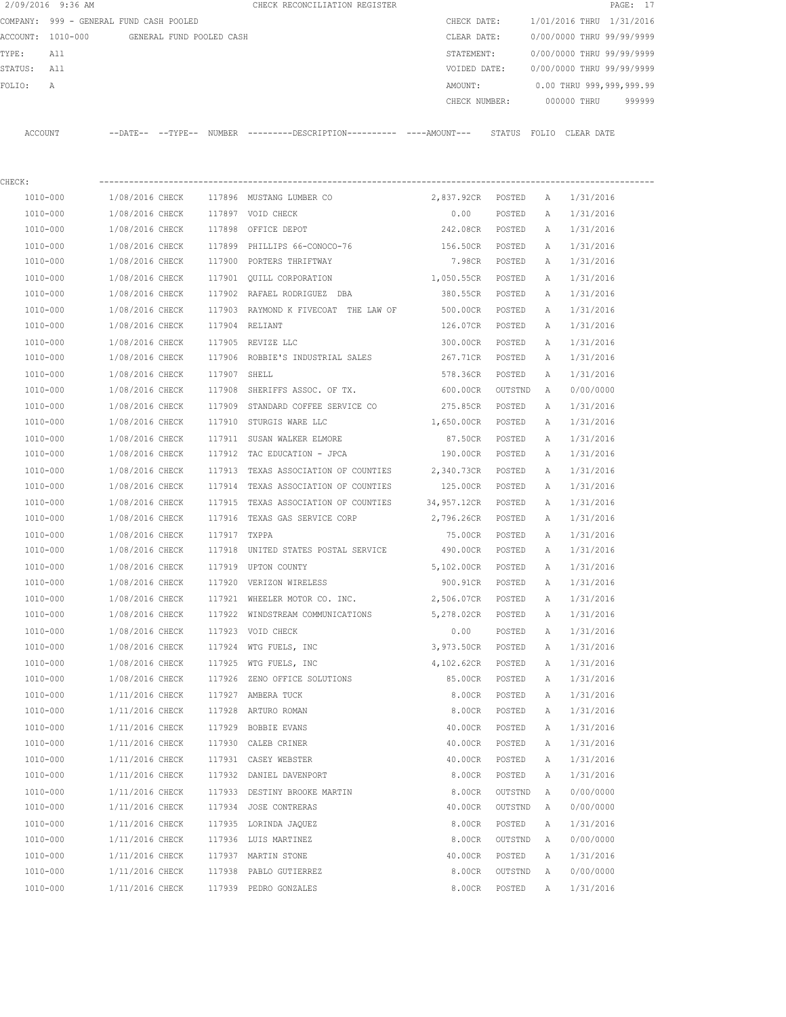| 2/09/2016 9:36 AM |                                         |                          |              | CHECK RECONCILIATION REGISTER                                                              |                   |         |              |                           | PAGE: 17 |
|-------------------|-----------------------------------------|--------------------------|--------------|--------------------------------------------------------------------------------------------|-------------------|---------|--------------|---------------------------|----------|
|                   | COMPANY: 999 - GENERAL FUND CASH POOLED |                          |              |                                                                                            | CHECK DATE:       |         |              | 1/01/2016 THRU 1/31/2016  |          |
| ACCOUNT: 1010-000 |                                         | GENERAL FUND POOLED CASH |              |                                                                                            | CLEAR DATE:       |         |              | 0/00/0000 THRU 99/99/9999 |          |
| TYPE:             | All                                     |                          |              |                                                                                            | STATEMENT:        |         |              | 0/00/0000 THRU 99/99/9999 |          |
| STATUS:           | All                                     |                          |              |                                                                                            | VOIDED DATE:      |         |              | 0/00/0000 THRU 99/99/9999 |          |
| FOLIO:<br>A       |                                         |                          |              |                                                                                            | AMOUNT:           |         |              | 0.00 THRU 999,999,999.99  |          |
|                   |                                         |                          |              |                                                                                            | CHECK NUMBER:     |         |              | 000000 THRU               | 999999   |
| ACCOUNT           |                                         |                          |              | --DATE-- --TYPE-- NUMBER --------DESCRIPTION--------- ----AMOUNT--- STATUS FOLIO CLEARDATE |                   |         |              |                           |          |
| CHECK:            |                                         |                          |              |                                                                                            |                   |         |              |                           |          |
| 1010-000          | 1/08/2016 CHECK                         |                          |              | 117896 MUSTANG LUMBER CO                                                                   | 2,837.92CR POSTED |         | A            | 1/31/2016                 |          |
| 1010-000          | 1/08/2016 CHECK                         |                          |              | 117897 VOID CHECK                                                                          | 0.00              | POSTED  | A            | 1/31/2016                 |          |
| 1010-000          | 1/08/2016 CHECK                         |                          |              | 117898 OFFICE DEPOT                                                                        | 242.08CR POSTED   |         | A            | 1/31/2016                 |          |
| 1010-000          | 1/08/2016 CHECK                         |                          |              | 117899 PHILLIPS 66-CONOCO-76                                                               | 156.50CR POSTED   |         | A            | 1/31/2016                 |          |
| 1010-000          | 1/08/2016 CHECK                         |                          |              | 117900 PORTERS THRIFTWAY                                                                   | 7.98CR POSTED     |         | A            | 1/31/2016                 |          |
| 1010-000          | 1/08/2016 CHECK                         |                          |              | 117901 OUILL CORPORATION                                                                   | 1,050.55CR POSTED |         | Α            | 1/31/2016                 |          |
| 1010-000          | 1/08/2016 CHECK                         |                          |              | 117902 RAFAEL RODRIGUEZ DBA                                                                | 380.55CR POSTED   |         | Α            | 1/31/2016                 |          |
| 1010-000          | 1/08/2016 CHECK                         |                          |              | 117903 RAYMOND K FIVECOAT THE LAW OF                                                       | 500.00CR          | POSTED  | Α            | 1/31/2016                 |          |
| 1010-000          | 1/08/2016 CHECK                         |                          |              | 117904 RELIANT                                                                             | 126.07CR          | POSTED  | A            | 1/31/2016                 |          |
| 1010-000          | 1/08/2016 CHECK                         |                          |              | 117905 REVIZE LLC                                                                          | 300.00CR          | POSTED  | $\mathbb{A}$ | 1/31/2016                 |          |
| 1010-000          | 1/08/2016 CHECK                         |                          |              | 117906 ROBBIE'S INDUSTRIAL SALES                                                           | 267.71CR          | POSTED  | Α            | 1/31/2016                 |          |
| 1010-000          | 1/08/2016 CHECK                         |                          | 117907 SHELL |                                                                                            | 578.36CR          | POSTED  | Α            | 1/31/2016                 |          |
| 1010-000          | 1/08/2016 CHECK                         |                          | 117908       | SHERIFFS ASSOC. OF TX.                                                                     | 600.00CR          | OUTSTND | Α            | 0/00/0000                 |          |
| 1010-000          | 1/08/2016 CHECK                         |                          |              | 117909 STANDARD COFFEE SERVICE CO                                                          | 275.85CR          | POSTED  | Α            | 1/31/2016                 |          |
| 1010-000          | 1/08/2016 CHECK                         |                          |              | 117910 STURGIS WARE LLC                                                                    | 1,650.00CR POSTED |         | Α            | 1/31/2016                 |          |
| 1010-000          | 1/08/2016 CHECK                         |                          |              | 117911 SUSAN WALKER ELMORE                                                                 | 87.50CR POSTED    |         | Α            | 1/31/2016                 |          |
| 1010-000          | 1/08/2016 CHECK                         |                          | 117912       | TAC EDUCATION - JPCA                                                                       | 190.00CR          | POSTED  | Α            | 1/31/2016                 |          |
| 1010-000          | 1/08/2016 CHECK                         |                          | 117913       | TEXAS ASSOCIATION OF COUNTIES                                                              | 2,340.73CR        | POSTED  | A            | 1/31/2016                 |          |
| 1010-000          | 1/08/2016 CHECK                         |                          | 117914       | TEXAS ASSOCIATION OF COUNTIES                                                              | 125.00CR          | POSTED  | A            | 1/31/2016                 |          |
| 1010-000          | 1/08/2016 CHECK                         |                          | 117915       | TEXAS ASSOCIATION OF COUNTIES 34,957.12CR                                                  |                   | POSTED  | A            | 1/31/2016                 |          |
| 1010-000          | 1/08/2016 CHECK                         |                          |              | 117916 TEXAS GAS SERVICE CORP                                                              | 2,796.26CR        | POSTED  | A            | 1/31/2016                 |          |
| 1010-000          | 1/08/2016 CHECK                         |                          | 117917 TXPPA |                                                                                            | 75.00CR           | POSTED  | A            | 1/31/2016                 |          |
| 1010-000          |                                         |                          |              | 1/08/2016 CHECK 117918 UNITED STATES POSTAL SERVICE 490.00CR                               |                   | POSTED  | A            | 1/31/2016                 |          |
| 1010-000          | 1/08/2016 CHECK                         |                          |              | 117919 UPTON COUNTY                                                                        | 5,102.00CR        | POSTED  | Α            | 1/31/2016                 |          |
| 1010-000          | 1/08/2016 CHECK                         |                          |              | 117920 VERIZON WIRELESS                                                                    | 900.91CR          | POSTED  | Α            | 1/31/2016                 |          |
| $1010 - 000$      | 1/08/2016 CHECK                         |                          |              | 117921 WHEELER MOTOR CO. INC.                                                              | 2,506.07CR        | POSTED  | Α            | 1/31/2016                 |          |
| 1010-000          | 1/08/2016 CHECK                         |                          |              | 117922 WINDSTREAM COMMUNICATIONS                                                           | 5,278.02CR        | POSTED  | Α            | 1/31/2016                 |          |
| 1010-000          | 1/08/2016 CHECK                         |                          |              | 117923 VOID CHECK                                                                          | 0.00              | POSTED  | Α            | 1/31/2016                 |          |
| 1010-000          | 1/08/2016 CHECK                         |                          |              | 117924 WTG FUELS, INC                                                                      | 3,973.50CR        | POSTED  | Α            | 1/31/2016                 |          |
| 1010-000          | 1/08/2016 CHECK                         |                          | 117925       | WTG FUELS, INC                                                                             | 4,102.62CR        | POSTED  | Α            | 1/31/2016                 |          |
| 1010-000          | 1/08/2016 CHECK                         |                          | 117926       | ZENO OFFICE SOLUTIONS                                                                      | 85.00CR           | POSTED  | Α            | 1/31/2016                 |          |
| 1010-000          | 1/11/2016 CHECK                         |                          |              | 117927 AMBERA TUCK                                                                         | 8.00CR            | POSTED  | Α            | 1/31/2016                 |          |
| 1010-000          | 1/11/2016 CHECK                         |                          | 117928       | ARTURO ROMAN                                                                               | 8.00CR            | POSTED  | Α            | 1/31/2016                 |          |
| 1010-000          | 1/11/2016 CHECK                         |                          |              | 117929 BOBBIE EVANS                                                                        | 40.00CR           | POSTED  | Α            | 1/31/2016                 |          |
| 1010-000          | 1/11/2016 CHECK                         |                          |              | 117930 CALEB CRINER                                                                        | 40.00CR           | POSTED  | Α            | 1/31/2016                 |          |
| 1010-000          | 1/11/2016 CHECK                         |                          | 117931       | CASEY WEBSTER                                                                              | 40.00CR           | POSTED  | Α            | 1/31/2016                 |          |
| 1010-000          | 1/11/2016 CHECK                         |                          | 117932       | DANIEL DAVENPORT                                                                           | 8.00CR            | POSTED  | Α            | 1/31/2016                 |          |
| 1010-000          | 1/11/2016 CHECK                         |                          |              | 117933 DESTINY BROOKE MARTIN                                                               | 8.00CR            | OUTSTND | Α            | 0/00/0000                 |          |
| 1010-000          | 1/11/2016 CHECK                         |                          |              | 117934 JOSE CONTRERAS                                                                      | 40.00CR           | OUTSTND | Α            | 0/00/0000                 |          |
| 1010-000          | 1/11/2016 CHECK                         |                          |              | 117935 LORINDA JAQUEZ                                                                      | 8.00CR            | POSTED  | Α            | 1/31/2016                 |          |
| 1010-000          | 1/11/2016 CHECK                         |                          |              | 117936 LUIS MARTINEZ                                                                       | 8.00CR            | OUTSTND | Α            | 0/00/0000                 |          |
| 1010-000          | 1/11/2016 CHECK                         |                          | 117937       | MARTIN STONE                                                                               | 40.00CR           | POSTED  | Α            | 1/31/2016                 |          |
| 1010-000          | 1/11/2016 CHECK                         |                          | 117938       | PABLO GUTIERREZ                                                                            | 8.00CR            | OUTSTND | Α            | 0/00/0000                 |          |
| 1010-000          | 1/11/2016 CHECK                         |                          |              | 117939 PEDRO GONZALES                                                                      | 8.00CR            | POSTED  | Α            | 1/31/2016                 |          |
|                   |                                         |                          |              |                                                                                            |                   |         |              |                           |          |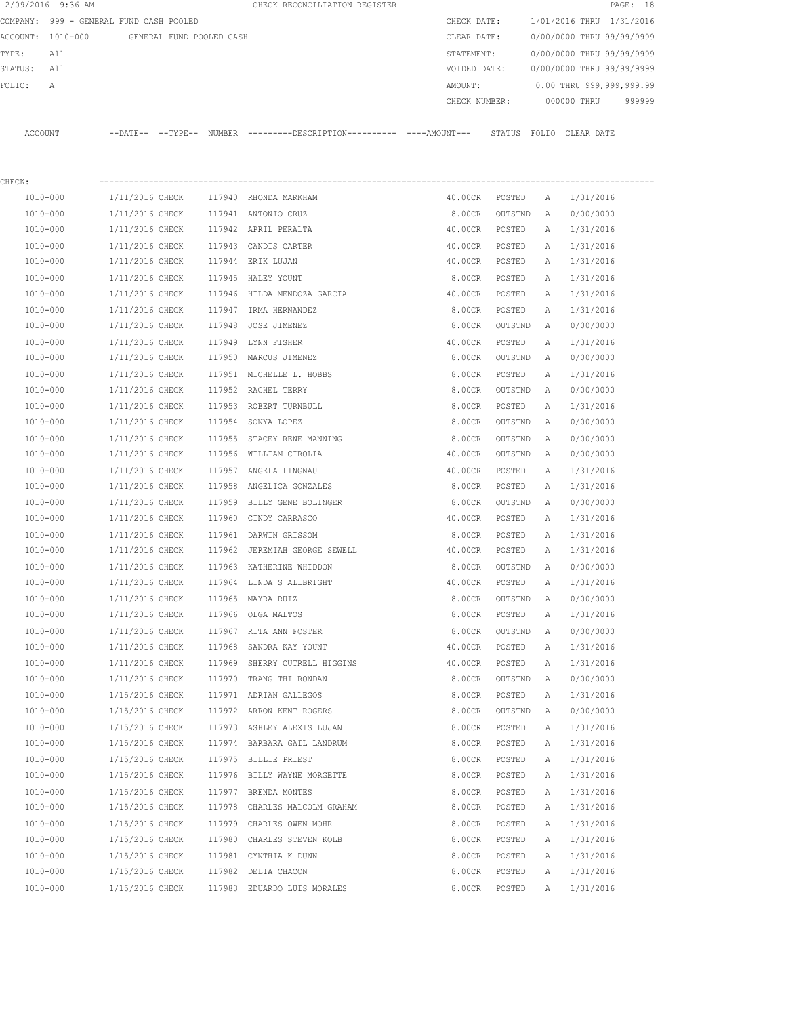| 2/09/2016 9:36 AM |                                            |        | CHECK RECONCILIATION REGISTER                                                              |               |         |              |                           | PAGE: 18 |
|-------------------|--------------------------------------------|--------|--------------------------------------------------------------------------------------------|---------------|---------|--------------|---------------------------|----------|
|                   | COMPANY: 999 - GENERAL FUND CASH POOLED    |        |                                                                                            | CHECK DATE:   |         |              | 1/01/2016 THRU 1/31/2016  |          |
|                   | ACCOUNT: 1010-000 GENERAL FUND POOLED CASH |        |                                                                                            | CLEAR DATE:   |         |              | 0/00/0000 THRU 99/99/9999 |          |
| TYPE:<br>All      |                                            |        |                                                                                            | STATEMENT:    |         |              | 0/00/0000 THRU 99/99/9999 |          |
| STATUS:<br>All    |                                            |        |                                                                                            | VOIDED DATE:  |         |              | 0/00/0000 THRU 99/99/9999 |          |
| FOLIO:<br>Α       |                                            |        |                                                                                            | AMOUNT:       |         |              | 0.00 THRU 999,999,999.99  |          |
|                   |                                            |        |                                                                                            | CHECK NUMBER: |         |              | 000000 THRU               | 999999   |
| ACCOUNT           |                                            |        | --DATE-- --TYPE-- NUMBER --------DESCRIPTION---------- ---AMOUNT--- STATUS FOLIO CLEARDATE |               |         |              |                           |          |
|                   |                                            |        |                                                                                            |               |         |              |                           |          |
| CHECK:            |                                            |        |                                                                                            |               |         |              |                           |          |
| 1010-000          | 1/11/2016 CHECK                            |        | 117940 RHONDA MARKHAM                                                                      | 40.00CR       | POSTED  | А            | 1/31/2016                 |          |
| 1010-000          | 1/11/2016 CHECK                            |        | 117941 ANTONIO CRUZ                                                                        | 8.00CR        | OUTSTND | A            | 0/00/0000                 |          |
| 1010-000          | 1/11/2016 CHECK                            |        | 117942 APRIL PERALTA                                                                       | 40.00CR       | POSTED  | A            | 1/31/2016                 |          |
| 1010-000          | 1/11/2016 CHECK                            |        | 117943 CANDIS CARTER                                                                       | 40.00CR       | POSTED  | A            | 1/31/2016                 |          |
| 1010-000          | 1/11/2016 CHECK                            |        | 117944 ERIK LUJAN                                                                          | 40.00CR       | POSTED  | A            | 1/31/2016                 |          |
| 1010-000          | 1/11/2016 CHECK                            |        | 117945 HALEY YOUNT                                                                         | 8.00CR        | POSTED  | A            | 1/31/2016                 |          |
| 1010-000          | 1/11/2016 CHECK                            |        | 117946 HILDA MENDOZA GARCIA                                                                | 40.00CR       | POSTED  | A            | 1/31/2016                 |          |
| 1010-000          | 1/11/2016 CHECK                            |        | 117947 IRMA HERNANDEZ                                                                      | 8.00CR        | POSTED  | A            | 1/31/2016                 |          |
| 1010-000          | 1/11/2016 CHECK                            |        | 117948 JOSE JIMENEZ                                                                        | 8.00CR        | OUTSTND | A            | 0/00/0000                 |          |
| 1010-000          | 1/11/2016 CHECK                            |        | 117949 LYNN FISHER                                                                         | 40.00CR       | POSTED  | Α            | 1/31/2016                 |          |
| 1010-000          | 1/11/2016 CHECK                            |        | 117950 MARCUS JIMENEZ                                                                      | 8.00CR        | OUTSTND | Α            | 0/00/0000                 |          |
| 1010-000          | 1/11/2016 CHECK                            |        | 117951 MICHELLE L. HOBBS                                                                   | 8.00CR        | POSTED  | Α            | 1/31/2016                 |          |
| 1010-000          | 1/11/2016 CHECK                            |        | 117952 RACHEL TERRY                                                                        | 8.00CR        | OUTSTND | A            | 0/00/0000                 |          |
| 1010-000          | 1/11/2016 CHECK                            |        | 117953 ROBERT TURNBULL                                                                     | 8.00CR        | POSTED  | Α            | 1/31/2016                 |          |
| 1010-000          | 1/11/2016 CHECK                            |        | 117954 SONYA LOPEZ                                                                         | 8.00CR        | OUTSTND | Α            | 0/00/0000                 |          |
| 1010-000          | 1/11/2016 CHECK                            |        | 117955 STACEY RENE MANNING                                                                 | 8.00CR        | OUTSTND | A            | 0/00/0000                 |          |
| 1010-000          | 1/11/2016 CHECK                            |        | 117956 WILLIAM CIROLIA                                                                     | 40.00CR       | OUTSTND | A            | 0/00/0000                 |          |
| 1010-000          | 1/11/2016 CHECK                            |        | 117957 ANGELA LINGNAU                                                                      | 40.00CR       | POSTED  | Α            | 1/31/2016                 |          |
| 1010-000          | 1/11/2016 CHECK                            | 117958 | ANGELICA GONZALES                                                                          | 8.00CR        | POSTED  | A            | 1/31/2016                 |          |
| 1010-000          | 1/11/2016 CHECK                            |        | 117959 BILLY GENE BOLINGER                                                                 | 8.00CR        | OUTSTND | A            | 0/00/0000                 |          |
| 1010-000          | 1/11/2016 CHECK                            |        | 117960 CINDY CARRASCO                                                                      | 40.00CR       | POSTED  | A            | 1/31/2016                 |          |
| 1010-000          | 1/11/2016 CHECK                            |        | 117961 DARWIN GRISSOM                                                                      | 8.00CR        | POSTED  | A            | 1/31/2016                 |          |
| 1010-000          | 1/11/2016 CHECK                            |        | 117962 JEREMIAH GEORGE SEWELL                                                              | 40.00CR       | POSTED  | A            | 1/31/2016                 |          |
| 1010-000          | 1/11/2016 CHECK                            |        | 117963 KATHERINE WHIDDON                                                                   | 8.00CR        | OUTSTND | A            | 0/00/0000                 |          |
| 1010-000          | 1/11/2016 CHECK                            |        | 117964 LINDA S ALLBRIGHT                                                                   | 40.00CR       | POSTED  | Α            | 1/31/2016                 |          |
| 1010-000          | 1/11/2016 CHECK                            |        | 117965 MAYRA RUIZ                                                                          | 8.00CR        | OUTSTND | Α            | 0/00/0000                 |          |
| 1010-000          | 1/11/2016 CHECK                            |        | 117966 OLGA MALTOS                                                                         | 8.00CR        | POSTED  | Α            | 1/31/2016                 |          |
| $1010 - 000$      | 1/11/2016 CHECK                            |        | 117967 RITA ANN FOSTER                                                                     | 8.00CR        | OUTSTND | Α            | 0/00/0000                 |          |
| 1010-000          | 1/11/2016 CHECK                            |        | 117968 SANDRA KAY YOUNT                                                                    | 40.00CR       | POSTED  | Α            | 1/31/2016                 |          |
| 1010-000          | 1/11/2016 CHECK                            |        | 117969 SHERRY CUTRELL HIGGINS                                                              | 40.00CR       | POSTED  | Α            | 1/31/2016                 |          |
| 1010-000          | 1/11/2016 CHECK                            |        | 117970 TRANG THI RONDAN                                                                    | 8.00CR        | OUTSTND | Α            | 0/00/0000                 |          |
| 1010-000          | 1/15/2016 CHECK                            |        | 117971 ADRIAN GALLEGOS                                                                     | 8.00CR        | POSTED  | Α            | 1/31/2016                 |          |
| 1010-000          | 1/15/2016 CHECK                            |        | 117972 ARRON KENT ROGERS                                                                   | 8.00CR        | OUTSTND | Α            | 0/00/0000                 |          |
| 1010-000          | 1/15/2016 CHECK                            |        | 117973 ASHLEY ALEXIS LUJAN                                                                 | 8.00CR        | POSTED  | Α            | 1/31/2016                 |          |
| 1010-000          | 1/15/2016 CHECK                            |        | 117974 BARBARA GAIL LANDRUM                                                                | 8.00CR        | POSTED  | Α            | 1/31/2016                 |          |
| 1010-000          | 1/15/2016 CHECK                            |        | 117975 BILLIE PRIEST                                                                       | 8.00CR        | POSTED  | Α            | 1/31/2016                 |          |
| 1010-000          | 1/15/2016 CHECK                            |        | 117976 BILLY WAYNE MORGETTE                                                                | 8.00CR        | POSTED  | Α            | 1/31/2016                 |          |
| 1010-000          | 1/15/2016 CHECK                            |        | 117977 BRENDA MONTES                                                                       | 8.00CR        | POSTED  | Α            | 1/31/2016                 |          |
| 1010-000          | 1/15/2016 CHECK                            |        | 117978 CHARLES MALCOLM GRAHAM                                                              | 8.00CR        | POSTED  | Α            | 1/31/2016                 |          |
| 1010-000          | 1/15/2016 CHECK                            |        | 117979 CHARLES OWEN MOHR                                                                   | 8.00CR        | POSTED  | Α            | 1/31/2016                 |          |
| 1010-000          | 1/15/2016 CHECK                            |        | 117980 CHARLES STEVEN KOLB                                                                 | 8.00CR        | POSTED  | Α            | 1/31/2016                 |          |
| 1010-000          | 1/15/2016 CHECK                            |        | 117981 CYNTHIA K DUNN                                                                      | 8.00CR        | POSTED  | Α            | 1/31/2016                 |          |
| 1010-000          | 1/15/2016 CHECK                            |        | 117982 DELIA CHACON                                                                        | 8.00CR        | POSTED  | Α            | 1/31/2016                 |          |
| 1010-000          | 1/15/2016 CHECK                            |        | 117983 EDUARDO LUIS MORALES                                                                | 8.00CR        | POSTED  | $\mathbb{A}$ | 1/31/2016                 |          |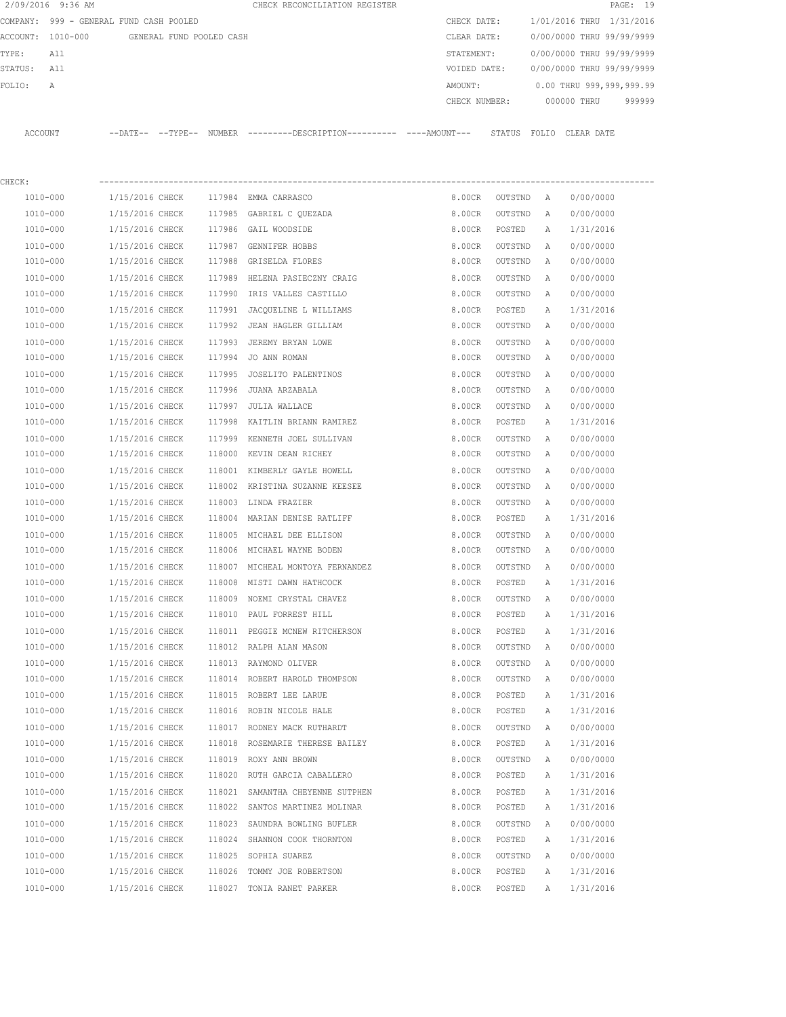|         | 2/09/2016 9:36 AM                       |                 |                          |        | CHECK RECONCILIATION REGISTER                                                              |              |               |   |                           | PAGE: 19 |
|---------|-----------------------------------------|-----------------|--------------------------|--------|--------------------------------------------------------------------------------------------|--------------|---------------|---|---------------------------|----------|
|         | COMPANY: 999 - GENERAL FUND CASH POOLED |                 |                          |        |                                                                                            | CHECK DATE:  |               |   | 1/01/2016 THRU 1/31/2016  |          |
|         | ACCOUNT: 1010-000                       |                 | GENERAL FUND POOLED CASH |        |                                                                                            | CLEAR DATE:  |               |   | 0/00/0000 THRU 99/99/9999 |          |
| TYPE:   | All                                     |                 |                          |        |                                                                                            | STATEMENT:   |               |   | 0/00/0000 THRU 99/99/9999 |          |
| STATUS: | All                                     |                 |                          |        |                                                                                            | VOIDED DATE: |               |   | 0/00/0000 THRU 99/99/9999 |          |
| FOLIO:  | Α                                       |                 |                          |        |                                                                                            | AMOUNT:      |               |   | 0.00 THRU 999,999,999.99  |          |
|         |                                         |                 |                          |        |                                                                                            |              | CHECK NUMBER: |   | 000000 THRU               | 999999   |
|         | ACCOUNT                                 |                 |                          |        | --DATE-- --TYPE-- NUMBER --------DESCRIPTION--------- ---AMOUNT--- STATUS FOLIO CLEAR DATE |              |               |   |                           |          |
| CHECK:  |                                         |                 |                          |        |                                                                                            |              |               |   |                           |          |
|         | 1010-000                                | 1/15/2016 CHECK |                          |        | 117984 EMMA CARRASCO                                                                       | 8.00CR       | OUTSTND A     |   | 0/00/0000                 |          |
|         | 1010-000                                | 1/15/2016 CHECK |                          |        | 117985 GABRIEL C QUEZADA                                                                   | 8.00CR       | OUTSTND       | Α | 0/00/0000                 |          |
|         | 1010-000                                | 1/15/2016 CHECK |                          |        | 117986 GAIL WOODSIDE                                                                       | 8.00CR       | POSTED        | Α | 1/31/2016                 |          |
|         | 1010-000                                | 1/15/2016 CHECK |                          |        | 117987 GENNIFER HOBBS                                                                      | 8.00CR       | OUTSTND       | Α | 0/00/0000                 |          |
|         | 1010-000                                | 1/15/2016 CHECK |                          |        | 117988 GRISELDA FLORES                                                                     | 8.00CR       | OUTSTND       | Α | 0/00/0000                 |          |
|         | 1010-000                                | 1/15/2016 CHECK |                          |        | 117989 HELENA PASIECZNY CRAIG                                                              | 8.00CR       | OUTSTND       | A | 0/00/0000                 |          |
|         | 1010-000                                | 1/15/2016 CHECK |                          |        | 117990 IRIS VALLES CASTILLO                                                                | 8.00CR       | OUTSTND       | Α | 0/00/0000                 |          |
|         | 1010-000                                | 1/15/2016 CHECK |                          |        | 117991 JACQUELINE L WILLIAMS                                                               | 8.00CR       | POSTED        | Α | 1/31/2016                 |          |
|         | 1010-000                                | 1/15/2016 CHECK |                          |        | 117992 JEAN HAGLER GILLIAM                                                                 | 8.00CR       | OUTSTND       | A | 0/00/0000                 |          |
|         | 1010-000                                | 1/15/2016 CHECK |                          | 117993 | JEREMY BRYAN LOWE                                                                          | 8.00CR       | OUTSTND       | Α | 0/00/0000                 |          |
|         | 1010-000                                | 1/15/2016 CHECK |                          |        | 117994 JO ANN ROMAN                                                                        | 8.00CR       | OUTSTND       | A | 0/00/0000                 |          |
|         | 1010-000                                | 1/15/2016 CHECK |                          | 117995 | JOSELITO PALENTINOS                                                                        | 8.00CR       | OUTSTND       | Α | 0/00/0000                 |          |
|         | 1010-000                                | 1/15/2016 CHECK |                          |        | 117996 JUANA ARZABALA                                                                      | 8.00CR       | OUTSTND       | Α | 0/00/0000                 |          |
|         | 1010-000                                | 1/15/2016 CHECK |                          | 117997 | JULIA WALLACE                                                                              | 8.00CR       | OUTSTND       | Α | 0/00/0000                 |          |
|         | 1010-000                                | 1/15/2016 CHECK |                          |        | 117998 KAITLIN BRIANN RAMIREZ                                                              | 8.00CR       | POSTED        | А | 1/31/2016                 |          |
|         | 1010-000                                | 1/15/2016 CHECK |                          | 117999 | KENNETH JOEL SULLIVAN                                                                      | 8.00CR       | OUTSTND       | Α | 0/00/0000                 |          |
|         | 1010-000                                | 1/15/2016 CHECK |                          |        | 118000 KEVIN DEAN RICHEY                                                                   | 8.00CR       | OUTSTND       | Α | 0/00/0000                 |          |
|         | 1010-000                                | 1/15/2016 CHECK |                          |        | 118001 KIMBERLY GAYLE HOWELL                                                               | 8.00CR       | OUTSTND       | Α | 0/00/0000                 |          |
|         | 1010-000                                | 1/15/2016 CHECK |                          |        | 118002 KRISTINA SUZANNE KEESEE                                                             | 8.00CR       | OUTSTND       | Α | 0/00/0000                 |          |
|         | 1010-000                                | 1/15/2016 CHECK |                          |        | 118003 LINDA FRAZIER                                                                       | 8.00CR       | OUTSTND       | A | 0/00/0000                 |          |
|         | 1010-000                                | 1/15/2016 CHECK |                          |        | 118004 MARIAN DENISE RATLIFF                                                               | 8.00CR       | POSTED        | Α | 1/31/2016                 |          |
|         | 1010-000                                | 1/15/2016 CHECK |                          |        | 118005 MICHAEL DEE ELLISON                                                                 | 8.00CR       | OUTSTND       | Α | 0/00/0000                 |          |
|         | 1010-000                                | 1/15/2016 CHECK |                          |        | 118006 MICHAEL WAYNE BODEN                                                                 | 8.00CR       | OUTSTND       | Α | 0/00/0000                 |          |
|         | 1010-000                                | 1/15/2016 CHECK |                          |        | 118007 MICHEAL MONTOYA FERNANDEZ                                                           | 8.00CR       | OUTSTND       | A | 0/00/0000                 |          |
|         | 1010-000                                | 1/15/2016 CHECK |                          |        | 118008 MISTI DAWN HATHCOCK                                                                 | 8.00CR       | POSTED        | А | 1/31/2016                 |          |
|         | 1010-000                                | 1/15/2016 CHECK |                          |        | 118009 NOEMI CRYSTAL CHAVEZ                                                                | 8.00CR       | OUTSTND       | Α | 0/00/0000                 |          |
|         | 1010-000                                | 1/15/2016 CHECK |                          |        | 118010 PAUL FORREST HILL                                                                   | 8.00CR       | POSTED        | Α | 1/31/2016                 |          |
|         | 1010-000                                | 1/15/2016 CHECK |                          |        | 118011 PEGGIE MCNEW RITCHERSON                                                             | 8.00CR       | POSTED        | Α | 1/31/2016                 |          |
|         | 1010-000                                | 1/15/2016 CHECK |                          |        | 118012 RALPH ALAN MASON                                                                    | 8.00CR       | OUTSTND       | Α | 0/00/0000                 |          |
|         | 1010-000                                | 1/15/2016 CHECK |                          |        | 118013 RAYMOND OLIVER                                                                      | 8.00CR       | OUTSTND       | Α | 0/00/0000                 |          |
|         | 1010-000                                | 1/15/2016 CHECK |                          |        | 118014 ROBERT HAROLD THOMPSON                                                              | 8.00CR       | OUTSTND       | Α | 0/00/0000                 |          |
|         | 1010-000                                | 1/15/2016 CHECK |                          |        | 118015 ROBERT LEE LARUE                                                                    | 8.00CR       | POSTED        | Α | 1/31/2016                 |          |
|         | 1010-000                                | 1/15/2016 CHECK |                          |        | 118016 ROBIN NICOLE HALE                                                                   | 8.00CR       | POSTED        | Α | 1/31/2016                 |          |
|         | $1010 - 000$                            | 1/15/2016 CHECK |                          |        | 118017 RODNEY MACK RUTHARDT                                                                | 8.00CR       | OUTSTND       | Α | 0/00/0000                 |          |
|         | 1010-000                                | 1/15/2016 CHECK |                          |        | 118018 ROSEMARIE THERESE BAILEY                                                            | 8.00CR       | POSTED        | Α | 1/31/2016                 |          |
|         | 1010-000                                | 1/15/2016 CHECK |                          |        | 118019 ROXY ANN BROWN                                                                      | 8.00CR       | OUTSTND       | Α | 0/00/0000                 |          |
|         | 1010-000                                | 1/15/2016 CHECK |                          |        | 118020 RUTH GARCIA CABALLERO                                                               | 8.00CR       | POSTED        | Α | 1/31/2016                 |          |
|         | 1010-000                                | 1/15/2016 CHECK |                          |        | 118021 SAMANTHA CHEYENNE SUTPHEN                                                           | 8.00CR       | POSTED        | Α | 1/31/2016                 |          |
|         | 1010-000                                | 1/15/2016 CHECK |                          |        | 118022 SANTOS MARTINEZ MOLINAR                                                             | 8.00CR       | POSTED        | Α | 1/31/2016                 |          |
|         | 1010-000                                | 1/15/2016 CHECK |                          |        | 118023 SAUNDRA BOWLING BUFLER                                                              | 8.00CR       | OUTSTND       | Α | 0/00/0000                 |          |
|         | 1010-000                                | 1/15/2016 CHECK |                          |        | 118024 SHANNON COOK THORNTON                                                               | 8.00CR       | POSTED        | Α | 1/31/2016                 |          |
|         | 1010-000                                | 1/15/2016 CHECK |                          |        | 118025 SOPHIA SUAREZ                                                                       | 8.00CR       | OUTSTND       | Α | 0/00/0000                 |          |
|         | 1010-000                                | 1/15/2016 CHECK |                          |        | 118026 TOMMY JOE ROBERTSON                                                                 | 8.00CR       | POSTED        | Α | 1/31/2016                 |          |
|         | 1010-000                                | 1/15/2016 CHECK |                          |        | 118027 TONIA RANET PARKER                                                                  | 8.00CR       | POSTED        | Α | 1/31/2016                 |          |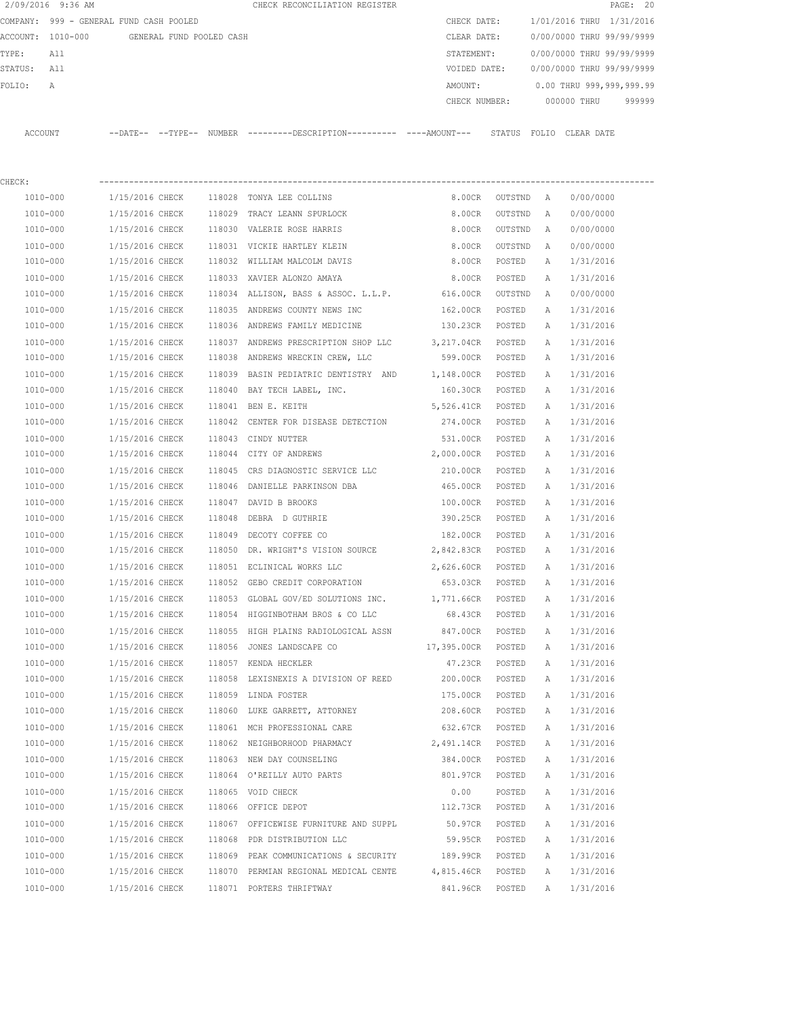|         | 2/09/2016 9:36 AM                       |                            |                          |        | CHECK RECONCILIATION REGISTER                 |               |       |                           | PAGE: 20 |  |
|---------|-----------------------------------------|----------------------------|--------------------------|--------|-----------------------------------------------|---------------|-------|---------------------------|----------|--|
|         | COMPANY: 999 - GENERAL FUND CASH POOLED |                            |                          |        |                                               | CHECK DATE:   |       | 1/01/2016 THRU 1/31/2016  |          |  |
|         | ACCOUNT: 1010-000                       |                            | GENERAL FUND POOLED CASH |        |                                               | CLEAR DATE:   |       | 0/00/0000 THRU 99/99/9999 |          |  |
| TYPE:   | All                                     |                            |                          |        |                                               | STATEMENT:    |       | 0/00/0000 THRU 99/99/9999 |          |  |
| STATUS: | All                                     |                            |                          |        |                                               | VOIDED DATE:  |       | 0/00/0000 THRU 99/99/9999 |          |  |
| FOLIO:  | A                                       |                            |                          |        |                                               | AMOUNT:       |       | 0.00 THRU 999,999,999.99  |          |  |
|         |                                         |                            |                          |        |                                               | CHECK NUMBER: |       | 000000 THRU               | 999999   |  |
|         |                                         |                            |                          |        |                                               |               |       |                           |          |  |
| ACCOUNT |                                         | $--$ DATE $- --$ TYPE $--$ |                          | NUMBER | ---------DESCRIPTION----------- ----AMOUNT--- | STATUS        | FOLTO | CLEAR DATE                |          |  |

| CHECK:   |                                          |        |                                                                         |                    |                |   |           |
|----------|------------------------------------------|--------|-------------------------------------------------------------------------|--------------------|----------------|---|-----------|
| 1010-000 | 1/15/2016 CHECK 118028 TONYA LEE COLLINS |        |                                                                         | 8.00CR             | OUTSTND A      |   | 0/00/0000 |
| 1010-000 |                                          |        | 1/15/2016 CHECK 118029 TRACY LEANN SPURLOCK                             | 8.00CR             | OUTSTND        | A | 0/00/0000 |
| 1010-000 | 1/15/2016 CHECK                          |        | 118030 VALERIE ROSE HARRIS                                              | 8.00CR             | OUTSTND        | A | 0/00/0000 |
| 1010-000 |                                          |        | 1/15/2016 CHECK 118031 VICKIE HARTLEY KLEIN                             |                    | 8.00CR OUTSTND | A | 0/00/0000 |
| 1010-000 |                                          |        | 1/15/2016 CHECK 118032 WILLIAM MALCOLM DAVIS                            | 8.00CR POSTED      |                | Α | 1/31/2016 |
| 1010-000 |                                          |        | 1/15/2016 CHECK 118033 XAVIER ALONZO AMAYA                              | 8.00CR POSTED      |                | A | 1/31/2016 |
| 1010-000 |                                          |        | $1/15/2016$ CHECK $118034$ ALLISON, BASS & ASSOC. L.L.P.                | 616.00CR OUTSTND   |                | A | 0/00/0000 |
| 1010-000 |                                          |        | 1/15/2016 CHECK 118035 ANDREWS COUNTY NEWS INC                          | 162.00CR POSTED    |                | A | 1/31/2016 |
| 1010-000 |                                          |        | 1/15/2016 CHECK 118036 ANDREWS FAMILY MEDICINE                          | 130.23CR POSTED    |                | Α | 1/31/2016 |
| 1010-000 |                                          |        | 1/15/2016 CHECK 118037 ANDREWS PRESCRIPTION SHOP LLC 3, 217.04CR POSTED |                    |                | Α | 1/31/2016 |
| 1010-000 |                                          |        | 1/15/2016 CHECK 118038 ANDREWS WRECKIN CREW, LLC                        | 599.00CR POSTED    |                | Α | 1/31/2016 |
| 1010-000 |                                          |        | 1/15/2016 CHECK 118039 BASIN PEDIATRIC DENTISTRY AND 1,148.00CR POSTED  |                    |                | A | 1/31/2016 |
| 1010-000 |                                          |        | $1/15/2016$ CHECK 118040 BAY TECH LABEL, INC.                           | 160.30CR POSTED    |                | Α | 1/31/2016 |
| 1010-000 | 1/15/2016 CHECK 118041 BEN E. KEITH      |        |                                                                         | 5,526.41CR POSTED  |                | Α | 1/31/2016 |
| 1010-000 | 1/15/2016 CHECK                          |        | 118042 CENTER FOR DISEASE DETECTION                                     | 274.00CR POSTED    |                | Α | 1/31/2016 |
| 1010-000 | 1/15/2016 CHECK                          |        | 118043 CINDY NUTTER                                                     | 531.00CR POSTED    |                | Α | 1/31/2016 |
| 1010-000 | 1/15/2016 CHECK                          |        | 118044 CITY OF ANDREWS                                                  | 2,000.00CR POSTED  |                | A | 1/31/2016 |
| 1010-000 | 1/15/2016 CHECK                          |        | 118045 CRS DIAGNOSTIC SERVICE LLC                                       | 210.00CR POSTED    |                | A | 1/31/2016 |
| 1010-000 | 1/15/2016 CHECK                          |        | 118046 DANIELLE PARKINSON DBA                                           | 465.00CR POSTED    |                | Α | 1/31/2016 |
| 1010-000 | 1/15/2016 CHECK                          |        | 118047 DAVID B BROOKS                                                   | 100.00CR POSTED    |                | Α | 1/31/2016 |
| 1010-000 | 1/15/2016 CHECK                          | 118048 | DEBRA D GUTHRIE                                                         | 390.25CR POSTED    |                | A | 1/31/2016 |
| 1010-000 | 1/15/2016 CHECK 118049 DECOTY COFFEE CO  |        |                                                                         | 182.00CR POSTED    |                | A | 1/31/2016 |
| 1010-000 |                                          |        | 1/15/2016 CHECK 118050 DR. WRIGHT'S VISION SOURCE 2,842.83CR POSTED     |                    |                | A | 1/31/2016 |
| 1010-000 |                                          |        | 1/15/2016 CHECK 118051 ECLINICAL WORKS LLC                              | 2,626.60CR POSTED  |                | A | 1/31/2016 |
| 1010-000 |                                          |        | 1/15/2016 CHECK 118052 GEBO CREDIT CORPORATION                          | 653.03CR POSTED    |                | A | 1/31/2016 |
| 1010-000 |                                          |        | 1/15/2016 CHECK 118053 GLOBAL GOV/ED SOLUTIONS INC. 1,771.66CR POSTED   |                    |                | Α | 1/31/2016 |
| 1010-000 |                                          |        | $1/15/2016$ CHECK $118054$ HIGGINBOTHAM BROS & CO LLC                   | 68.43CR POSTED     |                | A | 1/31/2016 |
| 1010-000 |                                          |        | 1/15/2016 CHECK 118055 HIGH PLAINS RADIOLOGICAL ASSN                    | 847.00CR POSTED    |                | A | 1/31/2016 |
| 1010-000 |                                          |        | 1/15/2016 CHECK 118056 JONES LANDSCAPE CO                               | 17,395.00CR POSTED |                | A | 1/31/2016 |
| 1010-000 | 1/15/2016 CHECK                          |        | 118057 KENDA HECKLER                                                    | 47.23CR POSTED     |                | A | 1/31/2016 |
| 1010-000 |                                          |        | 1/15/2016 CHECK 118058 LEXISNEXIS A DIVISION OF REED                    | 200.00CR POSTED    |                | A | 1/31/2016 |
| 1010-000 | 1/15/2016 CHECK                          |        | 118059 LINDA FOSTER                                                     | 175.00CR POSTED    |                | A | 1/31/2016 |
| 1010-000 | 1/15/2016 CHECK                          |        | 118060 LUKE GARRETT, ATTORNEY                                           | 208.60CR POSTED    |                | A | 1/31/2016 |
| 1010-000 | 1/15/2016 CHECK                          |        | 118061 MCH PROFESSIONAL CARE                                            | 632.67CR           | POSTED         | A | 1/31/2016 |
| 1010-000 | 1/15/2016 CHECK                          |        | 118062 NEIGHBORHOOD PHARMACY                                            | 2,491.14CR         | POSTED         | Α | 1/31/2016 |
| 1010-000 | 1/15/2016 CHECK                          |        | 118063 NEW DAY COUNSELING                                               | 384.00CR           | POSTED         | А | 1/31/2016 |
| 1010-000 | 1/15/2016 CHECK                          |        | 118064 O'REILLY AUTO PARTS                                              | 801.97CR           | POSTED         | Α | 1/31/2016 |
| 1010-000 | 1/15/2016 CHECK                          |        | 118065 VOID CHECK                                                       | 0.00               | POSTED         | Α | 1/31/2016 |
| 1010-000 | 1/15/2016 CHECK                          |        | 118066 OFFICE DEPOT                                                     | 112.73CR           | POSTED         | Α | 1/31/2016 |
| 1010-000 | 1/15/2016 CHECK                          |        | 118067 OFFICEWISE FURNITURE AND SUPPL                                   | 50.97CR            | POSTED         | Α | 1/31/2016 |
| 1010-000 | 1/15/2016 CHECK                          |        | 118068 PDR DISTRIBUTION LLC                                             | 59.95CR            | POSTED         | Α | 1/31/2016 |
| 1010-000 | 1/15/2016 CHECK                          |        | 118069 PEAK COMMUNICATIONS & SECURITY                                   | 189.99CR           | POSTED         | Α | 1/31/2016 |
| 1010-000 | 1/15/2016 CHECK                          |        | 118070 PERMIAN REGIONAL MEDICAL CENTE                                   | 4,815.46CR         | POSTED         | Α | 1/31/2016 |
| 1010-000 | 1/15/2016 CHECK                          |        | 118071 PORTERS THRIFTWAY                                                | 841.96CR           | POSTED         | Α | 1/31/2016 |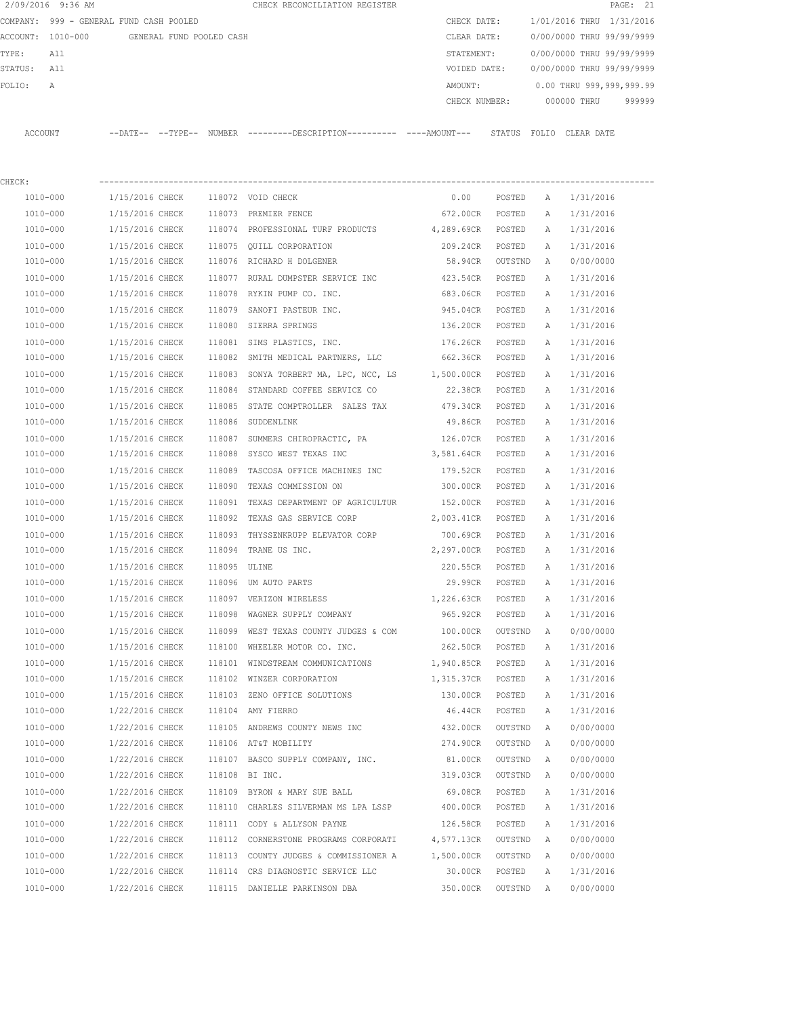|          | 2/09/2016 9:36 AM              |                            |                          | CHECK RECONCILIATION REGISTER |               |                           | PAGE: 21 |
|----------|--------------------------------|----------------------------|--------------------------|-------------------------------|---------------|---------------------------|----------|
| COMPANY: | 999 - GENERAL FUND CASH POOLED |                            |                          |                               | CHECK DATE:   | 1/01/2016 THRU 1/31/2016  |          |
|          | ACCOUNT: 1010-000              |                            | GENERAL FUND POOLED CASH |                               | CLEAR DATE:   | 0/00/0000 THRU 99/99/9999 |          |
| TYPE:    | All                            |                            |                          |                               | STATEMENT:    | 0/00/0000 THRU 99/99/9999 |          |
| STATUS:  | All                            |                            |                          |                               | VOIDED DATE:  | 0/00/0000 THRU 99/99/9999 |          |
| FOLIO:   | A                              |                            |                          |                               | AMOUNT:       | 0.00 THRU 999,999,999.99  |          |
|          |                                |                            |                          |                               | CHECK NUMBER: | 000000 THRU               | 999999   |
|          |                                |                            |                          |                               |               |                           |          |
| ACCOUNT  |                                | $--$ DATE $- --$ TYPE $--$ | <b>NUMBER</b>            |                               | STATUS        | FOLIO<br>CLEAR DATE       |          |
|          |                                |                            |                          |                               |               |                           |          |

| CHECK:   |                 |              |                                                         |                    |           |              |           |
|----------|-----------------|--------------|---------------------------------------------------------|--------------------|-----------|--------------|-----------|
| 1010-000 | 1/15/2016 CHECK |              | 118072 VOID CHECK                                       | 0.00               | POSTED    | $\mathbb{A}$ | 1/31/2016 |
| 1010-000 | 1/15/2016 CHECK |              | 118073 PREMIER FENCE                                    | 672.00CR POSTED    |           | Α            | 1/31/2016 |
| 1010-000 | 1/15/2016 CHECK |              | 118074 PROFESSIONAL TURF PRODUCTS 4,289.69CR            |                    | POSTED    | Α            | 1/31/2016 |
| 1010-000 | 1/15/2016 CHECK |              | 118075 OUILL CORPORATION                                | 209.24CR           | POSTED    | Α            | 1/31/2016 |
| 1010-000 | 1/15/2016 CHECK |              | 118076 RICHARD H DOLGENER                               | 58.94CR            | OUTSTND   | A            | 0/00/0000 |
| 1010-000 | 1/15/2016 CHECK |              | 118077 RURAL DUMPSTER SERVICE INC 423.54CR              |                    | POSTED    | Α            | 1/31/2016 |
| 1010-000 | 1/15/2016 CHECK |              | 118078 RYKIN PUMP CO. INC.                              | 683.06CR           | POSTED    | Α            | 1/31/2016 |
| 1010-000 | 1/15/2016 CHECK | 118079       | SANOFI PASTEUR INC. 945.04CR                            |                    | POSTED    | А            | 1/31/2016 |
| 1010-000 | 1/15/2016 CHECK |              | 118080 SIERRA SPRINGS<br>136.20CR                       |                    | POSTED    | Α            | 1/31/2016 |
| 1010-000 | 1/15/2016 CHECK |              | 118081 SIMS PLASTICS, INC. 176.26CR                     |                    | POSTED    | Α            | 1/31/2016 |
| 1010-000 | 1/15/2016 CHECK |              | 118082 SMITH MEDICAL PARTNERS, LLC 662.36CR POSTED      |                    |           | Α            | 1/31/2016 |
| 1010-000 | 1/15/2016 CHECK |              | 118083 SONYA TORBERT MA, LPC, NCC, LS 1,500.00CR POSTED |                    |           | Α            | 1/31/2016 |
| 1010-000 | 1/15/2016 CHECK |              | 118084 STANDARD COFFEE SERVICE CO                       | 22.38CR POSTED     |           | Α            | 1/31/2016 |
| 1010-000 | 1/15/2016 CHECK |              | 118085 STATE COMPTROLLER SALES TAX                      | 479.34CR           | POSTED    | Α            | 1/31/2016 |
| 1010-000 | 1/15/2016 CHECK |              | 118086 SUDDENLINK                                       | 49.86CR            | POSTED    | Α            | 1/31/2016 |
| 1010-000 | 1/15/2016 CHECK |              | 118087 SUMMERS CHIROPRACTIC, PA 126.07CR                |                    | POSTED    | Α            | 1/31/2016 |
| 1010-000 | 1/15/2016 CHECK | 118088       | SYSCO WEST TEXAS INC                                    | 3,581.64CR         | POSTED    | Α            | 1/31/2016 |
| 1010-000 | 1/15/2016 CHECK | 118089       | TASCOSA OFFICE MACHINES INC 179.52CR                    |                    | POSTED    | Α            | 1/31/2016 |
| 1010-000 | 1/15/2016 CHECK | 118090       | TEXAS COMMISSION ON                                     | 300.00CR           | POSTED    | Α            | 1/31/2016 |
| 1010-000 | 1/15/2016 CHECK |              | 118091 TEXAS DEPARTMENT OF AGRICULTUR 152.00CR          |                    | POSTED    | Α            | 1/31/2016 |
| 1010-000 | 1/15/2016 CHECK |              | 118092 TEXAS GAS SERVICE CORP 2,003.41CR                |                    | POSTED    | Α            | 1/31/2016 |
| 1010-000 | 1/15/2016 CHECK |              | 118093 THYSSENKRUPP ELEVATOR CORP                       | 700.69CR           | POSTED    | Α            | 1/31/2016 |
| 1010-000 | 1/15/2016 CHECK |              | 118094 TRANE US INC.                                    | 2,297.00CR         | POSTED    | Α            | 1/31/2016 |
| 1010-000 | 1/15/2016 CHECK | 118095 ULINE |                                                         | 220.55CR           | POSTED    | Α            | 1/31/2016 |
| 1010-000 | 1/15/2016 CHECK |              | 118096 UM AUTO PARTS                                    | 29.99CR POSTED     |           | Α            | 1/31/2016 |
| 1010-000 | 1/15/2016 CHECK |              | 118097 VERIZON WIRELESS                                 | 1,226.63CR         | POSTED    | Α            | 1/31/2016 |
| 1010-000 | 1/15/2016 CHECK |              | 118098 WAGNER SUPPLY COMPANY                            | 965.92CR POSTED    |           | Α            | 1/31/2016 |
| 1010-000 | 1/15/2016 CHECK |              | 118099 WEST TEXAS COUNTY JUDGES & COM                   | 100.00CR           | OUTSTND   | $\mathbb{A}$ | 0/00/0000 |
| 1010-000 | 1/15/2016 CHECK |              | 118100 WHEELER MOTOR CO. INC.                           | 262.50CR POSTED    |           | Α            | 1/31/2016 |
| 1010-000 | 1/15/2016 CHECK | 118101       | WINDSTREAM COMMUNICATIONS 1,940.85CR                    |                    | POSTED    | Α            | 1/31/2016 |
| 1010-000 | 1/15/2016 CHECK |              | 118102 WINZER CORPORATION                               | 1,315.37CR         | POSTED    | Α            | 1/31/2016 |
| 1010-000 | 1/15/2016 CHECK |              | 118103 ZENO OFFICE SOLUTIONS                            | 130.00CR           | POSTED    | Α            | 1/31/2016 |
| 1010-000 | 1/22/2016 CHECK |              | 118104 AMY FIERRO                                       | 46.44CR            | POSTED    | A            | 1/31/2016 |
| 1010-000 | 1/22/2016 CHECK |              | 118105 ANDREWS COUNTY NEWS INC 432.00CR                 |                    | OUTSTND A |              | 0/00/0000 |
| 1010-000 | 1/22/2016 CHECK |              | 118106 AT&T MOBILITY                                    | 274.90CR OUTSTND A |           |              | 0/00/0000 |
| 1010-000 | 1/22/2016 CHECK |              | 118107 BASCO SUPPLY COMPANY, INC.                       | 81.00CR            | OUTSTND   | A            | 0/00/0000 |
| 1010-000 | 1/22/2016 CHECK |              | 118108 BI INC.                                          | 319.03CR           | OUTSTND   | Α            | 0/00/0000 |
| 1010-000 | 1/22/2016 CHECK |              | 118109 BYRON & MARY SUE BALL                            | 69.08CR            | POSTED    | Α            | 1/31/2016 |
| 1010-000 | 1/22/2016 CHECK | 118110       | CHARLES SILVERMAN MS LPA LSSP                           | 400.00CR           | POSTED    | Α            | 1/31/2016 |
| 1010-000 | 1/22/2016 CHECK |              | 118111 CODY & ALLYSON PAYNE                             | 126.58CR           | POSTED    | Α            | 1/31/2016 |
| 1010-000 | 1/22/2016 CHECK |              | 118112 CORNERSTONE PROGRAMS CORPORATI                   | 4,577.13CR         | OUTSTND   | Α            | 0/00/0000 |
| 1010-000 | 1/22/2016 CHECK | 118113       | COUNTY JUDGES & COMMISSIONER A                          | 1,500.00CR         | OUTSTND   | Α            | 0/00/0000 |
| 1010-000 | 1/22/2016 CHECK |              | 118114 CRS DIAGNOSTIC SERVICE LLC                       | 30.00CR            | POSTED    | Α            | 1/31/2016 |
| 1010-000 | 1/22/2016 CHECK |              | 118115 DANIELLE PARKINSON DBA                           | 350.00CR           | OUTSTND   | Α            | 0/00/0000 |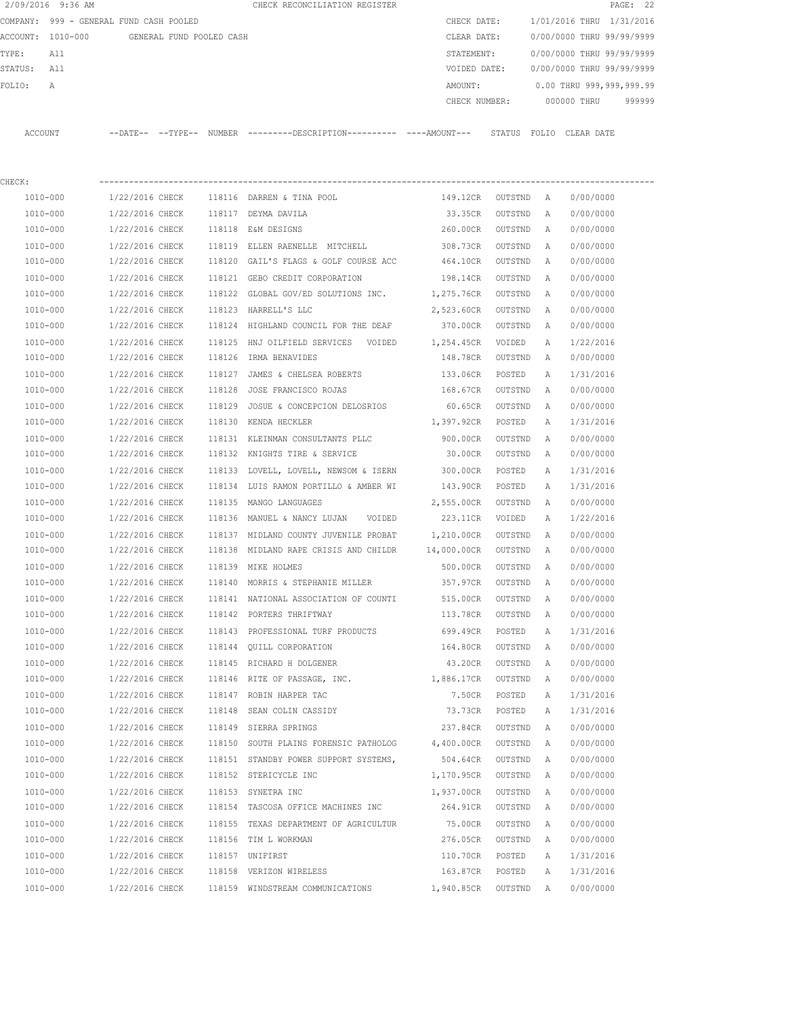|                                         | 2/09/2016 9:36 AM |                          |  | CHECK RECONCILIATION REGISTER                                                              |                              |           |                          |                           | PAGE: 22 |
|-----------------------------------------|-------------------|--------------------------|--|--------------------------------------------------------------------------------------------|------------------------------|-----------|--------------------------|---------------------------|----------|
| COMPANY: 999 - GENERAL FUND CASH POOLED |                   |                          |  | CHECK DATE:                                                                                |                              |           | 1/01/2016 THRU 1/31/2016 |                           |          |
|                                         | ACCOUNT: 1010-000 | GENERAL FUND POOLED CASH |  |                                                                                            | CLEAR DATE:                  |           |                          | 0/00/0000 THRU 99/99/9999 |          |
| TYPE:                                   | All               |                          |  |                                                                                            | STATEMENT:                   |           |                          | 0/00/0000 THRU 99/99/9999 |          |
| STATUS: All                             |                   |                          |  |                                                                                            | VOIDED DATE:                 |           |                          | 0/00/0000 THRU 99/99/9999 |          |
| FOLIO:                                  | A                 |                          |  |                                                                                            | AMOUNT:                      |           |                          | 0.00 THRU 999,999,999.99  |          |
|                                         |                   |                          |  |                                                                                            | CHECK NUMBER:                |           |                          | 000000 THRU 999999        |          |
|                                         | ACCOUNT           |                          |  | --DATE-- --TYPE-- NUMBER --------DESCRIPTION--------- ----AMOUNT--- STATUS FOLIO CLEARDATE |                              |           |                          |                           |          |
|                                         |                   |                          |  |                                                                                            |                              |           |                          |                           |          |
| CHECK:                                  |                   |                          |  |                                                                                            |                              |           |                          |                           |          |
|                                         |                   |                          |  | 1010-000 1/22/2016 CHECK 118116 DARREN & TINA POOL                                         | 149.12CR OUTSTND A           |           |                          | 0/00/0000                 |          |
|                                         | 1010-000          |                          |  | 1/22/2016 CHECK 118117 DEYMA DAVILA                                                        | 33.35CR OUTSTND A            |           |                          | 0/00/0000                 |          |
|                                         | 1010-000          |                          |  | 1/22/2016 CHECK 118118 E&M DESIGNS                                                         | 260.00CR OUTSTND             |           | A                        | 0/00/0000                 |          |
|                                         | 1010-000          | 1/22/2016 CHECK          |  | 118119 ELLEN RAENELLE MITCHELL                                                             | 308.73CR OUTSTND             |           | <b>A</b>                 | 0/00/0000                 |          |
|                                         | 1010-000          | 1/22/2016 CHECK          |  | 118120 GAIL'S FLAGS & GOLF COURSE ACC                                                      | 464.10CR OUTSTND             |           | A                        | 0/00/0000                 |          |
|                                         | 1010-000          | 1/22/2016 CHECK          |  | 118121 GEBO CREDIT CORPORATION                                                             | 198.14CR OUTSTND             |           | A                        | 0/00/0000                 |          |
|                                         | 1010-000          | 1/22/2016 CHECK          |  | 118122 GLOBAL GOV/ED SOLUTIONS INC.                                                        | 1,275.76CR OUTSTND           |           | <b>A</b>                 | 0/00/0000                 |          |
|                                         | 1010-000          | 1/22/2016 CHECK          |  | 118123 HARRELL'S LLC                                                                       | 2,523.60CR                   | OUTSTND   | A                        | 0/00/0000                 |          |
|                                         | 1010-000          | 1/22/2016 CHECK          |  | 118124 HIGHLAND COUNCIL FOR THE DEAF                                                       | 370.00CR                     | OUTSTND A |                          | 0/00/0000                 |          |
|                                         | 1010-000          | 1/22/2016 CHECK          |  |                                                                                            |                              |           | Α                        | 1/22/2016                 |          |
|                                         | 1010-000          |                          |  | 1/22/2016 CHECK 118126 IRMA BENAVIDES                                                      | 148.78CR OUTSTND             |           | A                        | 0/00/0000                 |          |
|                                         | 1010-000          |                          |  | $1/22/2016$ CHECK $118127$ JAMES & CHELSEA ROBERTS                                         | 133.06CR POSTED              |           | Α                        | 1/31/2016                 |          |
|                                         | 1010-000          |                          |  | 1/22/2016 CHECK 118128 JOSE FRANCISCO ROJAS                                                | 168.67CR                     | OUTSTND   | A                        | 0/00/0000                 |          |
|                                         | 1010-000          | 1/22/2016 CHECK          |  | 118129 JOSUE & CONCEPCION DELOSRIOS                                                        | 60.65CR                      | OUTSTND   | A                        | 0/00/0000                 |          |
|                                         | 1010-000          | 1/22/2016 CHECK          |  | 118130 KENDA HECKLER                                                                       | 1,397.92CR POSTED            |           | А                        | 1/31/2016                 |          |
|                                         | 1010-000          | 1/22/2016 CHECK          |  | 118131 KLEINMAN CONSULTANTS PLLC                                                           | 900.00CR                     | OUTSTND   | A                        | 0/00/0000                 |          |
|                                         | 1010-000          | 1/22/2016 CHECK          |  | 118132 KNIGHTS TIRE & SERVICE                                                              | 30.00CR OUTSTND              |           | A                        | 0/00/0000                 |          |
|                                         | 1010-000          | 1/22/2016 CHECK          |  | 118133 LOVELL, LOVELL, NEWSOM & ISERN                                                      | 300.00CR                     | POSTED    | A                        | 1/31/2016                 |          |
|                                         | 1010-000          | 1/22/2016 CHECK          |  | 118134 LUIS RAMON PORTILLO & AMBER WI                                                      | 143.90CR POSTED              |           | Α                        | 1/31/2016                 |          |
|                                         | 1010-000          | 1/22/2016 CHECK          |  | 118135 MANGO LANGUAGES                                                                     | 2,555.00CR OUTSTND A         |           |                          | 0/00/0000                 |          |
|                                         | 1010-000          | 1/22/2016 CHECK          |  | 118136 MANUEL & NANCY LUJAN - VOIDED                                                       | 223.11CR VOIDED              |           | A                        | 1/22/2016                 |          |
|                                         | 1010-000          |                          |  | 1/22/2016 CHECK 118137 MIDLAND COUNTY JUVENILE PROBAT 1,210.00CR OUTSTND A                 |                              |           |                          | 0/00/0000                 |          |
|                                         | 1010-000          | 1/22/2016 CHECK          |  | 118138 MIDLAND RAPE CRISIS AND CHILDR 14,000.00CR OUTSTND A                                |                              |           |                          | 0/00/0000                 |          |
|                                         | 1010-000          |                          |  | 1/22/2016 CHECK 118139 MIKE HOLMES                                                         | 500.00CR OUTSTND A 0/00/0000 |           |                          |                           |          |
|                                         | 1010-000          | 1/22/2016 CHECK          |  | 118140 MORRIS & STEPHANIE MILLER                                                           | 357.97CR                     | OUTSTND   | A                        | 0/00/0000                 |          |
|                                         | $1010 - 000$      | 1/22/2016 CHECK          |  | 118141 NATIONAL ASSOCIATION OF COUNTI                                                      | 515.00CR                     | OUTSTND   | Α                        | 0/00/0000                 |          |
|                                         | 1010-000          | 1/22/2016 CHECK          |  | 118142 PORTERS THRIFTWAY                                                                   | 113.78CR                     | OUTSTND   | Α                        | 0/00/0000                 |          |
|                                         | 1010-000          | 1/22/2016 CHECK          |  | 118143 PROFESSIONAL TURF PRODUCTS                                                          | 699.49CR                     | POSTED    | Α                        | 1/31/2016                 |          |
|                                         | 1010-000          | 1/22/2016 CHECK          |  | 118144 QUILL CORPORATION                                                                   | 164.80CR                     | OUTSTND   | Α                        | 0/00/0000                 |          |
|                                         | $1010 - 000$      | 1/22/2016 CHECK          |  | 118145 RICHARD H DOLGENER                                                                  | 43.20CR                      | OUTSTND   | Α                        | 0/00/0000                 |          |
|                                         | 1010-000          | 1/22/2016 CHECK          |  | 118146 RITE OF PASSAGE, INC.                                                               | 1,886.17CR                   | OUTSTND   | Α                        | 0/00/0000                 |          |
|                                         | 1010-000          | 1/22/2016 CHECK          |  | 118147 ROBIN HARPER TAC                                                                    | 7.50CR                       | POSTED    | Α                        | 1/31/2016                 |          |
|                                         | 1010-000          | 1/22/2016 CHECK          |  | 118148 SEAN COLIN CASSIDY                                                                  | 73.73CR                      | POSTED    | Α                        | 1/31/2016                 |          |
|                                         | 1010-000          | 1/22/2016 CHECK          |  | 118149 SIERRA SPRINGS                                                                      | 237.84CR                     | OUTSTND   | Α                        | 0/00/0000                 |          |
|                                         | 1010-000          | 1/22/2016 CHECK          |  | 118150 SOUTH PLAINS FORENSIC PATHOLOG                                                      | 4,400.00CR                   | OUTSTND   | Α                        | 0/00/0000                 |          |
|                                         | 1010-000          | 1/22/2016 CHECK          |  | 118151 STANDBY POWER SUPPORT SYSTEMS,                                                      | 504.64CR                     | OUTSTND   | А                        | 0/00/0000                 |          |
|                                         | 1010-000          | 1/22/2016 CHECK          |  | 118152 STERICYCLE INC                                                                      | 1,170.95CR                   | OUTSTND   | $\mathbb{A}$             | 0/00/0000                 |          |
|                                         | 1010-000          | 1/22/2016 CHECK          |  | 118153 SYNETRA INC                                                                         | 1,937.00CR                   | OUTSTND   | Α                        | 0/00/0000                 |          |
|                                         |                   |                          |  |                                                                                            |                              |           |                          |                           |          |

 1010-000 1/22/2016 CHECK 118154 TASCOSA OFFICE MACHINES INC 264.91CR OUTSTND A 0/00/0000 1010-000 1/22/2016 CHECK 118155 TEXAS DEPARTMENT OF AGRICULTUR 75.00CR OUTSTND A 0/00/0000 1010-000 1/22/2016 CHECK 118156 TIM L WORKMAN 276.05CR OUTSTND A 0/00/0000 1010-000 1/22/2016 CHECK 118157 UNIFIRST 110.70CR POSTED A 1/31/2016 1010-000 1/22/2016 CHECK 118158 VERIZON WIRELESS 163.87CR POSTED A 1/31/2016 1010-000 1/22/2016 CHECK 118159 WINDSTREAM COMMUNICATIONS 1,940.85CR OUTSTND A 0/00/0000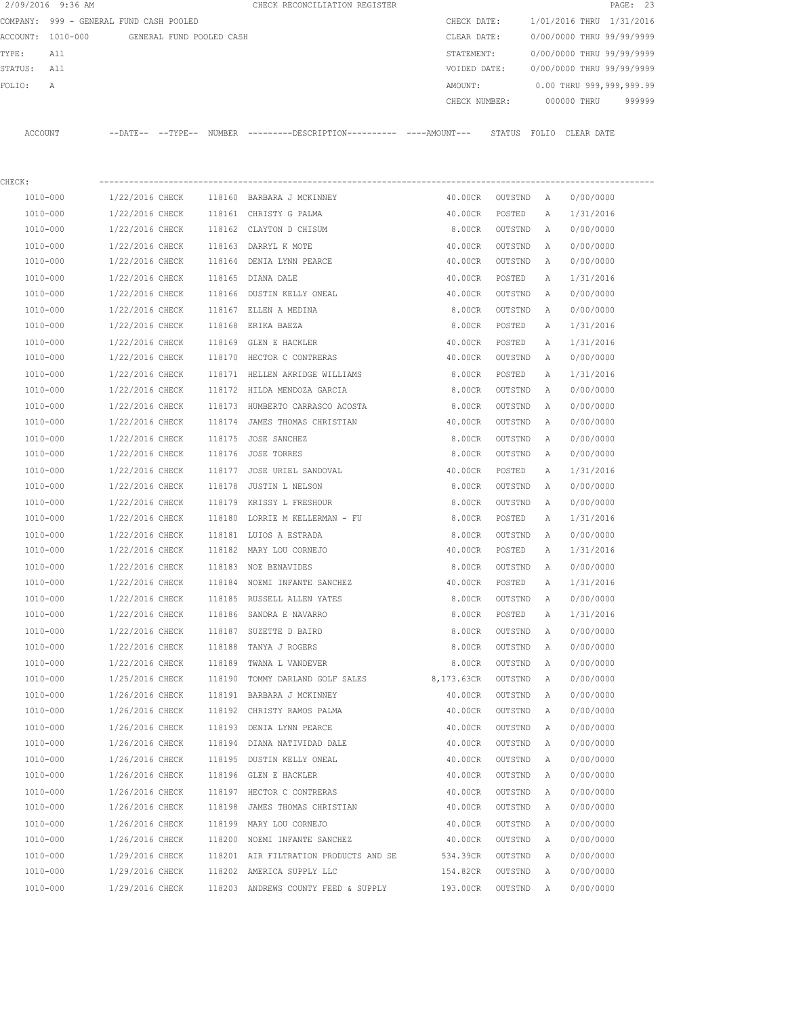| 2/09/2016 9:36 AM |                                         |        | CHECK RECONCILIATION REGISTER                                                               |               |         |   | PAGE: 23                  |
|-------------------|-----------------------------------------|--------|---------------------------------------------------------------------------------------------|---------------|---------|---|---------------------------|
|                   | COMPANY: 999 - GENERAL FUND CASH POOLED |        |                                                                                             | CHECK DATE:   |         |   | 1/01/2016 THRU 1/31/2016  |
| ACCOUNT: 1010-000 | GENERAL FUND POOLED CASH                |        |                                                                                             | CLEAR DATE:   |         |   | 0/00/0000 THRU 99/99/9999 |
| TYPE:<br>All      |                                         |        |                                                                                             | STATEMENT:    |         |   | 0/00/0000 THRU 99/99/9999 |
| STATUS:<br>All    |                                         |        |                                                                                             | VOIDED DATE:  |         |   | 0/00/0000 THRU 99/99/9999 |
| FOLIO:<br>Α       |                                         |        |                                                                                             | AMOUNT:       |         |   | 0.00 THRU 999,999,999.99  |
|                   |                                         |        |                                                                                             | CHECK NUMBER: |         |   | 000000 THRU<br>999999     |
| ACCOUNT           |                                         |        | --DATE-- --TYPE-- NUMBER --------DESCRIPTION---------- ----AMOUNT--- STATUS FOLIO CLEARDATE |               |         |   |                           |
|                   |                                         |        |                                                                                             |               |         |   |                           |
| CHECK:            |                                         |        |                                                                                             |               |         |   |                           |
| 1010-000          | 1/22/2016 CHECK                         |        | 118160 BARBARA J MCKINNEY                                                                   | 40.00CR       | OUTSTND | A | 0/00/0000                 |
| 1010-000          | 1/22/2016 CHECK                         |        | 118161 CHRISTY G PALMA                                                                      | 40.00CR       | POSTED  | A | 1/31/2016                 |
| 1010-000          | 1/22/2016 CHECK                         |        | 118162 CLAYTON D CHISUM                                                                     | 8.00CR        | OUTSTND | A | 0/00/0000                 |
| 1010-000          | 1/22/2016 CHECK                         |        | 118163 DARRYL K MOTE                                                                        | 40.00CR       | OUTSTND | A | 0/00/0000                 |
| 1010-000          | 1/22/2016 CHECK                         |        | 118164 DENIA LYNN PEARCE                                                                    | 40.00CR       | OUTSTND | A | 0/00/0000                 |
| 1010-000          | 1/22/2016 CHECK                         |        | 118165 DIANA DALE                                                                           | 40.00CR       | POSTED  | Α | 1/31/2016                 |
| 1010-000          | 1/22/2016 CHECK                         |        | 118166 DUSTIN KELLY ONEAL                                                                   | 40.00CR       | OUTSTND | A | 0/00/0000                 |
| 1010-000          | 1/22/2016 CHECK                         |        | 118167 ELLEN A MEDINA                                                                       | 8.00CR        | OUTSTND | A | 0/00/0000                 |
| 1010-000          | 1/22/2016 CHECK                         |        | 118168 ERIKA BAEZA                                                                          | 8.00CR        | POSTED  | A | 1/31/2016                 |
| 1010-000          | 1/22/2016 CHECK                         |        | 118169 GLEN E HACKLER                                                                       | 40.00CR       | POSTED  | Α | 1/31/2016                 |
| 1010-000          | 1/22/2016 CHECK                         |        | 118170 HECTOR C CONTRERAS                                                                   | 40.00CR       | OUTSTND | Α | 0/00/0000                 |
| 1010-000          | 1/22/2016 CHECK                         |        | 118171 HELLEN AKRIDGE WILLIAMS                                                              | 8.00CR        | POSTED  | Α | 1/31/2016                 |
| 1010-000          | 1/22/2016 CHECK                         |        | 118172 HILDA MENDOZA GARCIA                                                                 | 8.00CR        | OUTSTND | Α | 0/00/0000                 |
| 1010-000          | 1/22/2016 CHECK                         |        | 118173 HUMBERTO CARRASCO ACOSTA                                                             | 8.00CR        | OUTSTND | Α | 0/00/0000                 |
| 1010-000          | 1/22/2016 CHECK                         |        | 118174 JAMES THOMAS CHRISTIAN                                                               | 40.00CR       | OUTSTND | A | 0/00/0000                 |
| 1010-000          | 1/22/2016 CHECK                         | 118175 | JOSE SANCHEZ                                                                                | 8.00CR        | OUTSTND | A | 0/00/0000                 |
| 1010-000          | 1/22/2016 CHECK                         | 118176 | JOSE TORRES                                                                                 | 8.00CR        | OUTSTND | A | 0/00/0000                 |
| 1010-000          | 1/22/2016 CHECK                         | 118177 | JOSE URIEL SANDOVAL                                                                         | 40.00CR       | POSTED  | Α | 1/31/2016                 |
| 1010-000          | 1/22/2016 CHECK                         | 118178 | JUSTIN L NELSON                                                                             | 8.00CR        | OUTSTND | Α | 0/00/0000                 |
| 1010-000          | 1/22/2016 CHECK                         | 118179 | KRISSY L FRESHOUR                                                                           | 8.00CR        | OUTSTND | A | 0/00/0000                 |
| 1010-000          | 1/22/2016 CHECK                         |        | 118180 LORRIE M KELLERMAN - FU                                                              | 8.00CR        | POSTED  | A | 1/31/2016                 |
| 1010-000          | 1/22/2016 CHECK                         |        | 118181 LUIOS A ESTRADA                                                                      | 8.00CR        | OUTSTND | A | 0/00/0000                 |
| 1010-000          | 1/22/2016 CHECK                         |        | 118182 MARY LOU CORNEJO                                                                     | 40.00CR       | POSTED  | A | 1/31/2016                 |
| 1010-000          | 1/22/2016 CHECK                         |        | 118183 NOE BENAVIDES                                                                        | 8.00CR        | OUTSTND | A | 0/00/0000                 |
| 1010-000          | 1/22/2016 CHECK                         |        | 118184 NOEMI INFANTE SANCHEZ                                                                | 40.00CR       | POSTED  | Α | 1/31/2016                 |
| 1010-000          | 1/22/2016 CHECK                         |        | 118185 RUSSELL ALLEN YATES                                                                  | 8.00CR        | OUTSTND | Α | 0/00/0000                 |
| 1010-000          | 1/22/2016 CHECK                         |        | 118186 SANDRA E NAVARRO                                                                     | 8.00CR        | POSTED  | Α | 1/31/2016                 |
| 1010-000          | 1/22/2016 CHECK                         |        | 118187 SUZETTE D BAIRD                                                                      | 8.00CR        | OUTSTND | Α | 0/00/0000                 |
| 1010-000          | 1/22/2016 CHECK                         | 118188 | TANYA J ROGERS                                                                              | 8.00CR        | OUTSTND | Α | 0/00/0000                 |
| 1010-000          | 1/22/2016 CHECK                         | 118189 | TWANA L VANDEVER                                                                            | 8.00CR        | OUTSTND | Α | 0/00/0000                 |
| 1010-000          | 1/25/2016 CHECK                         | 118190 | TOMMY DARLAND GOLF SALES 8,173.63CR                                                         |               | OUTSTND | Α | 0/00/0000                 |
| $1010 - 000$      | 1/26/2016 CHECK                         |        | 118191 BARBARA J MCKINNEY                                                                   | 40.00CR       | OUTSTND | Α | 0/00/0000                 |
| 1010-000          | 1/26/2016 CHECK                         |        | 118192 CHRISTY RAMOS PALMA                                                                  | 40.00CR       | OUTSTND | Α | 0/00/0000                 |
| 1010-000          | 1/26/2016 CHECK                         | 118193 | DENIA LYNN PEARCE                                                                           | 40.00CR       | OUTSTND | Α | 0/00/0000                 |
| 1010-000          | 1/26/2016 CHECK                         |        | 118194 DIANA NATIVIDAD DALE                                                                 | 40.00CR       | OUTSTND | Α | 0/00/0000                 |
| 1010-000          | 1/26/2016 CHECK                         |        | 118195 DUSTIN KELLY ONEAL                                                                   | 40.00CR       | OUTSTND | Α | 0/00/0000                 |
| 1010-000          | 1/26/2016 CHECK                         |        | 118196 GLEN E HACKLER                                                                       | 40.00CR       | OUTSTND | Α | 0/00/0000                 |
| 1010-000          | 1/26/2016 CHECK                         |        | 118197 HECTOR C CONTRERAS                                                                   | 40.00CR       | OUTSTND | Α | 0/00/0000                 |
| 1010-000          | 1/26/2016 CHECK                         |        | 118198 JAMES THOMAS CHRISTIAN                                                               | 40.00CR       | OUTSTND | Α | 0/00/0000                 |
| 1010-000          | 1/26/2016 CHECK                         |        | 118199 MARY LOU CORNEJO                                                                     | 40.00CR       | OUTSTND | Α | 0/00/0000                 |
| 1010-000          | 1/26/2016 CHECK                         |        | 118200 NOEMI INFANTE SANCHEZ                                                                | 40.00CR       | OUTSTND | Α | 0/00/0000                 |
| 1010-000          | 1/29/2016 CHECK                         |        | 118201 AIR FILTRATION PRODUCTS AND SE                                                       | 534.39CR      | OUTSTND | Α | 0/00/0000                 |
| 1010-000          | 1/29/2016 CHECK                         |        | 118202 AMERICA SUPPLY LLC                                                                   | 154.82CR      | OUTSTND | Α | 0/00/0000                 |
| 1010-000          | 1/29/2016 CHECK                         |        | 118203 ANDREWS COUNTY FEED & SUPPLY                                                         | 193.00CR      | OUTSTND | Α | 0/00/0000                 |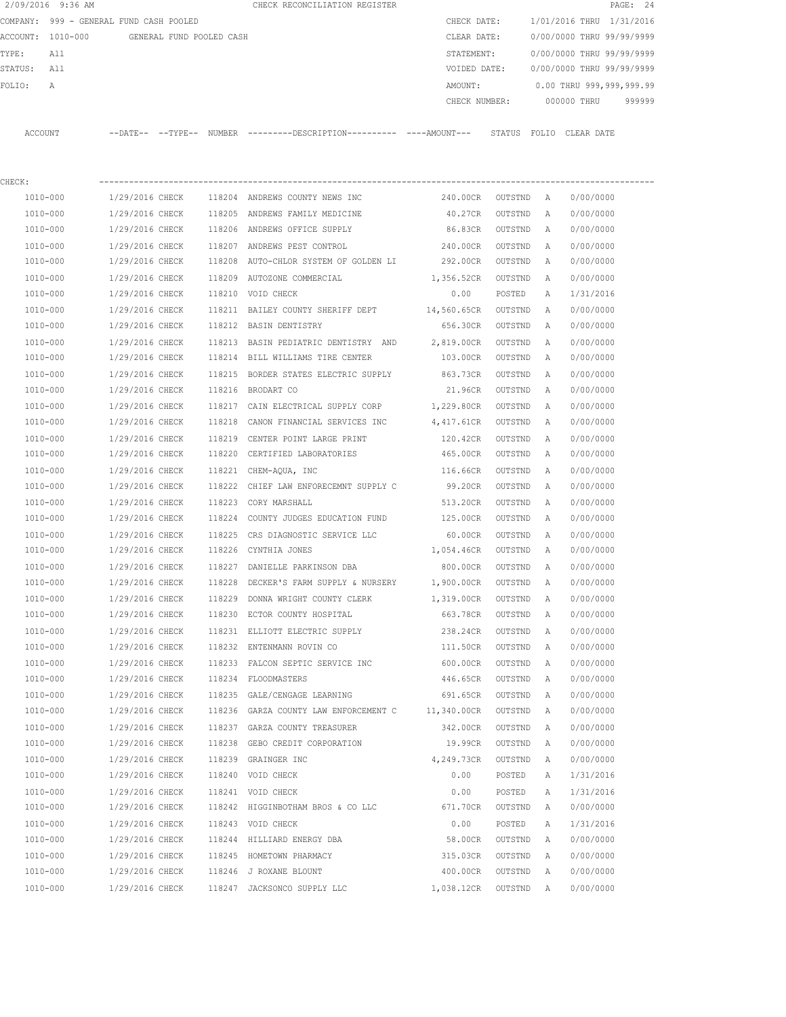|                                         | 2/09/2016 9:36 AM |                 |                          |             | CHECK RECONCILIATION REGISTER                                                               |                          |           |              |                           | PAGE: 24 |
|-----------------------------------------|-------------------|-----------------|--------------------------|-------------|---------------------------------------------------------------------------------------------|--------------------------|-----------|--------------|---------------------------|----------|
| COMPANY: 999 - GENERAL FUND CASH POOLED |                   |                 |                          | CHECK DATE: |                                                                                             | 1/01/2016 THRU 1/31/2016 |           |              |                           |          |
|                                         | ACCOUNT: 1010-000 |                 | GENERAL FUND POOLED CASH |             |                                                                                             | CLEAR DATE:              |           |              | 0/00/0000 THRU 99/99/9999 |          |
| TYPE:                                   | All               |                 |                          |             |                                                                                             | STATEMENT:               |           |              | 0/00/0000 THRU 99/99/9999 |          |
| STATUS:                                 | All               |                 |                          |             |                                                                                             | VOIDED DATE:             |           |              | 0/00/0000 THRU 99/99/9999 |          |
| FOLIO:                                  | Α                 |                 |                          |             |                                                                                             | AMOUNT:                  |           |              | 0.00 THRU 999,999,999.99  |          |
|                                         |                   |                 |                          |             |                                                                                             | CHECK NUMBER:            |           |              | 000000 THRU               | 999999   |
|                                         | ACCOUNT           |                 |                          |             | --DATE-- --TYPE-- NUMBER --------DESCRIPTION---------- ----AMOUNT--- STATUS FOLIO CLEARDATE |                          |           |              |                           |          |
| CHECK:                                  |                   |                 |                          |             |                                                                                             |                          |           |              |                           |          |
|                                         | 1010-000          | 1/29/2016 CHECK |                          |             | 118204 ANDREWS COUNTY NEWS INC                                                              | 240.00CR                 | OUTSTND A |              | 0/00/0000                 |          |
|                                         | 1010-000          | 1/29/2016 CHECK |                          |             | 118205 ANDREWS FAMILY MEDICINE                                                              | 40.27CR                  | OUTSTND   | A            | 0/00/0000                 |          |
|                                         | 1010-000          | 1/29/2016 CHECK |                          |             | 118206 ANDREWS OFFICE SUPPLY                                                                | 86.83CR                  | OUTSTND   | A            | 0/00/0000                 |          |
|                                         | 1010-000          | 1/29/2016 CHECK |                          |             | 118207 ANDREWS PEST CONTROL                                                                 | 240.00CR                 | OUTSTND   | Α            | 0/00/0000                 |          |
|                                         | 1010-000          | 1/29/2016 CHECK |                          |             | 118208 AUTO-CHLOR SYSTEM OF GOLDEN LI                                                       | 292.00CR                 | OUTSTND   | Α            | 0/00/0000                 |          |
|                                         | 1010-000          | 1/29/2016 CHECK |                          |             | 118209 AUTOZONE COMMERCIAL                                                                  | 1,356.52CR               | OUTSTND   | $\mathbb{A}$ | 0/00/0000                 |          |
|                                         | 1010-000          | 1/29/2016 CHECK |                          |             | 118210 VOID CHECK                                                                           | 0.00                     | POSTED    | Α            | 1/31/2016                 |          |
|                                         | 1010-000          | 1/29/2016 CHECK |                          |             | 118211 BAILEY COUNTY SHERIFF DEPT                                                           | 14,560.65CR              | OUTSTND   | A            | 0/00/0000                 |          |
|                                         | 1010-000          | 1/29/2016 CHECK |                          |             | 118212 BASIN DENTISTRY                                                                      | 656.30CR                 | OUTSTND   | A            | 0/00/0000                 |          |
|                                         | 1010-000          | 1/29/2016 CHECK |                          | 118213      | BASIN PEDIATRIC DENTISTRY AND                                                               | 2,819.00CR               | OUTSTND   | Α            | 0/00/0000                 |          |
|                                         | 1010-000          | 1/29/2016 CHECK |                          |             | 118214 BILL WILLIAMS TIRE CENTER                                                            | 103.00CR                 | OUTSTND   | A            | 0/00/0000                 |          |
|                                         | 1010-000          | 1/29/2016 CHECK |                          |             | 118215 BORDER STATES ELECTRIC SUPPLY 863.73CR                                               |                          | OUTSTND   | Α            | 0/00/0000                 |          |
|                                         | 1010-000          | 1/29/2016 CHECK |                          |             | 118216 BRODART CO                                                                           | 21.96CR                  | OUTSTND   | Α            | 0/00/0000                 |          |
|                                         | 1010-000          | 1/29/2016 CHECK |                          |             | 118217 CAIN ELECTRICAL SUPPLY CORP 1,229.80CR                                               |                          | OUTSTND   | Α            | 0/00/0000                 |          |
|                                         | 1010-000          | 1/29/2016 CHECK |                          | 118218      | CANON FINANCIAL SERVICES INC                                                                | 4,417.61CR               | OUTSTND   | Α            | 0/00/0000                 |          |
|                                         | 1010-000          | 1/29/2016 CHECK |                          | 118219      | CENTER POINT LARGE PRINT                                                                    | 120.42CR                 | OUTSTND   | Α            | 0/00/0000                 |          |
|                                         | 1010-000          | 1/29/2016 CHECK |                          |             | 118220 CERTIFIED LABORATORIES                                                               | 465.00CR                 | OUTSTND   | Α            | 0/00/0000                 |          |
|                                         | 1010-000          | 1/29/2016 CHECK |                          |             | 118221 CHEM-AQUA, INC                                                                       | 116.66CR                 | OUTSTND   | Α            | 0/00/0000                 |          |
|                                         | 1010-000          | 1/29/2016 CHECK |                          |             | 118222 CHIEF LAW ENFORECEMNT SUPPLY C                                                       | 99.20CR                  | OUTSTND   | A            | 0/00/0000                 |          |
|                                         | 1010-000          | 1/29/2016 CHECK |                          |             | 118223 CORY MARSHALL                                                                        | 513.20CR                 | OUTSTND   | A            | 0/00/0000                 |          |
|                                         | 1010-000          | 1/29/2016 CHECK |                          |             | 118224 COUNTY JUDGES EDUCATION FUND                                                         | 125.00CR                 | OUTSTND   | A            | 0/00/0000                 |          |
|                                         | 1010-000          | 1/29/2016 CHECK |                          | 118225      | CRS DIAGNOSTIC SERVICE LLC                                                                  | 60.00CR                  | OUTSTND   | Α            | 0/00/0000                 |          |
|                                         | 1010-000          | 1/29/2016 CHECK |                          |             | 118226 CYNTHIA JONES                                                                        | 1,054.46CR               | OUTSTND   | Α            | 0/00/0000                 |          |
|                                         | 1010-000          | 1/29/2016 CHECK |                          |             | 118227 DANIELLE PARKINSON DBA                                                               | 800.00CR                 | OUTSTND   | A            | 0/00/0000                 |          |
|                                         | 1010-000          | 1/29/2016 CHECK |                          | 118228      | DECKER'S FARM SUPPLY & NURSERY                                                              | 1,900.00CR               | OUTSTND   | A            | 0/00/0000                 |          |
|                                         | 1010-000          | 1/29/2016 CHECK |                          |             | 118229 DONNA WRIGHT COUNTY CLERK                                                            | 1,319.00CR               | OUTSTND   | Α            | 0/00/0000                 |          |
|                                         | 1010-000          | 1/29/2016 CHECK |                          |             | 118230 ECTOR COUNTY HOSPITAL                                                                | 663.78CR                 | OUTSTND   | Α            | 0/00/0000                 |          |
|                                         | 1010-000          | 1/29/2016 CHECK |                          |             | 118231 ELLIOTT ELECTRIC SUPPLY                                                              | 238.24CR                 | OUTSTND   | Α            | 0/00/0000                 |          |
|                                         | 1010-000          | 1/29/2016 CHECK |                          |             | 118232 ENTENMANN ROVIN CO                                                                   | 111.50CR                 | OUTSTND   | Α            | 0/00/0000                 |          |
|                                         | 1010-000          | 1/29/2016 CHECK |                          |             | 118233 FALCON SEPTIC SERVICE INC                                                            | 600.00CR                 | OUTSTND   | Α            | 0/00/0000                 |          |
|                                         | 1010-000          | 1/29/2016 CHECK |                          |             | 118234 FLOODMASTERS                                                                         | 446.65CR                 | OUTSTND   | Α            | 0/00/0000                 |          |
|                                         | 1010-000          | 1/29/2016 CHECK |                          |             | 118235 GALE/CENGAGE LEARNING                                                                | 691.65CR                 | OUTSTND   | Α            | 0/00/0000                 |          |
|                                         | 1010-000          | 1/29/2016 CHECK |                          |             | 118236 GARZA COUNTY LAW ENFORCEMENT C 11,340.00CR                                           |                          | OUTSTND   | Α            | 0/00/0000                 |          |
|                                         | 1010-000          | 1/29/2016 CHECK |                          |             | 118237 GARZA COUNTY TREASURER                                                               | 342.00CR                 | OUTSTND   | Α            | 0/00/0000                 |          |
|                                         | 1010-000          | 1/29/2016 CHECK |                          | 118238      | GEBO CREDIT CORPORATION                                                                     | 19.99CR                  | OUTSTND   | Α            | 0/00/0000                 |          |
|                                         | 1010-000          | 1/29/2016 CHECK |                          |             | 118239 GRAINGER INC                                                                         | 4,249.73CR               | OUTSTND   | Α            | 0/00/0000                 |          |
|                                         | 1010-000          | 1/29/2016 CHECK |                          |             | 118240 VOID CHECK                                                                           | 0.00                     | POSTED    | Α            | 1/31/2016                 |          |
|                                         | 1010-000          | 1/29/2016 CHECK |                          |             | 118241 VOID CHECK                                                                           | 0.00                     | POSTED    | Α            | 1/31/2016                 |          |
|                                         | 1010-000          | 1/29/2016 CHECK |                          |             | 118242 HIGGINBOTHAM BROS & CO LLC                                                           | 671.70CR                 | OUTSTND   | Α            | 0/00/0000                 |          |
|                                         | 1010-000          | 1/29/2016 CHECK |                          |             | 118243 VOID CHECK                                                                           | 0.00                     | POSTED    | Α            | 1/31/2016                 |          |
|                                         | 1010-000          | 1/29/2016 CHECK |                          |             | 118244 HILLIARD ENERGY DBA                                                                  | 58.00CR                  | OUTSTND   | Α            | 0/00/0000                 |          |
|                                         | 1010-000          | 1/29/2016 CHECK |                          |             | 118245 HOMETOWN PHARMACY                                                                    | 315.03CR                 | OUTSTND   | Α            | 0/00/0000                 |          |
|                                         | 1010-000          | 1/29/2016 CHECK |                          |             | 118246 J ROXANE BLOUNT                                                                      | 400.00CR                 | OUTSTND   | Α            | 0/00/0000                 |          |
|                                         | 1010-000          |                 |                          |             | 1/29/2016 CHECK 118247 JACKSONCO SUPPLY LLC                                                 | 1,038.12CR OUTSTND A     |           |              | 0/00/0000                 |          |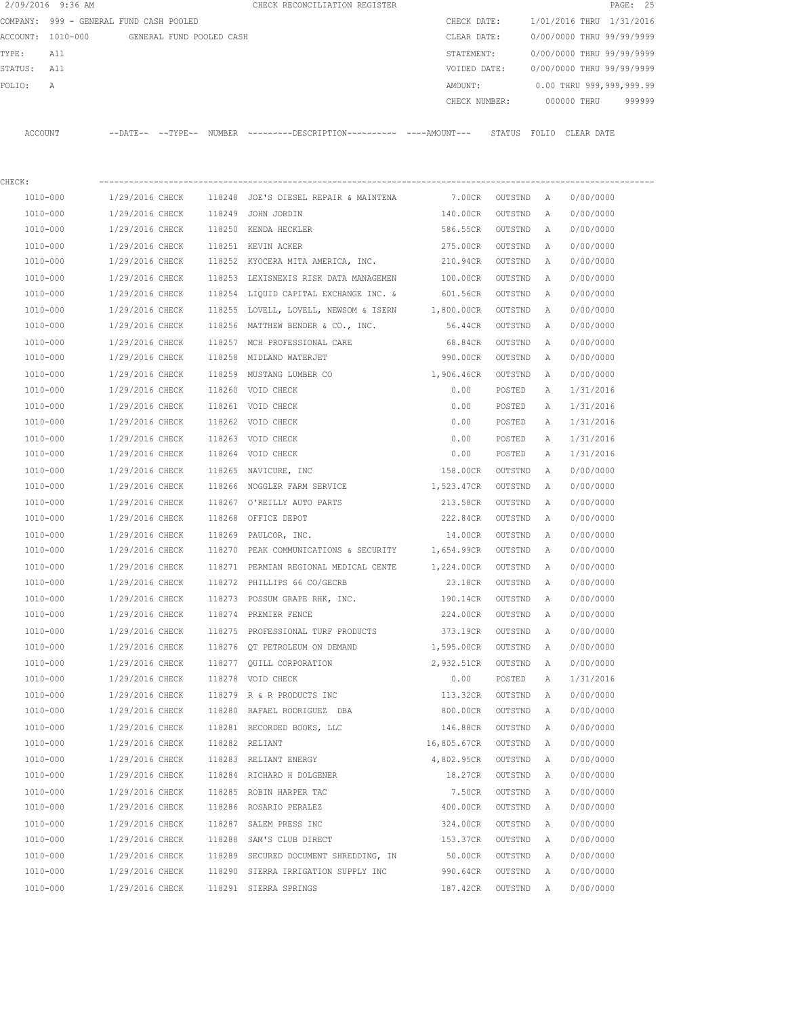|          | 2/09/2016 9:36 AM                       |                       |                          |        | CHECK RECONCILIATION REGISTER                |             |               |              |             | PAGE: 25                  |
|----------|-----------------------------------------|-----------------------|--------------------------|--------|----------------------------------------------|-------------|---------------|--------------|-------------|---------------------------|
|          | COMPANY: 999 - GENERAL FUND CASH POOLED |                       |                          |        |                                              | CHECK DATE: |               |              |             | 1/01/2016 THRU 1/31/2016  |
| ACCOUNT: | 1010-000                                |                       | GENERAL FUND POOLED CASH |        |                                              | CLEAR DATE: |               |              |             | 0/00/0000 THRU 99/99/9999 |
| TYPE:    | All                                     |                       |                          |        |                                              | STATEMENT:  |               |              |             | 0/00/0000 THRU 99/99/9999 |
| STATUS:  | All                                     |                       |                          |        |                                              |             | VOIDED DATE:  |              |             | 0/00/0000 THRU 99/99/9999 |
| FOLIO:   | Α                                       |                       |                          |        |                                              | AMOUNT:     |               |              |             | 0.00 THRU 999,999,999.99  |
|          |                                         |                       |                          |        |                                              |             | CHECK NUMBER: |              | 000000 THRU | 999999                    |
| ACCOUNT  |                                         | $---DAT E---TYP E---$ |                          | NUMBER | ---------DESCRIPTION---------- ----AMOUNT--- |             | STATUS        | FOLIO        | CLEAR DATE  |                           |
| CHECK:   |                                         |                       |                          |        |                                              |             |               |              |             |                           |
| 1010-000 |                                         | 1/29/2016 CHECK       |                          | 118248 | JOE'S DIESEL REPAIR & MAINTENA               | 7.00CR      | OUTSTND       | $\mathbb{A}$ | 0/00/0000   |                           |
| 1010-000 |                                         | 1/29/2016 CHECK       |                          | 118249 | JOHN JORDIN                                  | 140.00CR    | OUTSTND       | Α            | 0/00/0000   |                           |
| 1010-000 |                                         | 1/29/2016 CHECK       |                          | 118250 | KENDA HECKLER                                | 586.55CR    | OUTSTND       | Α            | 0/00/0000   |                           |
|          |                                         |                       |                          |        |                                              |             |               |              |             |                           |

| 1010-000 | 1/29/2016 CHECK | 118251 KEVIN ACKER                                    | 275.00CR           | OUTSTND | A            | 0/00/0000 |
|----------|-----------------|-------------------------------------------------------|--------------------|---------|--------------|-----------|
| 1010-000 | 1/29/2016 CHECK | 118252 KYOCERA MITA AMERICA, INC.                     | 210.94CR           | OUTSTND | A            | 0/00/0000 |
| 1010-000 | 1/29/2016 CHECK | 118253 LEXISNEXIS RISK DATA MANAGEMEN                 | 100.00CR           | OUTSTND | A            | 0/00/0000 |
| 1010-000 | 1/29/2016 CHECK | 118254 LIQUID CAPITAL EXCHANGE INC. &                 | 601.56CR           | OUTSTND | A            | 0/00/0000 |
| 1010-000 | 1/29/2016 CHECK | 118255 LOVELL, LOVELL, NEWSOM & ISERN 1,800.00CR      |                    | OUTSTND | А            | 0/00/0000 |
| 1010-000 | 1/29/2016 CHECK | 118256 MATTHEW BENDER & CO., INC.                     | 56.44CR            | OUTSTND | A            | 0/00/0000 |
| 1010-000 | 1/29/2016 CHECK | 118257 MCH PROFESSIONAL CARE                          | 68.84CR            | OUTSTND | А            | 0/00/0000 |
| 1010-000 | 1/29/2016 CHECK | 118258 MIDLAND WATERJET                               | 990.00CR           | OUTSTND | Α            | 0/00/0000 |
| 1010-000 | 1/29/2016 CHECK | 118259 MUSTANG LUMBER CO                              | 1,906.46CR         | OUTSTND | A            | 0/00/0000 |
| 1010-000 | 1/29/2016 CHECK | 118260 VOID CHECK                                     | 0.00               | POSTED  | A            | 1/31/2016 |
| 1010-000 | 1/29/2016 CHECK | 118261 VOID CHECK                                     | 0.00               | POSTED  | Α            | 1/31/2016 |
| 1010-000 | 1/29/2016 CHECK | 118262 VOID CHECK                                     | 0.00               | POSTED  | Α            | 1/31/2016 |
| 1010-000 | 1/29/2016 CHECK | 118263 VOID CHECK                                     | 0.00               | POSTED  | A            | 1/31/2016 |
| 1010-000 | 1/29/2016 CHECK | 118264 VOID CHECK                                     | 0.00               | POSTED  | А            | 1/31/2016 |
| 1010-000 | 1/29/2016 CHECK | 118265 NAVICURE, INC                                  | 158.00CR           | OUTSTND | A            | 0/00/0000 |
| 1010-000 | 1/29/2016 CHECK | 118266 NOGGLER FARM SERVICE                           | 1,523.47CR         | OUTSTND | A            | 0/00/0000 |
| 1010-000 | 1/29/2016 CHECK | 118267 O'REILLY AUTO PARTS                            | 213.58CR           | OUTSTND | A            | 0/00/0000 |
| 1010-000 | 1/29/2016 CHECK | 118268 OFFICE DEPOT                                   | 222.84CR           | OUTSTND | A            | 0/00/0000 |
| 1010-000 | 1/29/2016 CHECK | 118269 PAULCOR, INC.                                  | 14.00CR            | OUTSTND | A            | 0/00/0000 |
| 1010-000 | 1/29/2016 CHECK | 118270 PEAK COMMUNICATIONS & SECURITY                 | 1,654.99CR OUTSTND |         | A            | 0/00/0000 |
| 1010-000 | 1/29/2016 CHECK | 118271 PERMIAN REGIONAL MEDICAL CENTE                 | 1,224.00CR         | OUTSTND | A            | 0/00/0000 |
| 1010-000 | 1/29/2016 CHECK | 118272 PHILLIPS 66 CO/GECRB                           | 23.18CR            | OUTSTND | A            | 0/00/0000 |
| 1010-000 | 1/29/2016 CHECK | 118273 POSSUM GRAPE RHK, INC.                         | 190.14CR           | OUTSTND | A            | 0/00/0000 |
| 1010-000 | 1/29/2016 CHECK | 118274 PREMIER FENCE                                  | 224.00CR           | OUTSTND | A            | 0/00/0000 |
| 1010-000 | 1/29/2016 CHECK | 118275 PROFESSIONAL TURF PRODUCTS                     | 373.19CR OUTSTND   |         | A            | 0/00/0000 |
| 1010-000 | 1/29/2016 CHECK | 118276 OT PETROLEUM ON DEMAND                         | 1,595.00CR         | OUTSTND | А            | 0/00/0000 |
| 1010-000 | 1/29/2016 CHECK | 118277 QUILL CORPORATION                              | 2,932.51CR         | OUTSTND | Α            | 0/00/0000 |
| 1010-000 | 1/29/2016 CHECK | 118278 VOID CHECK                                     | 0.00               | POSTED  | Α            | 1/31/2016 |
| 1010-000 | 1/29/2016 CHECK | 118279 R & R PRODUCTS INC                             | 113.32CR           | OUTSTND | $\mathbb{A}$ | 0/00/0000 |
| 1010-000 | 1/29/2016 CHECK | 118280 RAFAEL RODRIGUEZ DBA                           | 800.00CR           | OUTSTND | $\mathbb{A}$ | 0/00/0000 |
| 1010-000 | 1/29/2016 CHECK | 118281 RECORDED BOOKS, LLC                            | 146.88CR           | OUTSTND | Α            | 0/00/0000 |
| 1010-000 | 1/29/2016 CHECK | 118282 RELIANT                                        | 16,805.67CR        | OUTSTND | Α            | 0/00/0000 |
| 1010-000 | 1/29/2016 CHECK | 118283 RELIANT ENERGY                                 | 4,802.95CR         | OUTSTND | А            | 0/00/0000 |
| 1010-000 | 1/29/2016 CHECK | 118284 RICHARD H DOLGENER                             | 18.27CR            | OUTSTND | А            | 0/00/0000 |
| 1010-000 | 1/29/2016 CHECK | 118285 ROBIN HARPER TAC                               | 7.50CR             | OUTSTND | A            | 0/00/0000 |
| 1010-000 | 1/29/2016 CHECK | 118286 ROSARIO PERALEZ                                | 400.00CR           | OUTSTND | $\mathbb{A}$ | 0/00/0000 |
| 1010-000 | 1/29/2016 CHECK | 118287 SALEM PRESS INC                                | 324.00CR           | OUTSTND | Α            | 0/00/0000 |
| 1010-000 | 1/29/2016 CHECK | 118288 SAM'S CLUB DIRECT                              | 153.37CR           | OUTSTND | A            | 0/00/0000 |
| 1010-000 |                 | 1/29/2016 CHECK 118289 SECURED DOCUMENT SHREDDING, IN | 50.00CR            | OUTSTND | A            | 0/00/0000 |
| 1010-000 | 1/29/2016 CHECK | 118290 SIERRA IRRIGATION SUPPLY INC                   | 990.64CR           | OUTSTND | A            | 0/00/0000 |
| 1010-000 | 1/29/2016 CHECK | 118291 SIERRA SPRINGS                                 | 187.42CR           | OUTSTND | A            | 0/00/0000 |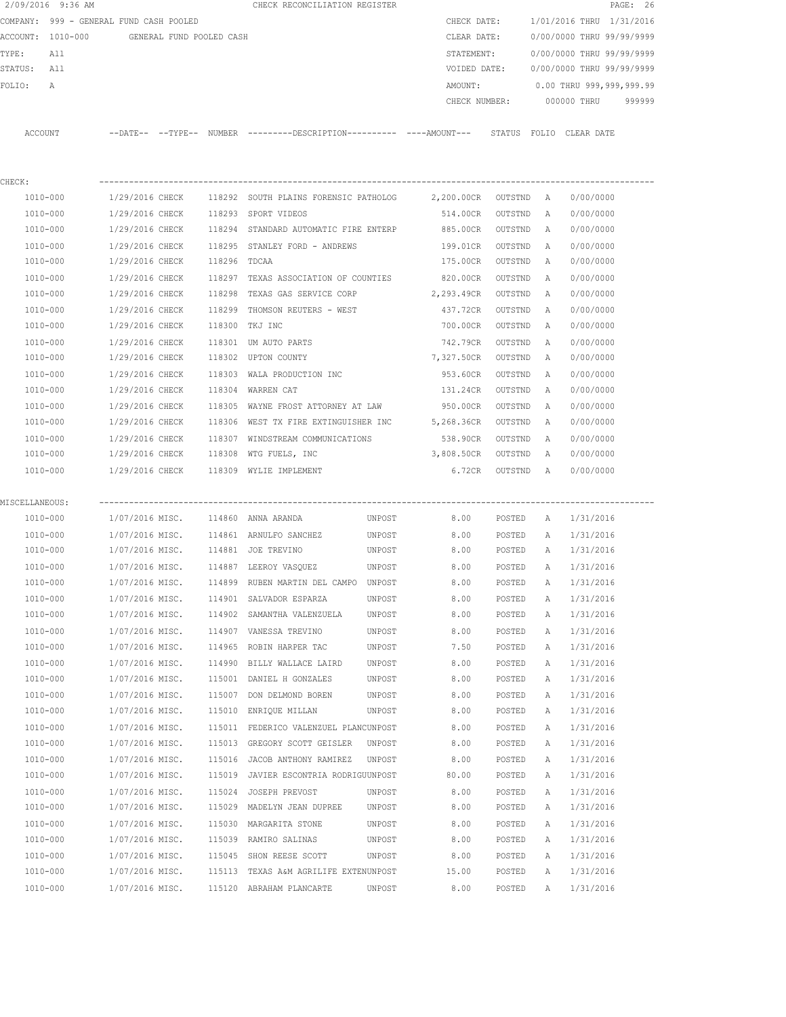|                                         | 2/09/2016 9:36 AM |                 |                          |              | CHECK RECONCILIATION REGISTER                                            |        |                                        |         |                           |                           | PAGE: 26 |
|-----------------------------------------|-------------------|-----------------|--------------------------|--------------|--------------------------------------------------------------------------|--------|----------------------------------------|---------|---------------------------|---------------------------|----------|
| COMPANY: 999 - GENERAL FUND CASH POOLED |                   |                 |                          |              |                                                                          |        | CHECK DATE:                            |         | 1/01/2016 THRU 1/31/2016  |                           |          |
|                                         | ACCOUNT: 1010-000 |                 | GENERAL FUND POOLED CASH |              |                                                                          |        | CLEAR DATE:                            |         |                           | 0/00/0000 THRU 99/99/9999 |          |
| TYPE:                                   | All               |                 |                          |              |                                                                          |        | STATEMENT:                             |         |                           | 0/00/0000 THRU 99/99/9999 |          |
| STATUS: All                             |                   |                 |                          |              |                                                                          |        | VOIDED DATE:                           |         | 0/00/0000 THRU 99/99/9999 |                           |          |
| FOLIO:                                  | А                 |                 |                          |              |                                                                          |        | AMOUNT:                                |         |                           | 0.00 THRU 999,999,999.99  |          |
|                                         |                   |                 |                          |              |                                                                          |        | 000000 THRU<br>CHECK NUMBER:<br>999999 |         |                           |                           |          |
|                                         | ACCOUNT           |                 |                          |              | --DATE-- --TYPE-- NUMBER --------DESCRIPTION---------- ----AMOUNT---     |        |                                        |         |                           | STATUS FOLIO CLEAR DATE   |          |
| CHECK:                                  |                   |                 |                          |              |                                                                          |        |                                        |         |                           |                           |          |
|                                         | 1010-000          |                 |                          |              | 1/29/2016 CHECK 118292 SOUTH PLAINS FORENSIC PATHOLOG 2,200.00CR OUTSTND |        |                                        |         | A                         | 0/00/0000                 |          |
|                                         | 1010-000          | 1/29/2016 CHECK |                          |              | 118293 SPORT VIDEOS                                                      |        | 514.00CR                               | OUTSTND | Α                         | 0/00/0000                 |          |
|                                         | 1010-000          | 1/29/2016 CHECK |                          |              | 118294 STANDARD AUTOMATIC FIRE ENTERP                                    |        | 885.00CR                               | OUTSTND | $\mathbb{A}$              | 0/00/0000                 |          |
|                                         | 1010-000          | 1/29/2016 CHECK |                          |              | 118295 STANLEY FORD - ANDREWS                                            |        | 199.01CR                               | OUTSTND | A                         | 0/00/0000                 |          |
|                                         | 1010-000          | 1/29/2016 CHECK |                          | 118296 TDCAA |                                                                          |        | 175.00CR                               | OUTSTND | Α                         | 0/00/0000                 |          |
|                                         | 1010-000          | 1/29/2016 CHECK |                          |              | 118297 TEXAS ASSOCIATION OF COUNTIES                                     |        | 820.00CR                               | OUTSTND | А                         | 0/00/0000                 |          |
|                                         | 1010-000          | 1/29/2016 CHECK |                          |              | 118298 TEXAS GAS SERVICE CORP                                            |        | 2,293.49CR                             | OUTSTND | A                         | 0/00/0000                 |          |
|                                         | 1010-000          | 1/29/2016 CHECK |                          | 118299       | THOMSON REUTERS - WEST                                                   |        | 437.72CR                               | OUTSTND | A                         | 0/00/0000                 |          |
|                                         | 1010-000          | 1/29/2016 CHECK |                          |              | 118300 TKJ INC                                                           |        | 700.00CR                               | OUTSTND | A                         | 0/00/0000                 |          |
|                                         | 1010-000          | 1/29/2016 CHECK |                          |              | 118301 UM AUTO PARTS                                                     |        | 742.79CR                               | OUTSTND | Α                         | 0/00/0000                 |          |
|                                         | 1010-000          | 1/29/2016 CHECK |                          |              | 118302 UPTON COUNTY                                                      |        | 7,327.50CR                             | OUTSTND | A                         | 0/00/0000                 |          |
|                                         | 1010-000          | 1/29/2016 CHECK |                          | 118303       | WALA PRODUCTION INC                                                      |        | 953.60CR                               | OUTSTND | Α                         | 0/00/0000                 |          |
|                                         | 1010-000          | 1/29/2016 CHECK |                          | 118304       | WARREN CAT                                                               |        | 131.24CR                               | OUTSTND | Α                         | 0/00/0000                 |          |
|                                         | 1010-000          | 1/29/2016 CHECK |                          |              | 118305 WAYNE FROST ATTORNEY AT LAW                                       |        | 950.00CR                               | OUTSTND | Α                         | 0/00/0000                 |          |
|                                         | 1010-000          | 1/29/2016 CHECK |                          |              | 118306 WEST TX FIRE EXTINGUISHER INC                                     |        | 5,268.36CR                             | OUTSTND | A                         | 0/00/0000                 |          |
|                                         | 1010-000          | 1/29/2016 CHECK |                          |              | 118307 WINDSTREAM COMMUNICATIONS                                         |        | 538.90CR                               | OUTSTND | A                         | 0/00/0000                 |          |
|                                         | 1010-000          | 1/29/2016 CHECK |                          |              | 118308 WTG FUELS, INC                                                    |        | 3,808.50CR                             | OUTSTND | A                         | 0/00/0000                 |          |
|                                         | 1010-000          |                 |                          |              | 1/29/2016 CHECK 118309 WYLIE IMPLEMENT                                   |        | 6.72CR                                 | OUTSTND | A                         | 0/00/0000                 |          |
|                                         |                   |                 |                          |              |                                                                          |        |                                        |         |                           |                           |          |
| MISCELLANEOUS:                          | 1010-000          |                 |                          |              | 1/07/2016 MISC. 114860 ANNA ARANDA                                       | UNPOST | 8.00                                   | POSTED  | A                         | 1/31/2016                 |          |
|                                         | 1010-000          |                 |                          |              | 1/07/2016 MISC. 114861 ARNULFO SANCHEZ                                   | UNPOST | 8.00                                   | POSTED  | A                         | 1/31/2016                 |          |
|                                         | 1010-000          |                 |                          |              | 1/07/2016 MISC. 114881 JOE TREVINO                                       | UNPOST | 8.00                                   | POSTED  | A                         | 1/31/2016                 |          |
|                                         | 1010-000          | 1/07/2016 MISC. |                          |              | 114887 LEEROY VASQUEZ                                                    | UNPOST | 8.00                                   | POSTED  | Α                         | 1/31/2016                 |          |
|                                         | 1010-000          | 1/07/2016 MISC. |                          |              | 114899 RUBEN MARTIN DEL CAMPO                                            | UNPOST | 8.00                                   |         | Α                         | 1/31/2016                 |          |
|                                         |                   |                 |                          |              |                                                                          |        |                                        | POSTED  |                           |                           |          |
|                                         | 1010-000          | 1/07/2016 MISC. |                          |              | 114901 SALVADOR ESPARZA                                                  | UNPOST | 8.00<br>8.00                           | POSTED  | Α                         | 1/31/2016                 |          |
|                                         | 1010-000          | 1/07/2016 MISC. |                          |              | 114902 SAMANTHA VALENZUELA                                               | UNPOST |                                        | POSTED  | Α                         | 1/31/2016                 |          |
|                                         | 1010-000          | 1/07/2016 MISC. |                          |              | 114907 VANESSA TREVINO                                                   | UNPOST | 8.00                                   | POSTED  | Α                         | 1/31/2016                 |          |
|                                         | 1010-000          | 1/07/2016 MISC. |                          |              | 114965 ROBIN HARPER TAC                                                  | UNPOST | 7.50                                   | POSTED  | Α                         | 1/31/2016                 |          |
|                                         | $1010 - 000$      | 1/07/2016 MISC. |                          | 114990       | BILLY WALLACE LAIRD                                                      | UNPOST | 8.00                                   | POSTED  | Α                         | 1/31/2016                 |          |
|                                         | 1010-000          | 1/07/2016 MISC. |                          | 115001       | DANIEL H GONZALES                                                        | UNPOST | 8.00                                   | POSTED  | Α                         | 1/31/2016                 |          |
|                                         | 1010-000          | 1/07/2016 MISC. |                          | 115007       | DON DELMOND BOREN                                                        | UNPOST | 8.00                                   | POSTED  | Α                         | 1/31/2016                 |          |
|                                         | 1010-000          | 1/07/2016 MISC. |                          | 115010       | ENRIQUE MILLAN                                                           | UNPOST | 8.00                                   | POSTED  | Α                         | 1/31/2016                 |          |
|                                         | 1010-000          | 1/07/2016 MISC. |                          |              | 115011 FEDERICO VALENZUEL PLANCUNPOST                                    |        | 8.00                                   | POSTED  | Α                         | 1/31/2016                 |          |
|                                         | 1010-000          | 1/07/2016 MISC. |                          |              | 115013 GREGORY SCOTT GEISLER                                             | UNPOST | 8.00                                   | POSTED  | Α                         | 1/31/2016                 |          |
|                                         | 1010-000          | 1/07/2016 MISC. |                          | 115016       | JACOB ANTHONY RAMIREZ                                                    | UNPOST | 8.00                                   | POSTED  | Α                         | 1/31/2016                 |          |
|                                         | 1010-000          | 1/07/2016 MISC. |                          | 115019       | JAVIER ESCONTRIA RODRIGUUNPOST                                           |        | 80.00                                  | POSTED  | Α                         | 1/31/2016                 |          |
|                                         | 1010-000          | 1/07/2016 MISC. |                          |              | 115024 JOSEPH PREVOST                                                    | UNPOST | 8.00                                   | POSTED  | Α                         | 1/31/2016                 |          |
|                                         | 1010-000          | 1/07/2016 MISC. |                          |              | 115029 MADELYN JEAN DUPREE                                               | UNPOST | 8.00                                   | POSTED  | Α                         | 1/31/2016                 |          |
|                                         | 1010-000          | 1/07/2016 MISC. |                          |              | 115030 MARGARITA STONE                                                   | UNPOST | 8.00                                   | POSTED  | Α                         | 1/31/2016                 |          |
|                                         | 1010-000          | 1/07/2016 MISC. |                          |              | 115039 RAMIRO SALINAS                                                    | UNPOST | 8.00                                   | POSTED  | Α                         | 1/31/2016                 |          |
|                                         | 1010-000          | 1/07/2016 MISC. |                          | 115045       | SHON REESE SCOTT                                                         | UNPOST | 8.00                                   | POSTED  | Α                         | 1/31/2016                 |          |
|                                         | 1010-000          | 1/07/2016 MISC. |                          | 115113       | TEXAS A&M AGRILIFE EXTENUNPOST                                           |        | 15.00                                  | POSTED  | Α                         | 1/31/2016                 |          |
|                                         | 1010-000          | 1/07/2016 MISC. |                          |              | 115120 ABRAHAM PLANCARTE                                                 | UNPOST | 8.00                                   | POSTED  | Α                         | 1/31/2016                 |          |